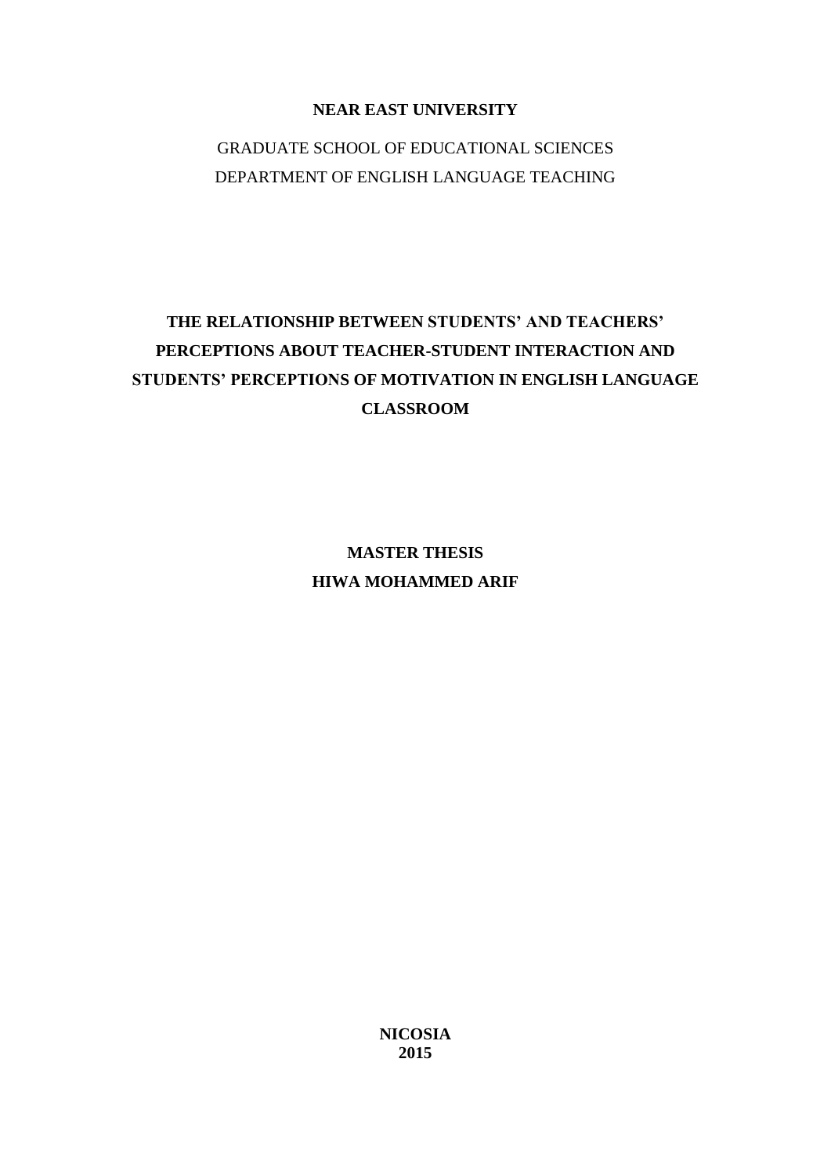# **NEAR EAST UNIVERSITY**

# GRADUATE SCHOOL OF EDUCATIONAL SCIENCES DEPARTMENT OF ENGLISH LANGUAGE TEACHING

# **THE RELATIONSHIP BETWEEN STUDENTS' AND TEACHERS' PERCEPTIONS ABOUT TEACHER-STUDENT INTERACTION AND STUDENTS' PERCEPTIONS OF MOTIVATION IN ENGLISH LANGUAGE CLASSROOM**

**MASTER THESIS HIWA MOHAMMED ARIF**

> **NICOSIA 2015**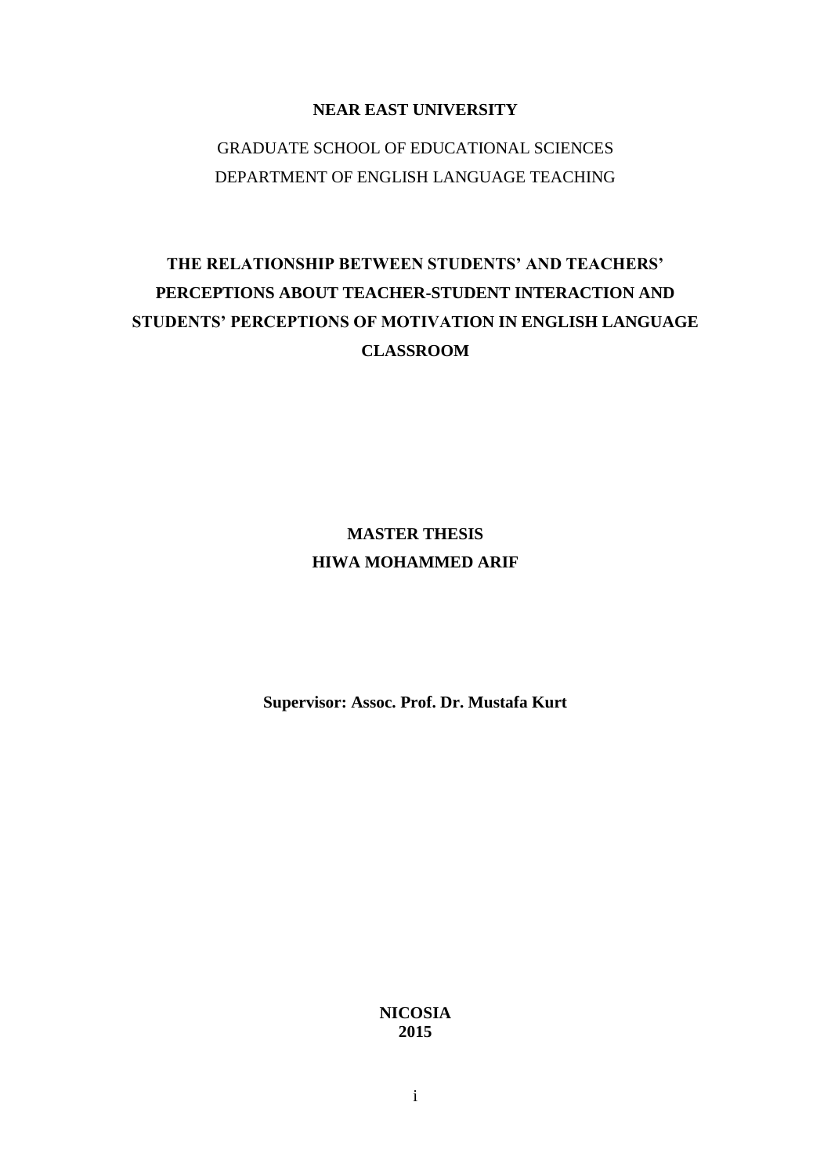# **NEAR EAST UNIVERSITY**

# GRADUATE SCHOOL OF EDUCATIONAL SCIENCES DEPARTMENT OF ENGLISH LANGUAGE TEACHING

# **THE RELATIONSHIP BETWEEN STUDENTS' AND TEACHERS' PERCEPTIONS ABOUT TEACHER-STUDENT INTERACTION AND STUDENTS' PERCEPTIONS OF MOTIVATION IN ENGLISH LANGUAGE CLASSROOM**

# **MASTER THESIS HIWA MOHAMMED ARIF**

**Supervisor: Assoc. Prof. Dr. Mustafa Kurt**

**NICOSIA 2015**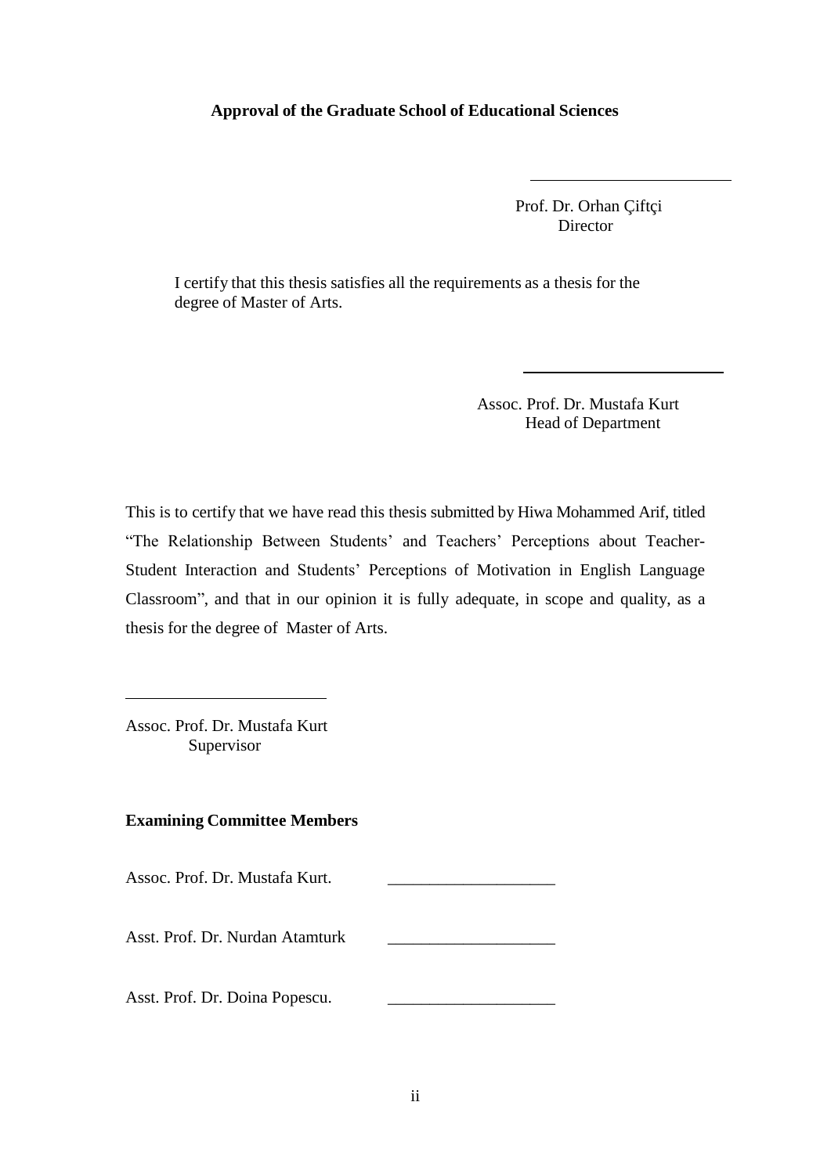### **Approval of the Graduate School of Educational Sciences**

 Prof. Dr. Orhan Çiftçi Director

I certify that this thesis satisfies all the requirements as a thesis for the degree of Master of Arts.

> Assoc. Prof. Dr. Mustafa Kurt Head of Department

This is to certify that we have read this thesis submitted by Hiwa Mohammed Arif, titled "The Relationship Between Students" and Teachers" Perceptions about Teacher-Student Interaction and Students" Perceptions of Motivation in English Language Classroom", and that in our opinion it is fully adequate, in scope and quality, as a thesis for the degree of Master of Arts.

Assoc. Prof. Dr. Mustafa Kurt Supervisor

# **Examining Committee Members**

Assoc. Prof. Dr. Mustafa Kurt.

Asst. Prof. Dr. Nurdan Atamturk \_\_\_\_\_\_\_\_\_\_\_\_\_\_\_\_\_\_\_\_

Asst. Prof. Dr. Doina Popescu.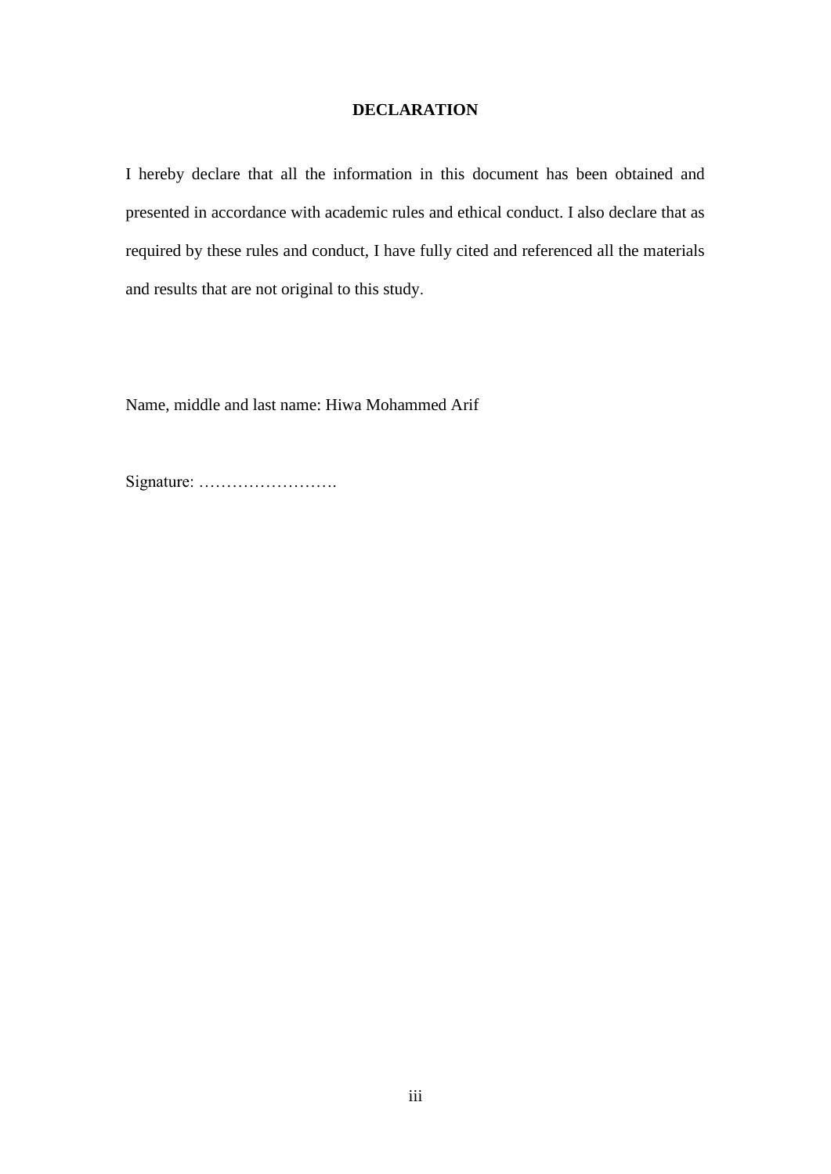# **DECLARATION**

I hereby declare that all the information in this document has been obtained and presented in accordance with academic rules and ethical conduct. I also declare that as required by these rules and conduct, I have fully cited and referenced all the materials and results that are not original to this study.

Name, middle and last name: Hiwa Mohammed Arif

Signature: …………………….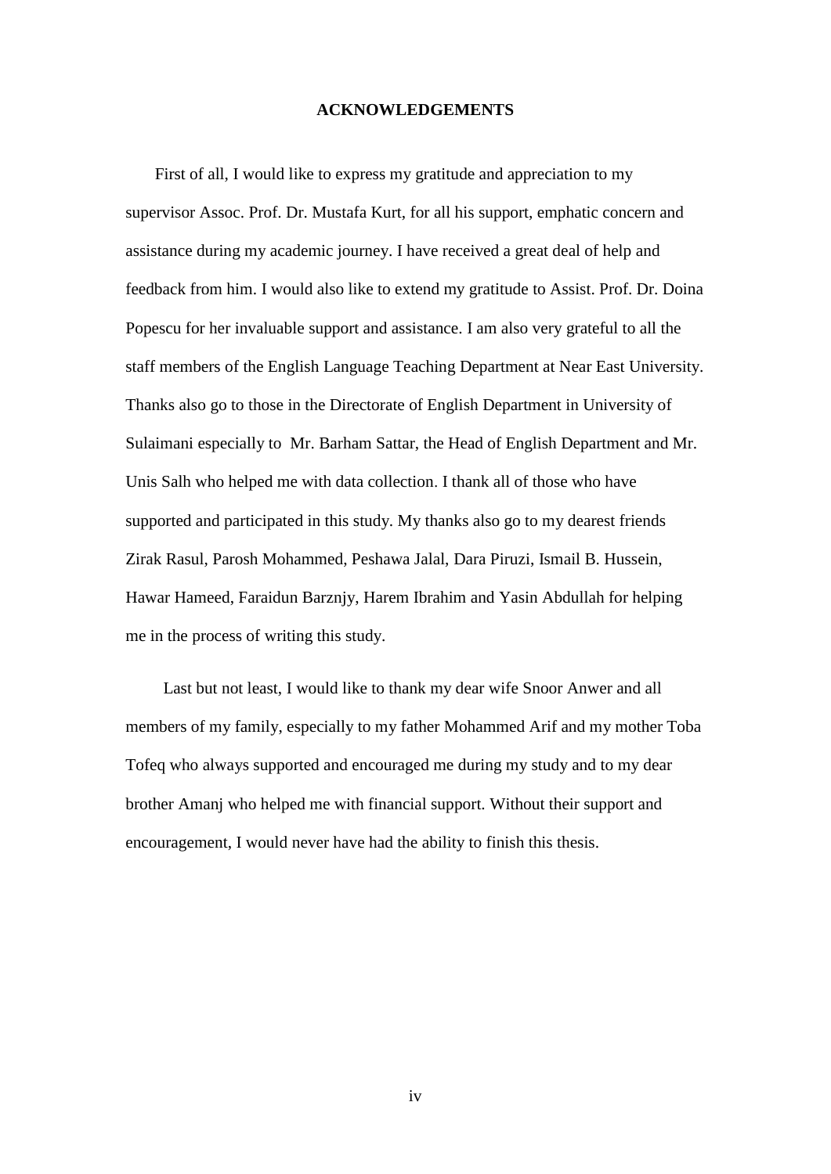#### **ACKNOWLEDGEMENTS**

 First of all, I would like to express my gratitude and appreciation to my supervisor Assoc. Prof. Dr. Mustafa Kurt, for all his support, emphatic concern and assistance during my academic journey. I have received a great deal of help and feedback from him. I would also like to extend my gratitude to Assist. Prof. Dr. Doina Popescu for her invaluable support and assistance. I am also very grateful to all the staff members of the English Language Teaching Department at Near East University. Thanks also go to those in the Directorate of English Department in University of Sulaimani especially to Mr. Barham Sattar, the Head of English Department and Mr. Unis Salh who helped me with data collection. I thank all of those who have supported and participated in this study. My thanks also go to my dearest friends Zirak Rasul, Parosh Mohammed, Peshawa Jalal, Dara Piruzi, Ismail B. Hussein, Hawar Hameed, Faraidun Barznjy, Harem Ibrahim and Yasin Abdullah for helping me in the process of writing this study.

 Last but not least, I would like to thank my dear wife Snoor Anwer and all members of my family, especially to my father Mohammed Arif and my mother Toba Tofeq who always supported and encouraged me during my study and to my dear brother Amanj who helped me with financial support. Without their support and encouragement, I would never have had the ability to finish this thesis.

iv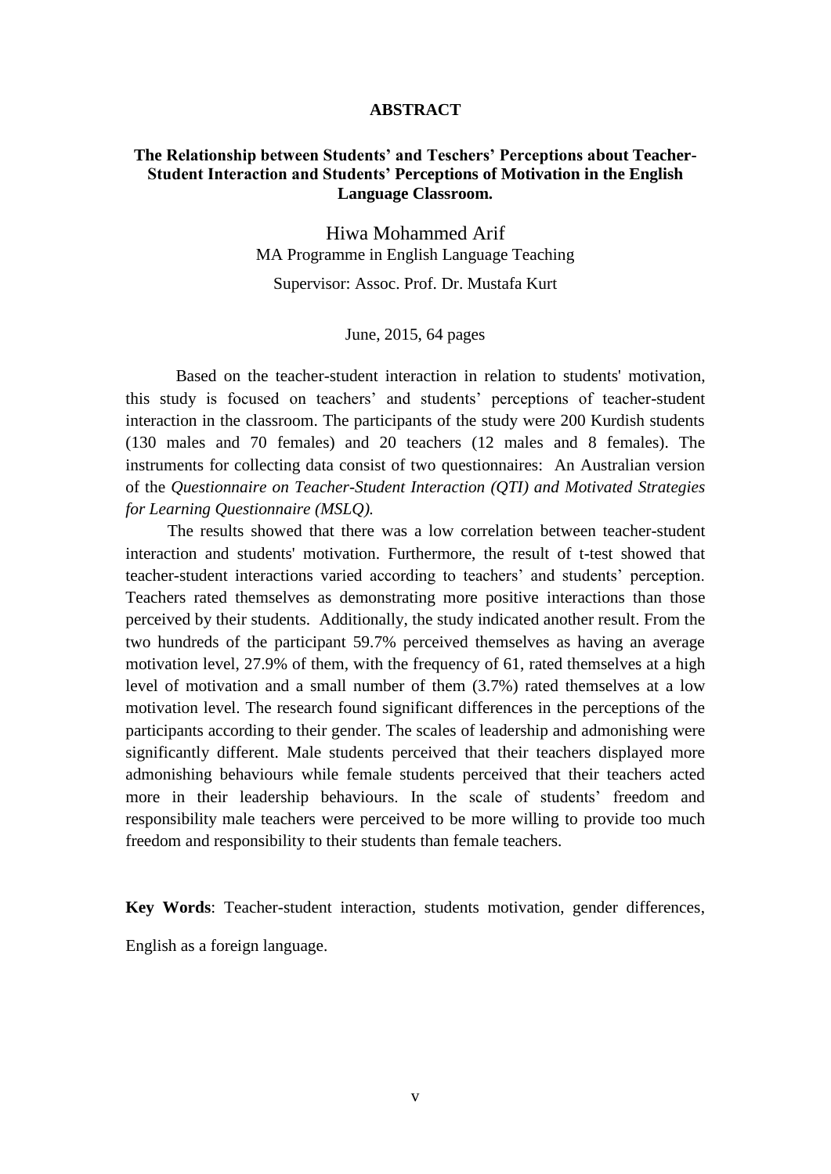#### **ABSTRACT**

# **The Relationship between Students' and Teschers' Perceptions about Teacher-Student Interaction and Students' Perceptions of Motivation in the English Language Classroom.**

Hiwa Mohammed Arif MA Programme in English Language Teaching

Supervisor: Assoc. Prof. Dr. Mustafa Kurt

June, 2015, 64 pages

Based on the teacher-student interaction in relation to students' motivation, this study is focused on teachers" and students" perceptions of teacher-student interaction in the classroom. The participants of the study were 200 Kurdish students (130 males and 70 females) and 20 teachers (12 males and 8 females). The instruments for collecting data consist of two questionnaires: An Australian version of the *Questionnaire on Teacher-Student Interaction (QTI) and Motivated Strategies for Learning Questionnaire (MSLQ).*

 The results showed that there was a low correlation between teacher-student interaction and students' motivation. Furthermore, the result of t-test showed that teacher-student interactions varied according to teachers" and students" perception. Teachers rated themselves as demonstrating more positive interactions than those perceived by their students. Additionally, the study indicated another result. From the two hundreds of the participant 59.7% perceived themselves as having an average motivation level, 27.9% of them, with the frequency of 61, rated themselves at a high level of motivation and a small number of them (3.7%) rated themselves at a low motivation level. The research found significant differences in the perceptions of the participants according to their gender. The scales of leadership and admonishing were significantly different. Male students perceived that their teachers displayed more admonishing behaviours while female students perceived that their teachers acted more in their leadership behaviours. In the scale of students' freedom and responsibility male teachers were perceived to be more willing to provide too much freedom and responsibility to their students than female teachers.

**Key Words**: Teacher-student interaction, students motivation, gender differences,

English as a foreign language.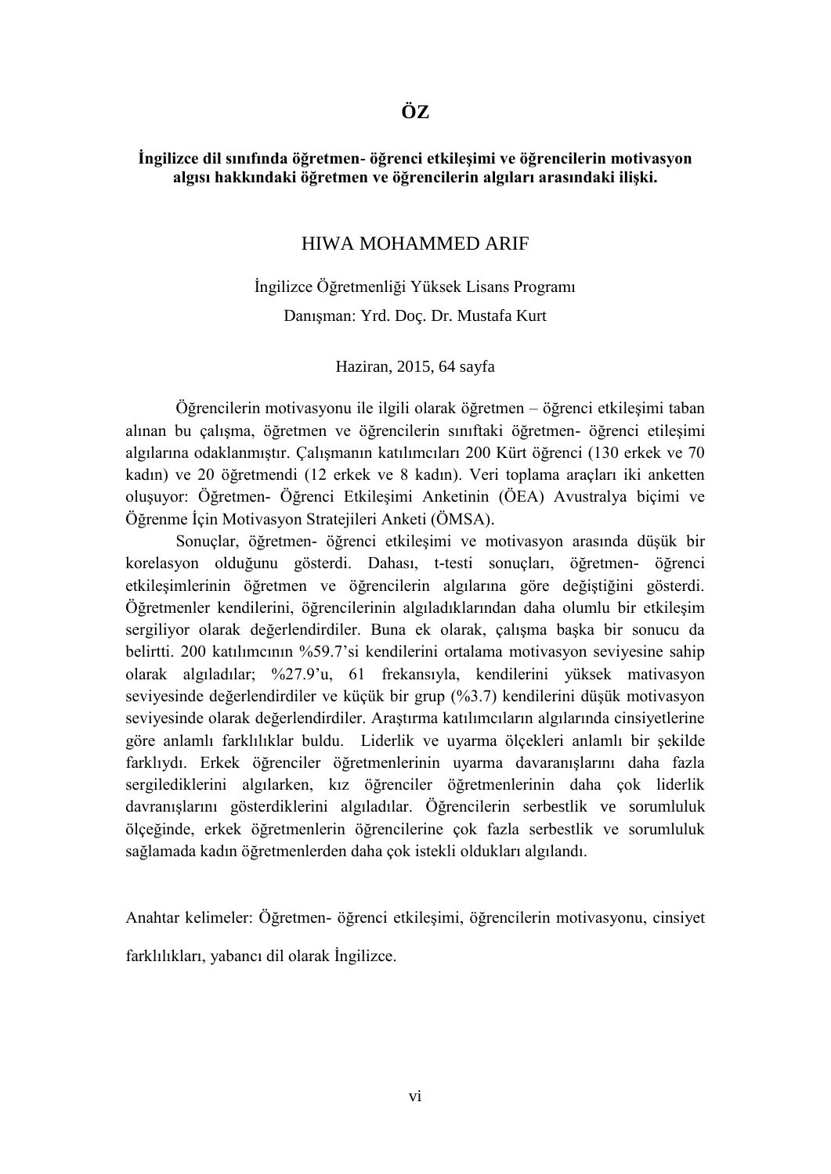# **İngilizce dil sınıfında öğretmen- öğrenci etkileşimi ve öğrencilerin motivasyon algısı hakkındaki öğretmen ve öğrencilerin algıları arasındaki ilişki.**

# HIWA MOHAMMED ARIF

İngilizce Öğretmenliği Yüksek Lisans Programı Danışman: Yrd. Doç. Dr. Mustafa Kurt

Haziran, 2015, 64 sayfa

Öğrencilerin motivasyonu ile ilgili olarak öğretmen – öğrenci etkileşimi taban alınan bu çalışma, öğretmen ve öğrencilerin sınıftaki öğretmen- öğrenci etileşimi algılarına odaklanmıştır. Çalışmanın katılımcıları 200 Kürt öğrenci (130 erkek ve 70 kadın) ve 20 öğretmendi (12 erkek ve 8 kadın). Veri toplama araçları iki anketten oluşuyor: Öğretmen- Öğrenci Etkileşimi Anketinin (ÖEA) Avustralya biçimi ve Öğrenme İçin Motivasyon Stratejileri Anketi (ÖMSA).

Sonuçlar, öğretmen- öğrenci etkileşimi ve motivasyon arasında düşük bir korelasyon olduğunu gösterdi. Dahası, t-testi sonuçları, öğretmen- öğrenci etkileşimlerinin öğretmen ve öğrencilerin algılarına göre değiştiğini gösterdi. Öğretmenler kendilerini, öğrencilerinin algıladıklarından daha olumlu bir etkileşim sergiliyor olarak değerlendirdiler. Buna ek olarak, çalışma başka bir sonucu da belirtti. 200 katılımcının %59.7"si kendilerini ortalama motivasyon seviyesine sahip olarak algıladılar; %27.9"u, 61 frekansıyla, kendilerini yüksek mativasyon seviyesinde değerlendirdiler ve küçük bir grup (%3.7) kendilerini düşük motivasyon seviyesinde olarak değerlendirdiler. Araştırma katılımcıların algılarında cinsiyetlerine göre anlamlı farklılıklar buldu. Liderlik ve uyarma ölçekleri anlamlı bir şekilde farklıydı. Erkek öğrenciler öğretmenlerinin uyarma davaranışlarını daha fazla sergilediklerini algılarken, kız öğrenciler öğretmenlerinin daha çok liderlik davranışlarını gösterdiklerini algıladılar. Öğrencilerin serbestlik ve sorumluluk ölçeğinde, erkek öğretmenlerin öğrencilerine çok fazla serbestlik ve sorumluluk sağlamada kadın öğretmenlerden daha çok istekli oldukları algılandı.

Anahtar kelimeler: Öğretmen- öğrenci etkileşimi, öğrencilerin motivasyonu, cinsiyet farklılıkları, yabancı dil olarak İngilizce.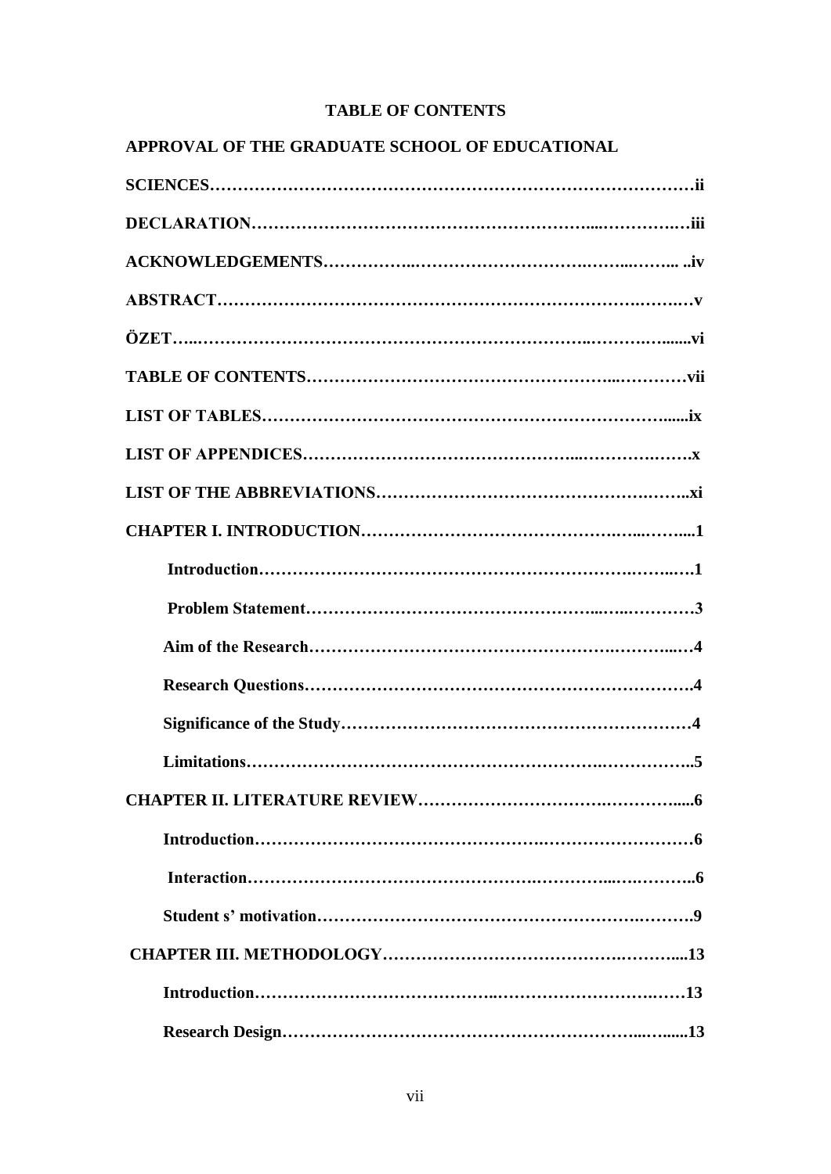# **TABLE OF CONTENTS**

|  | APPROVAL OF THE GRADUATE SCHOOL OF EDUCATIONAL |  |  |
|--|------------------------------------------------|--|--|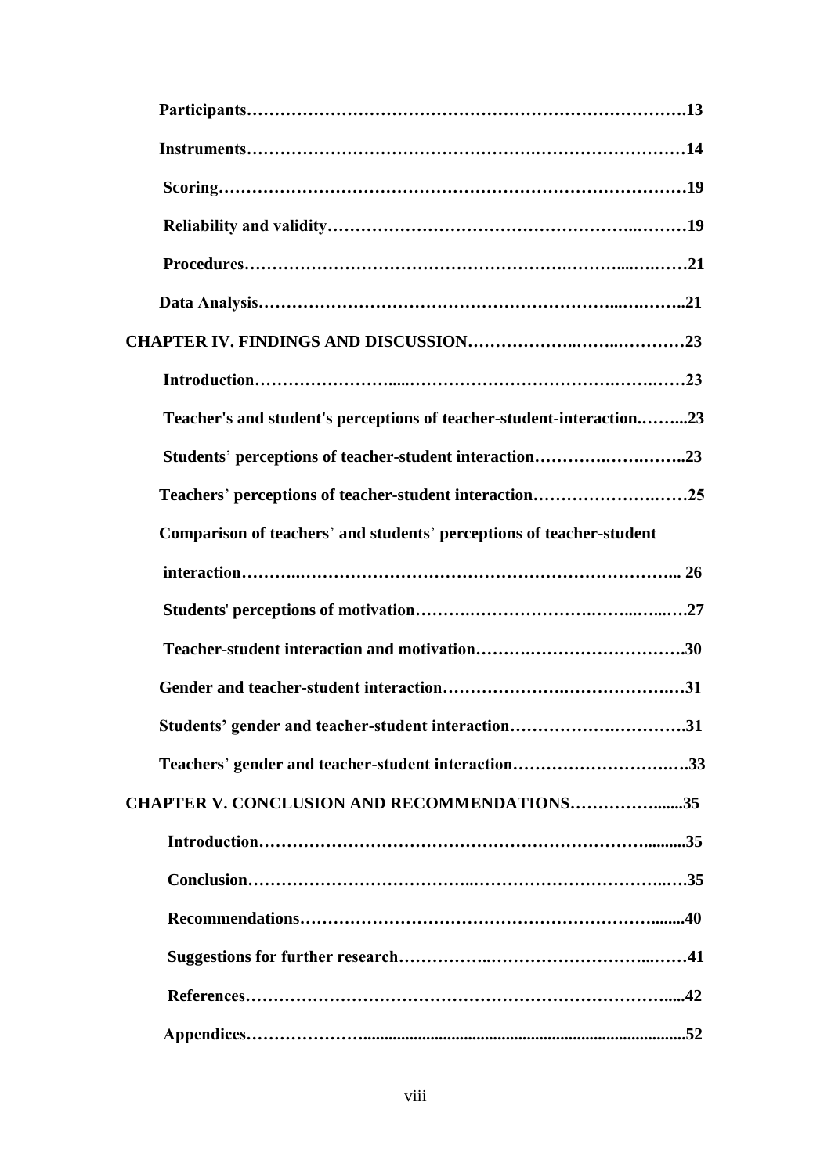| Teacher's and student's perceptions of teacher-student-interaction23 |  |
|----------------------------------------------------------------------|--|
|                                                                      |  |
| Teachers' perceptions of teacher-student interaction25               |  |
| Comparison of teachers' and students' perceptions of teacher-student |  |
|                                                                      |  |
|                                                                      |  |
|                                                                      |  |
|                                                                      |  |
| Students' gender and teacher-student interaction31                   |  |
| Teachers' gender and teacher-student interaction33                   |  |
| <b>CHAPTER V. CONCLUSION AND RECOMMENDATIONS35</b>                   |  |
|                                                                      |  |
|                                                                      |  |
|                                                                      |  |
|                                                                      |  |
|                                                                      |  |
|                                                                      |  |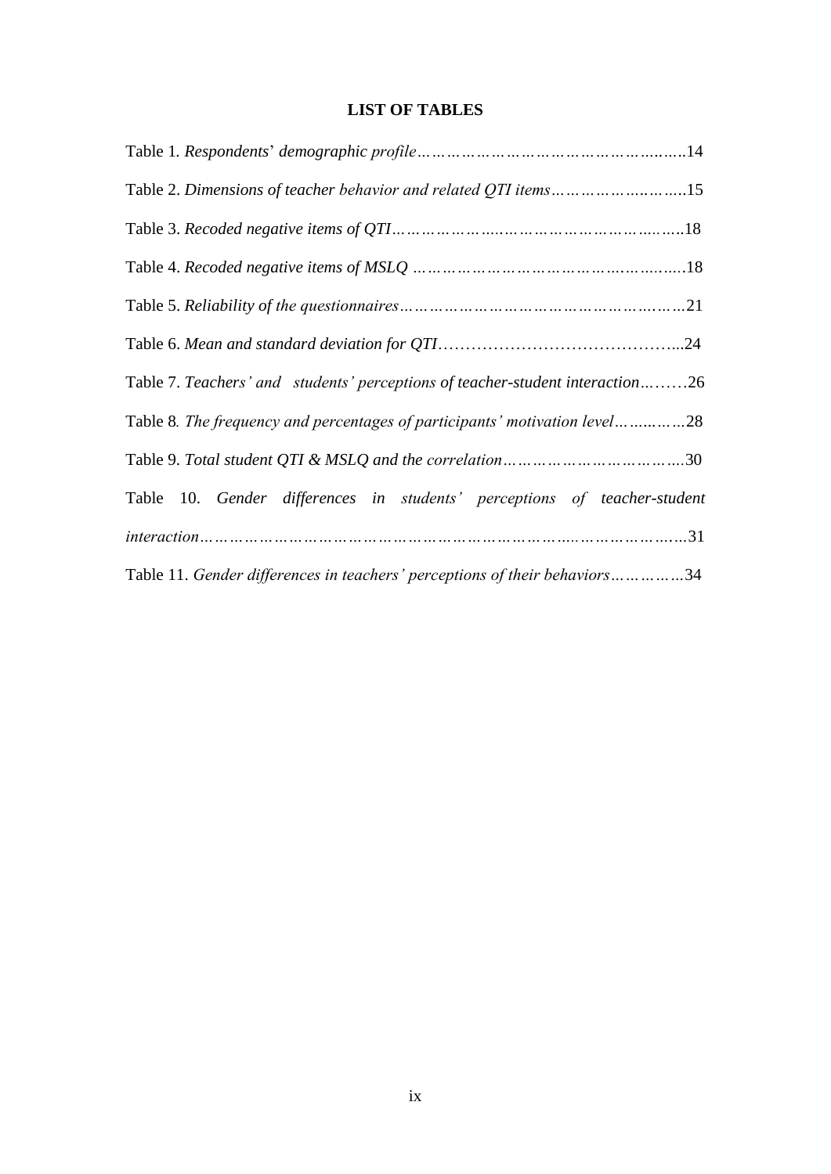# **LIST OF TABLES**

| Table 2. Dimensions of teacher behavior and related QTI items15               |
|-------------------------------------------------------------------------------|
|                                                                               |
|                                                                               |
|                                                                               |
|                                                                               |
| Table 7. Teachers' and students' perceptions of teacher-student interaction26 |
| Table 8. The frequency and percentages of participants' motivation level28    |
|                                                                               |
| Table 10. Gender differences in students' perceptions of teacher-student      |
|                                                                               |
| Table 11. Gender differences in teachers' perceptions of their behaviors34    |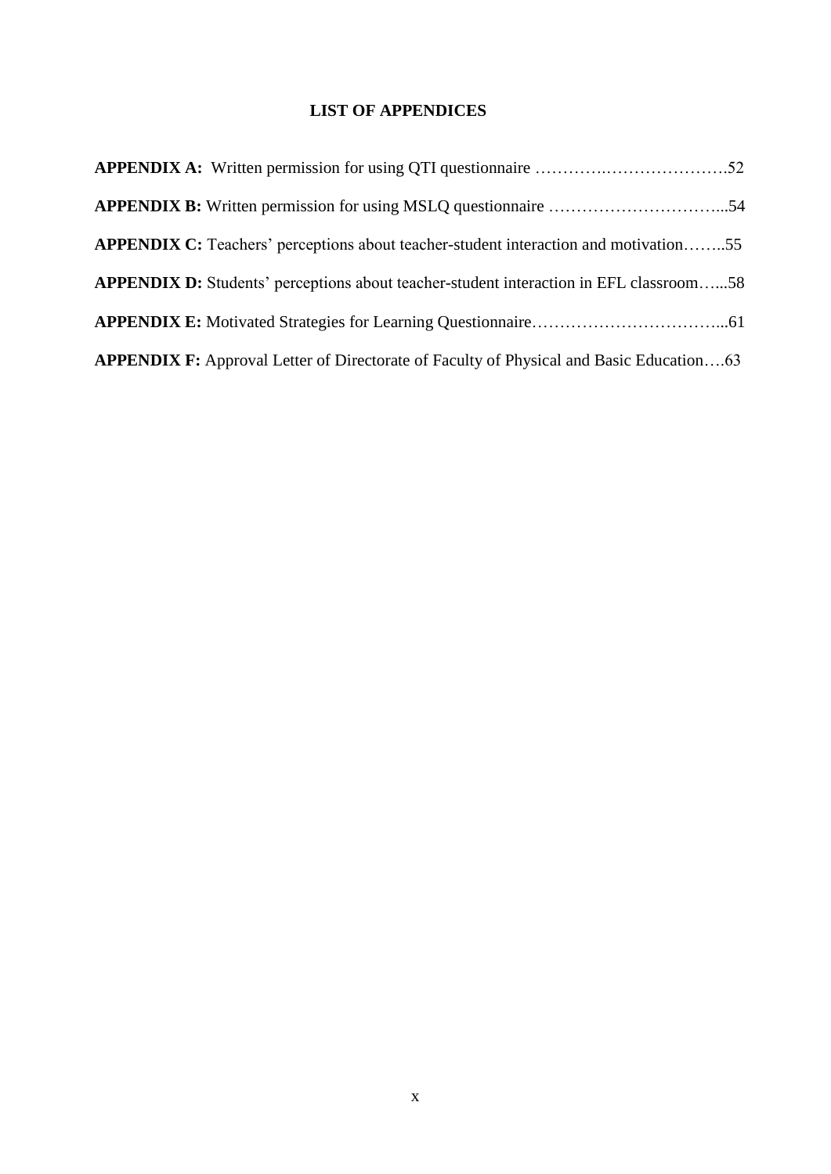# **LIST OF APPENDICES**

| <b>APPENDIX C:</b> Teachers' perceptions about teacher-student interaction and motivation55    |  |
|------------------------------------------------------------------------------------------------|--|
| <b>APPENDIX D:</b> Students' perceptions about teacher-student interaction in EFL classroom58  |  |
|                                                                                                |  |
| <b>APPENDIX F:</b> Approval Letter of Directorate of Faculty of Physical and Basic Education63 |  |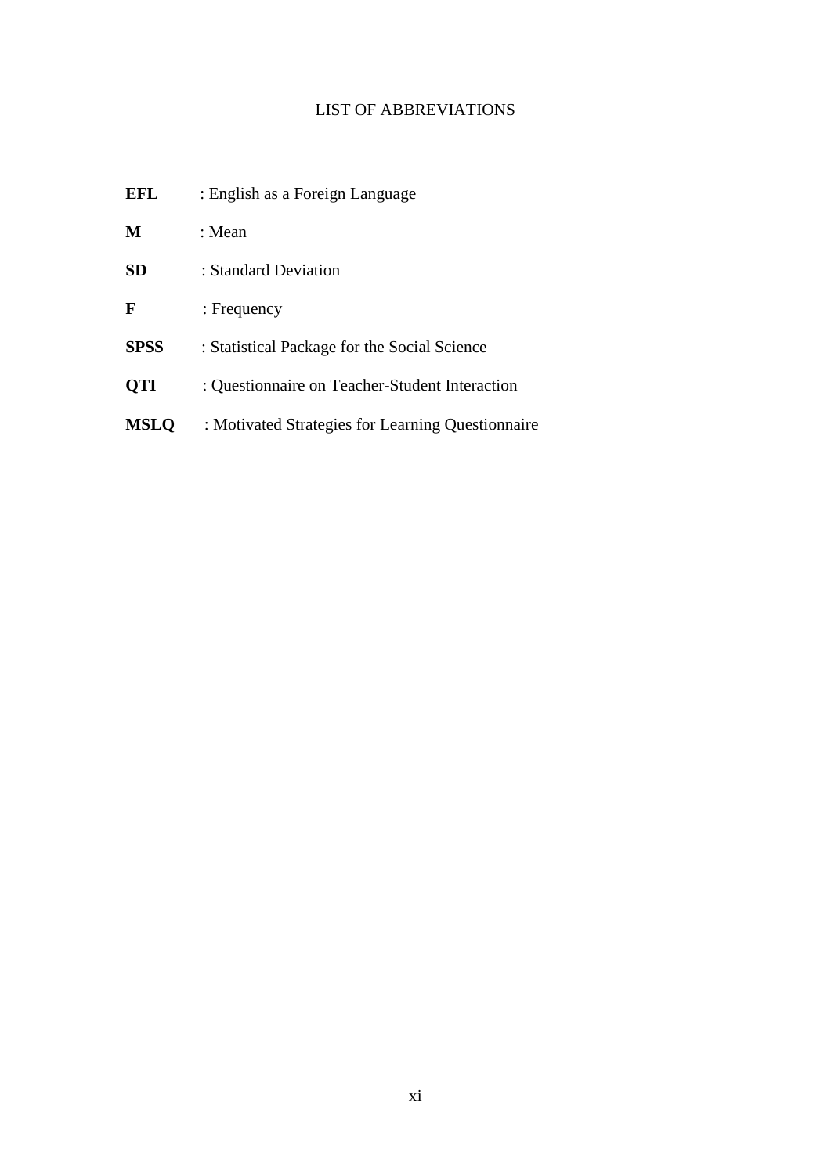# LIST OF ABBREVIATIONS

| EFL         | : English as a Foreign Language                   |
|-------------|---------------------------------------------------|
| M           | : Mean                                            |
| <b>SD</b>   | : Standard Deviation                              |
| F           | : Frequency                                       |
| <b>SPSS</b> | : Statistical Package for the Social Science      |
| <b>QTI</b>  | : Questionnaire on Teacher-Student Interaction    |
| <b>MSLQ</b> | : Motivated Strategies for Learning Questionnaire |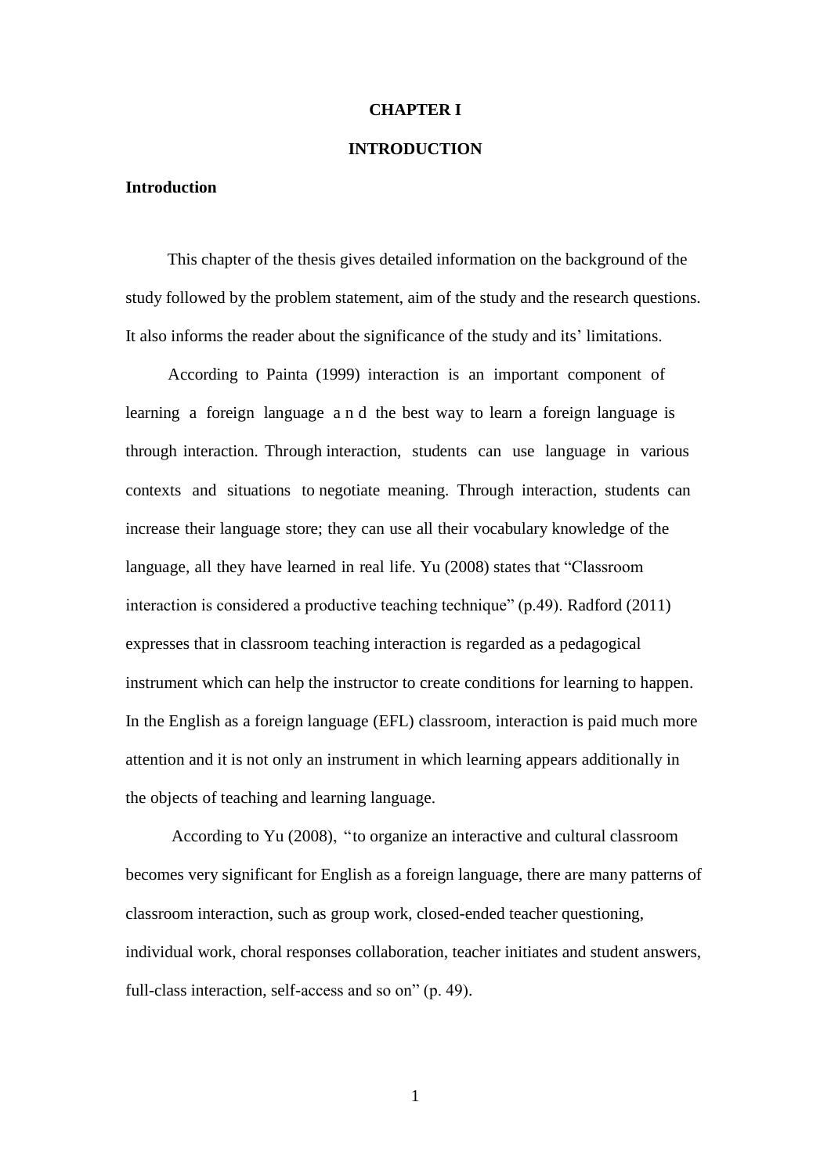#### **CHAPTER I**

#### **INTRODUCTION**

#### **Introduction**

 This chapter of the thesis gives detailed information on the background of the study followed by the problem statement, aim of the study and the research questions. It also informs the reader about the significance of the study and its" limitations.

 According to Painta (1999) interaction is an important component of learning a foreign language a n d the best way to learn a foreign language is through interaction. Through interaction, students can use language in various contexts and situations to negotiate meaning. Through interaction, students can increase their language store; they can use all their vocabulary knowledge of the language, all they have learned in real life. Yu (2008) states that "Classroom interaction is considered a productive teaching technique" (p.49). Radford (2011) expresses that in classroom teaching interaction is regarded as a pedagogical instrument which can help the instructor to create conditions for learning to happen. In the English as a foreign language (EFL) classroom, interaction is paid much more attention and it is not only an instrument in which learning appears additionally in the objects of teaching and learning language.

 According to Yu (2008), "to organize an interactive and cultural classroom becomes very significant for English as a foreign language, there are many patterns of classroom interaction, such as group work, closed-ended teacher questioning, individual work, choral responses collaboration, teacher initiates and student answers, full-class interaction, self-access and so on" (p. 49).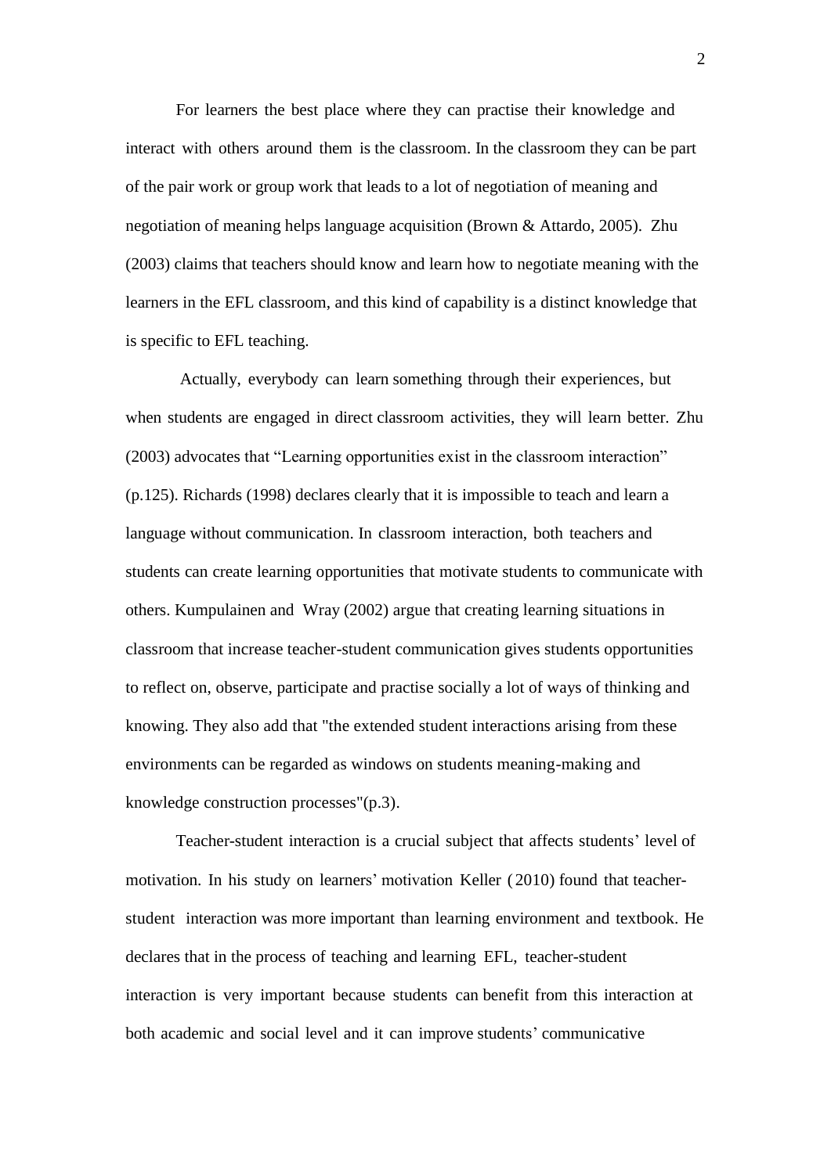For learners the best place where they can practise their knowledge and interact with others around them is the classroom. In the classroom they can be part of the pair work or group work that leads to a lot of negotiation of meaning and negotiation of meaning helps language acquisition (Brown & Attardo, 2005). Zhu (2003) claims that teachers should know and learn how to negotiate meaning with the learners in the EFL classroom, and this kind of capability is a distinct knowledge that is specific to EFL teaching.

Actually, everybody can learn something through their experiences, but when students are engaged in direct classroom activities, they will learn better. Zhu (2003) advocates that "Learning opportunities exist in the classroom interaction" (p.125). Richards (1998) declares clearly that it is impossible to teach and learn a language without communication. In classroom interaction, both teachers and students can create learning opportunities that motivate students to communicate with others. Kumpulainen and Wray (2002) argue that creating learning situations in classroom that increase teacher-student communication gives students opportunities to reflect on, observe, participate and practise socially a lot of ways of thinking and knowing. They also add that "the extended student interactions arising from these environments can be regarded as windows on students meaning-making and knowledge construction processes"(p.3).

Teacher-student interaction is a crucial subject that affects students' level of motivation. In his study on learners" motivation Keller ( 2010) found that teacherstudent interaction was more important than learning environment and textbook. He declares that in the process of teaching and learning EFL, teacher-student interaction is very important because students can benefit from this interaction at both academic and social level and it can improve students' communicative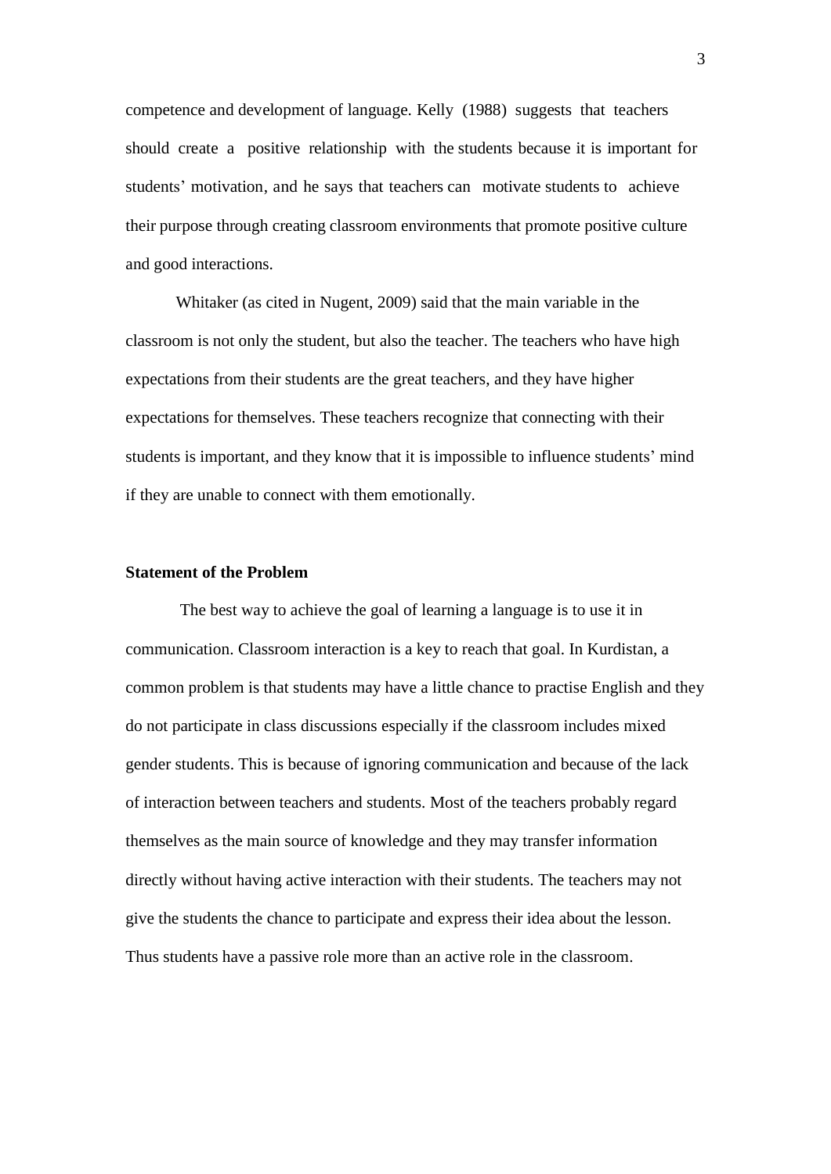competence and development of language. Kelly (1988) suggests that teachers should create a positive relationship with the students because it is important for students' motivation, and he says that teachers can motivate students to achieve their purpose through creating classroom environments that promote positive culture and good interactions.

Whitaker (as cited in Nugent, 2009) said that the main variable in the classroom is not only the student, but also the teacher. The teachers who have high expectations from their students are the great teachers, and they have higher expectations for themselves. These teachers recognize that connecting with their students is important, and they know that it is impossible to influence students' mind if they are unable to connect with them emotionally.

## **Statement of the Problem**

The best way to achieve the goal of learning a language is to use it in communication. Classroom interaction is a key to reach that goal. In Kurdistan, a common problem is that students may have a little chance to practise English and they do not participate in class discussions especially if the classroom includes mixed gender students. This is because of ignoring communication and because of the lack of interaction between teachers and students. Most of the teachers probably regard themselves as the main source of knowledge and they may transfer information directly without having active interaction with their students. The teachers may not give the students the chance to participate and express their idea about the lesson. Thus students have a passive role more than an active role in the classroom.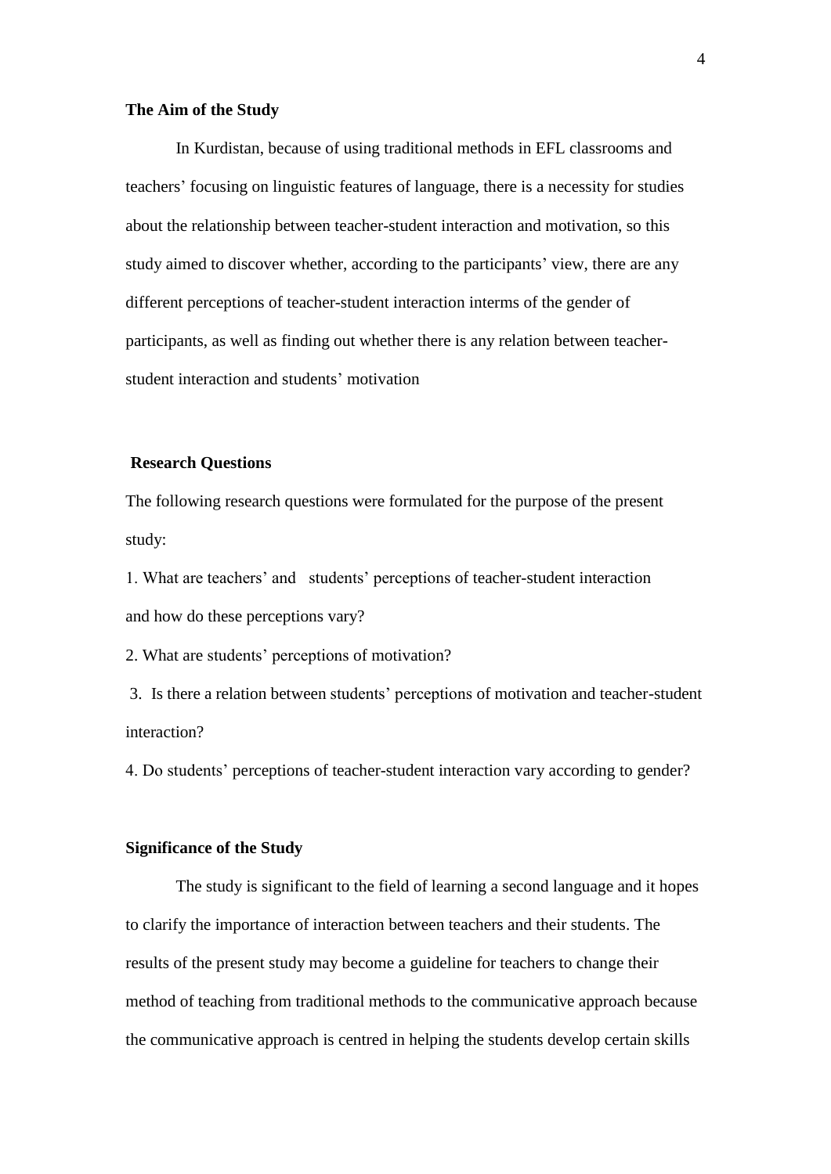#### **The Aim of the Study**

In Kurdistan, because of using traditional methods in EFL classrooms and teachers" focusing on linguistic features of language, there is a necessity for studies about the relationship between teacher-student interaction and motivation, so this study aimed to discover whether, according to the participants' view, there are any different perceptions of teacher-student interaction interms of the gender of participants, as well as finding out whether there is any relation between teacherstudent interaction and students' motivation

### **Research Questions**

The following research questions were formulated for the purpose of the present study:

1. What are teachers" and students" perceptions of teacher-student interaction and how do these perceptions vary?

2. What are students" perceptions of motivation?

3. Is there a relation between students" perceptions of motivation and teacher-student interaction?

4. Do students" perceptions of teacher-student interaction vary according to gender?

#### **Significance of the Study**

The study is significant to the field of learning a second language and it hopes to clarify the importance of interaction between teachers and their students. The results of the present study may become a guideline for teachers to change their method of teaching from traditional methods to the communicative approach because the communicative approach is centred in helping the students develop certain skills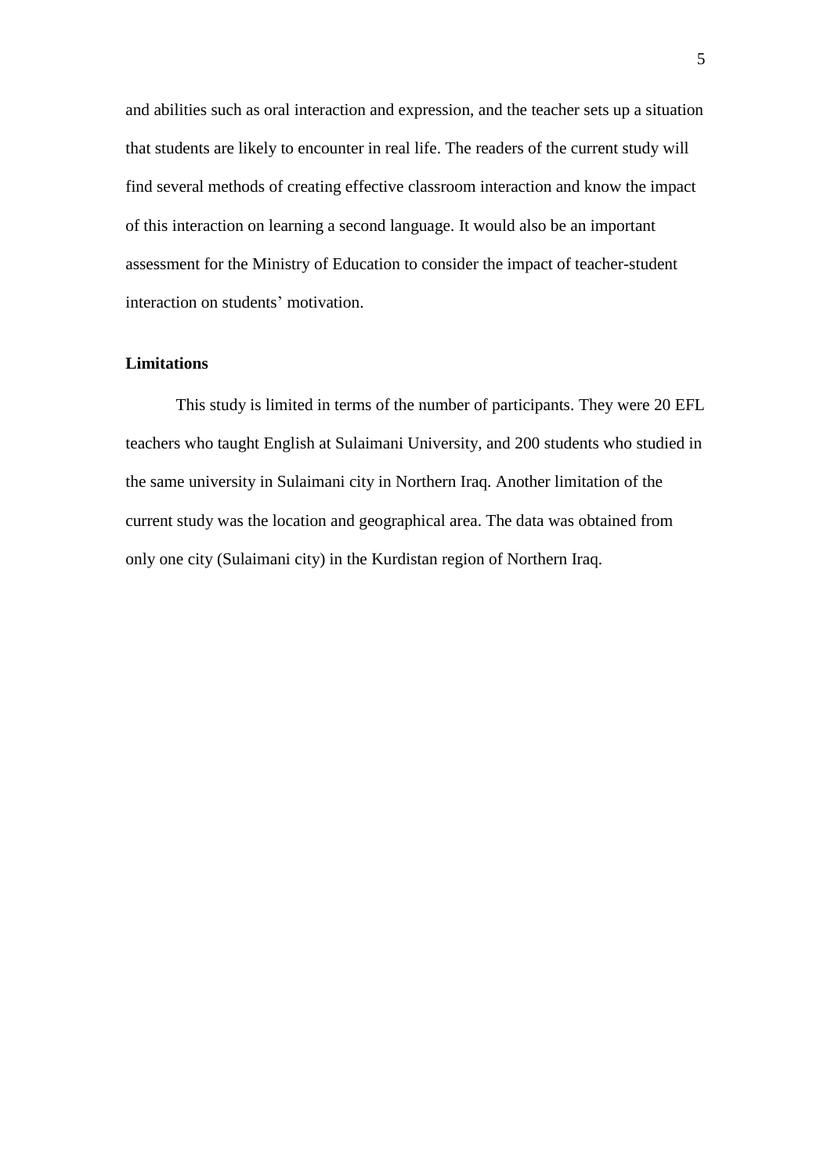and abilities such as oral interaction and expression, and the teacher sets up a situation that students are likely to encounter in real life. The readers of the current study will find several methods of creating effective classroom interaction and know the impact of this interaction on learning a second language. It would also be an important assessment for the Ministry of Education to consider the impact of teacher-student interaction on students' motivation.

## **Limitations**

This study is limited in terms of the number of participants. They were 20 EFL teachers who taught English at Sulaimani University, and 200 students who studied in the same university in Sulaimani city in Northern Iraq. Another limitation of the current study was the location and geographical area. The data was obtained from only one city (Sulaimani city) in the Kurdistan region of Northern Iraq.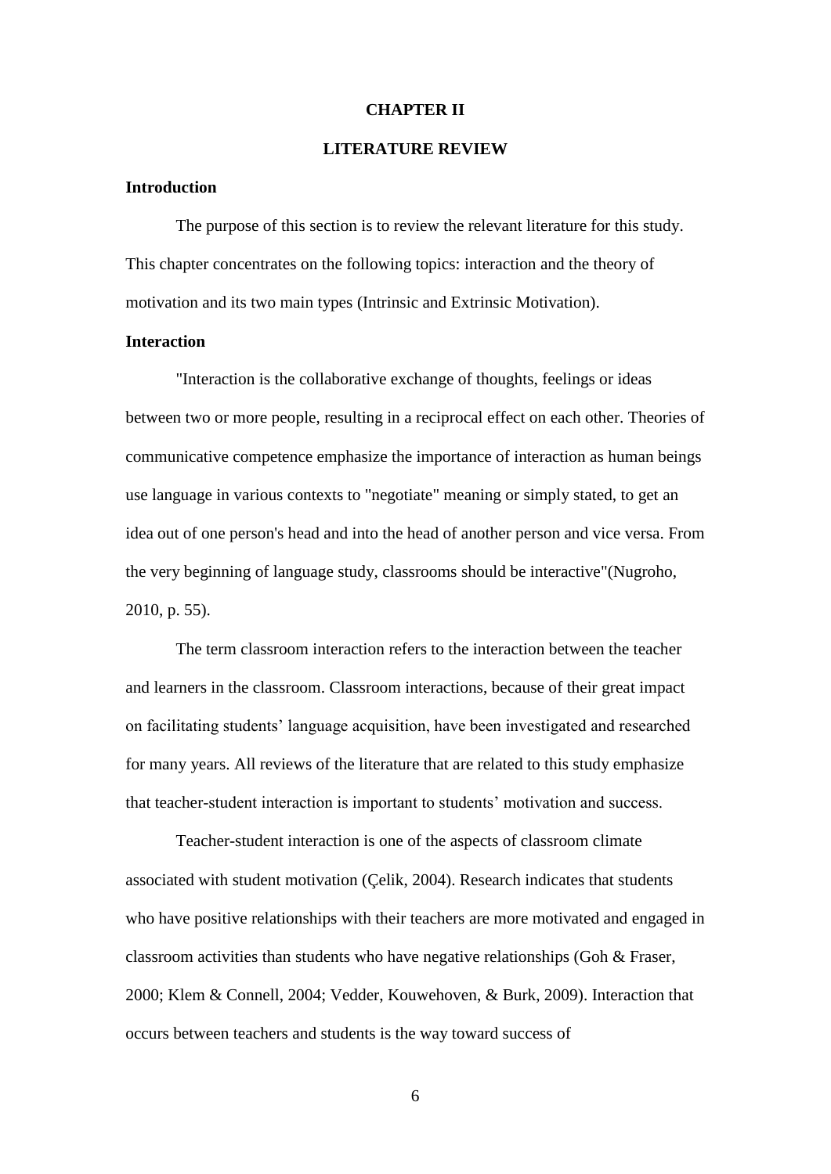#### **CHAPTER II**

#### **LITERATURE REVIEW**

#### **Introduction**

The purpose of this section is to review the relevant literature for this study. This chapter concentrates on the following topics: interaction and the theory of motivation and its two main types (Intrinsic and Extrinsic Motivation).

## **Interaction**

"Interaction is the collaborative exchange of thoughts, feelings or ideas between two or more people, resulting in a reciprocal effect on each other. Theories of communicative competence emphasize the importance of interaction as human beings use language in various contexts to "negotiate" meaning or simply stated, to get an idea out of one person's head and into the head of another person and vice versa. From the very beginning of language study, classrooms should be interactive"(Nugroho, 2010, p. 55).

The term classroom interaction refers to the interaction between the teacher and learners in the classroom. Classroom interactions, because of their great impact on facilitating students" language acquisition, have been investigated and researched for many years. All reviews of the literature that are related to this study emphasize that teacher-student interaction is important to students" motivation and success.

Teacher-student interaction is one of the aspects of classroom climate associated with student motivation (Çelik, 2004). Research indicates that students who have positive relationships with their teachers are more motivated and engaged in classroom activities than students who have negative relationships (Goh & Fraser, 2000; Klem & Connell, 2004; Vedder, Kouwehoven, & Burk, 2009). Interaction that occurs between teachers and students is the way toward success of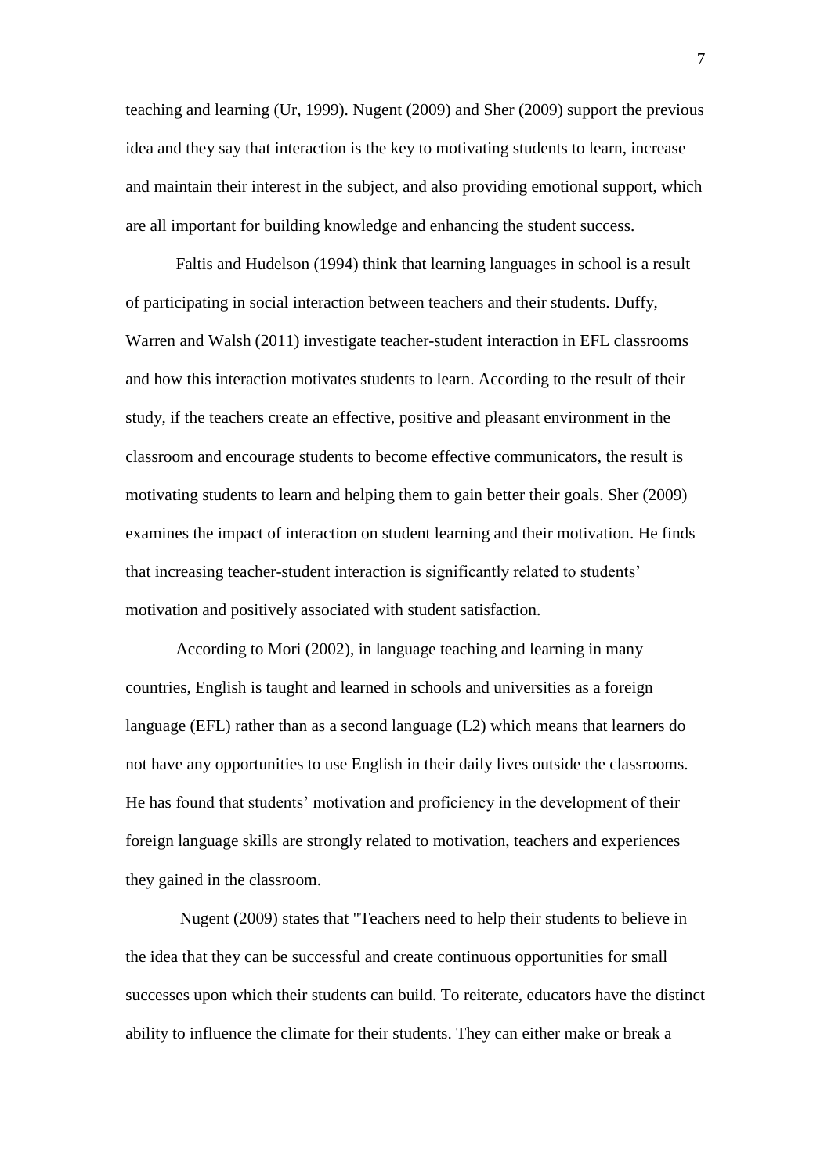teaching and learning (Ur, 1999). Nugent (2009) and Sher (2009) support the previous idea and they say that interaction is the key to motivating students to learn, increase and maintain their interest in the subject, and also providing emotional support, which are all important for building knowledge and enhancing the student success.

Faltis and Hudelson (1994) think that learning languages in school is a result of participating in social interaction between teachers and their students. Duffy, Warren and Walsh (2011) investigate teacher-student interaction in EFL classrooms and how this interaction motivates students to learn. According to the result of their study, if the teachers create an effective, positive and pleasant environment in the classroom and encourage students to become effective communicators, the result is motivating students to learn and helping them to gain better their goals. Sher (2009) examines the impact of interaction on student learning and their motivation. He finds that increasing teacher-student interaction is significantly related to students" motivation and positively associated with student satisfaction.

According to Mori (2002), in language teaching and learning in many countries, English is taught and learned in schools and universities as a foreign language (EFL) rather than as a second language (L2) which means that learners do not have any opportunities to use English in their daily lives outside the classrooms. He has found that students" motivation and proficiency in the development of their foreign language skills are strongly related to motivation, teachers and experiences they gained in the classroom.

Nugent (2009) states that "Teachers need to help their students to believe in the idea that they can be successful and create continuous opportunities for small successes upon which their students can build. To reiterate, educators have the distinct ability to influence the climate for their students. They can either make or break a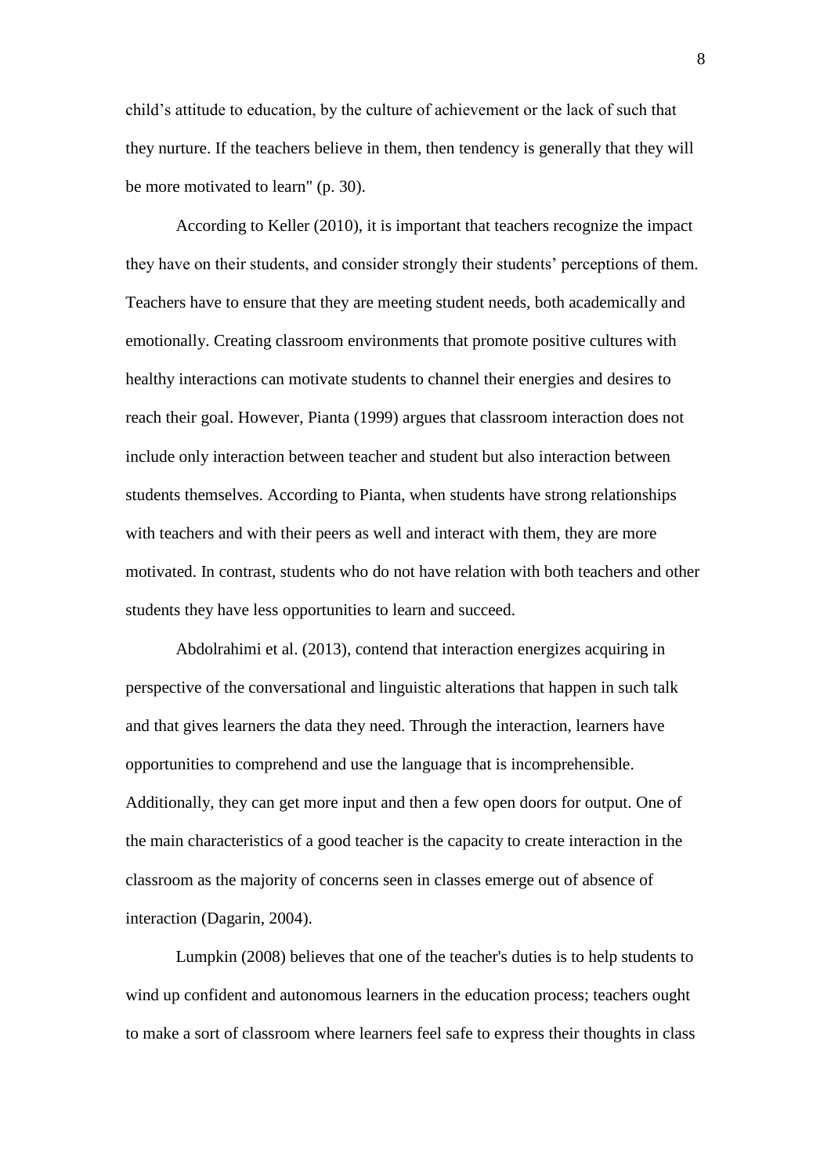child"s attitude to education, by the culture of achievement or the lack of such that they nurture. If the teachers believe in them, then tendency is generally that they will be more motivated to learn" (p. 30).

According to Keller (2010), it is important that teachers recognize the impact they have on their students, and consider strongly their students" perceptions of them. Teachers have to ensure that they are meeting student needs, both academically and emotionally. Creating classroom environments that promote positive cultures with healthy interactions can motivate students to channel their energies and desires to reach their goal. However, Pianta (1999) argues that classroom interaction does not include only interaction between teacher and student but also interaction between students themselves. According to Pianta, when students have strong relationships with teachers and with their peers as well and interact with them, they are more motivated. In contrast, students who do not have relation with both teachers and other students they have less opportunities to learn and succeed.

Abdolrahimi et al. (2013), contend that interaction energizes acquiring in perspective of the conversational and linguistic alterations that happen in such talk and that gives learners the data they need. Through the interaction, learners have opportunities to comprehend and use the language that is incomprehensible. Additionally, they can get more input and then a few open doors for output. One of the main characteristics of a good teacher is the capacity to create interaction in the classroom as the majority of concerns seen in classes emerge out of absence of interaction (Dagarin, 2004).

Lumpkin (2008) believes that one of the teacher's duties is to help students to wind up confident and autonomous learners in the education process; teachers ought to make a sort of classroom where learners feel safe to express their thoughts in class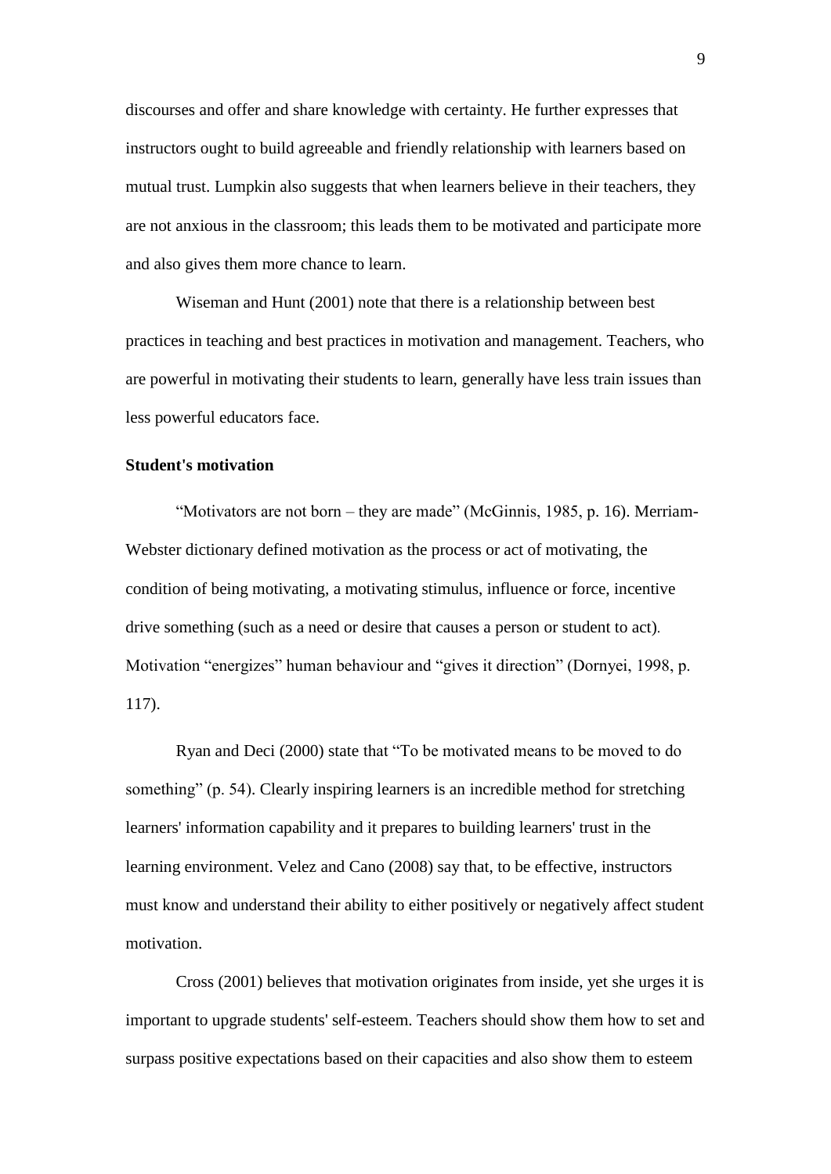discourses and offer and share knowledge with certainty. He further expresses that instructors ought to build agreeable and friendly relationship with learners based on mutual trust. Lumpkin also suggests that when learners believe in their teachers, they are not anxious in the classroom; this leads them to be motivated and participate more and also gives them more chance to learn.

Wiseman and Hunt (2001) note that there is a relationship between best practices in teaching and best practices in motivation and management. Teachers, who are powerful in motivating their students to learn, generally have less train issues than less powerful educators face.

#### **Student's motivation**

"Motivators are not born – they are made" (McGinnis, 1985, p. 16). Merriam-Webster dictionary defined motivation as the process or act of motivating, the condition of being motivating, a motivating stimulus, influence or force, incentive drive something (such as a need or desire that causes a person or student to act). Motivation "energizes" human behaviour and "gives it direction" (Dornyei, 1998, p. 117).

Ryan and Deci (2000) state that "To be motivated means to be moved to do something" (p. 54). Clearly inspiring learners is an incredible method for stretching learners' information capability and it prepares to building learners' trust in the learning environment. Velez and Cano (2008) say that, to be effective, instructors must know and understand their ability to either positively or negatively affect student motivation.

Cross (2001) believes that motivation originates from inside, yet she urges it is important to upgrade students' self-esteem. Teachers should show them how to set and surpass positive expectations based on their capacities and also show them to esteem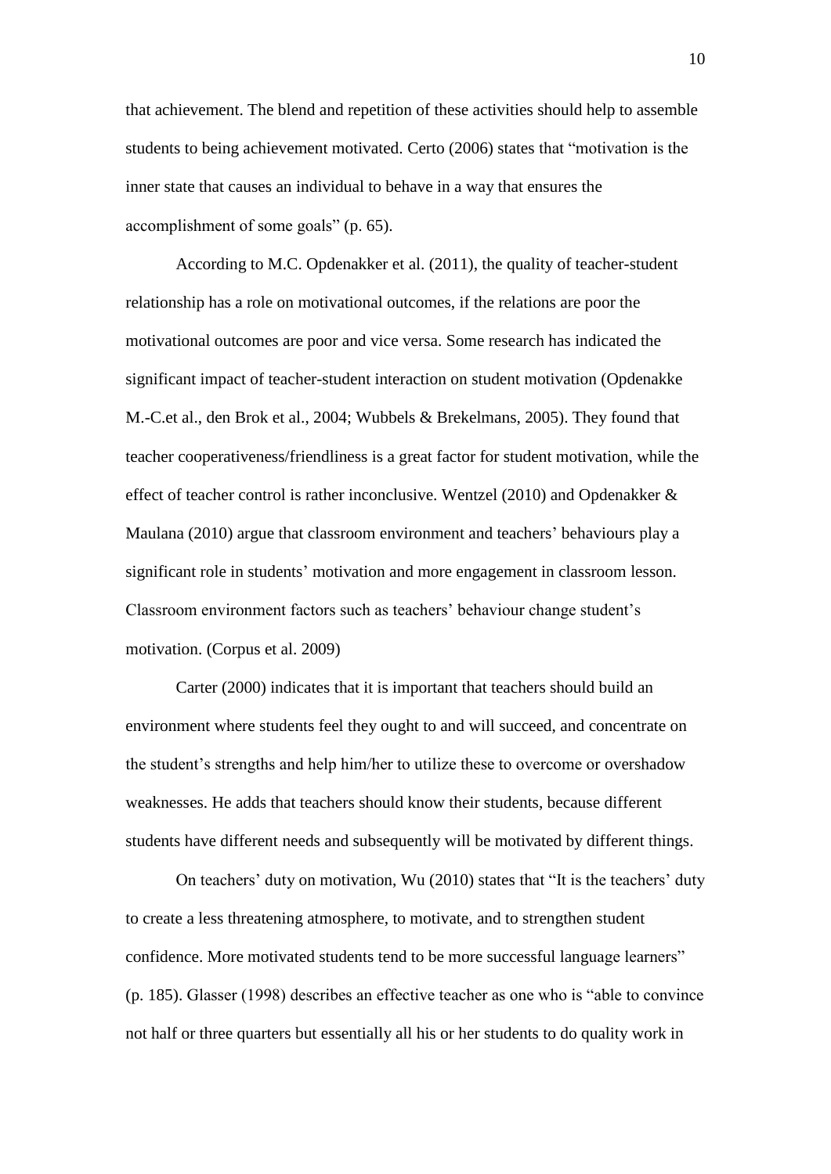that achievement. The blend and repetition of these activities should help to assemble students to being achievement motivated. Certo (2006) states that "motivation is the inner state that causes an individual to behave in a way that ensures the accomplishment of some goals" (p. 65).

According to M.C. Opdenakker et al. (2011), the quality of teacher-student relationship has a role on motivational outcomes, if the relations are poor the motivational outcomes are poor and vice versa. Some research has indicated the significant impact of teacher-student interaction on student motivation (Opdenakke M.-C.et al., den Brok et al., 2004; Wubbels & Brekelmans, 2005). They found that teacher cooperativeness/friendliness is a great factor for student motivation, while the effect of teacher control is rather inconclusive. Wentzel (2010) and Opdenakker & Maulana (2010) argue that classroom environment and teachers" behaviours play a significant role in students' motivation and more engagement in classroom lesson. Classroom environment factors such as teachers" behaviour change student"s motivation. (Corpus et al. 2009)

Carter (2000) indicates that it is important that teachers should build an environment where students feel they ought to and will succeed, and concentrate on the student"s strengths and help him/her to utilize these to overcome or overshadow weaknesses. He adds that teachers should know their students, because different students have different needs and subsequently will be motivated by different things.

On teachers" duty on motivation, Wu (2010) states that "It is the teachers" duty to create a less threatening atmosphere, to motivate, and to strengthen student confidence. More motivated students tend to be more successful language learners" (p. 185). Glasser (1998) describes an effective teacher as one who is "able to convince not half or three quarters but essentially all his or her students to do quality work in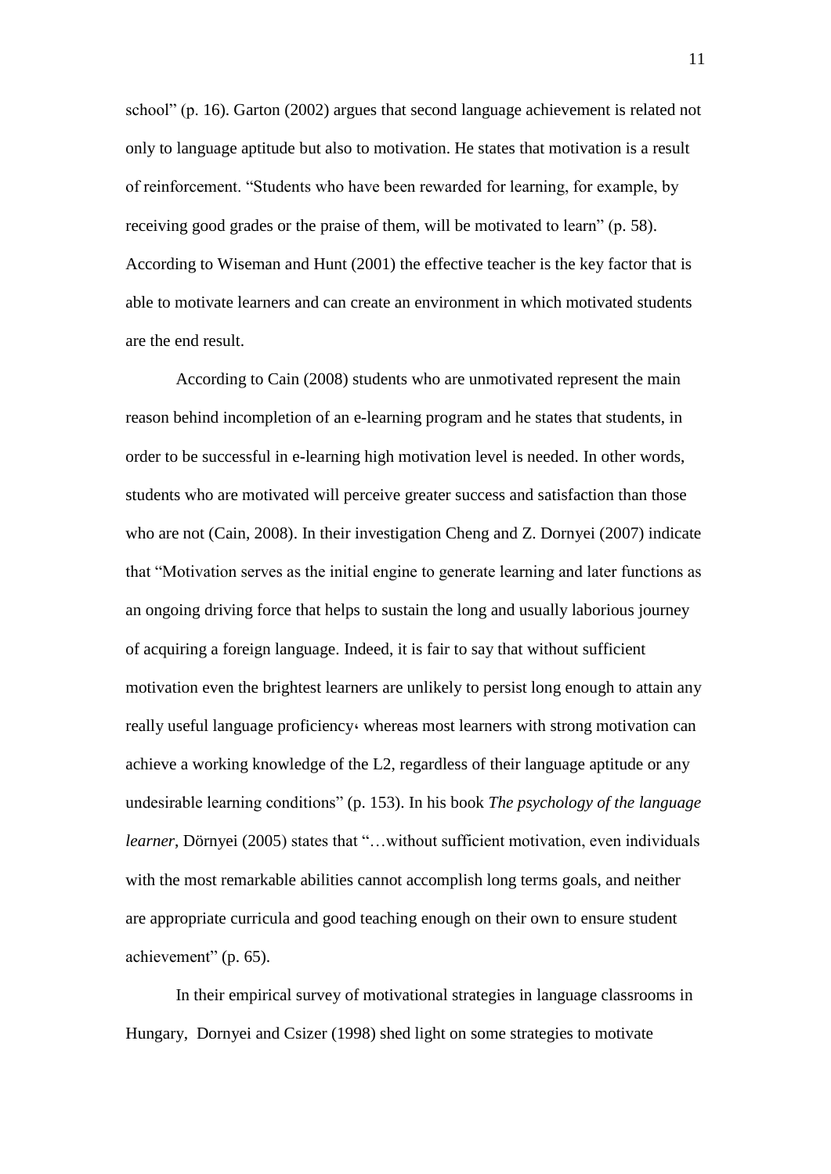school" (p. 16). Garton (2002) argues that second language achievement is related not only to language aptitude but also to motivation. He states that motivation is a result of reinforcement. "Students who have been rewarded for learning, for example, by receiving good grades or the praise of them, will be motivated to learn" (p. 58). According to Wiseman and Hunt (2001) the effective teacher is the key factor that is able to motivate learners and can create an environment in which motivated students are the end result.

According to Cain (2008) students who are unmotivated represent the main reason behind incompletion of an e-learning program and he states that students, in order to be successful in e-learning high motivation level is needed. In other words, students who are motivated will perceive greater success and satisfaction than those who are not (Cain, 2008). In their investigation Cheng and Z. Dornyei (2007) indicate that "Motivation serves as the initial engine to generate learning and later functions as an ongoing driving force that helps to sustain the long and usually laborious journey of acquiring a foreign language. Indeed, it is fair to say that without sufficient motivation even the brightest learners are unlikely to persist long enough to attain any really useful language proficiency, whereas most learners with strong motivation can achieve a working knowledge of the L2, regardless of their language aptitude or any undesirable learning conditions" (p. 153). In his book *The psychology of the language learner*, Dörnyei (2005) states that "...without sufficient motivation, even individuals with the most remarkable abilities cannot accomplish long terms goals, and neither are appropriate curricula and good teaching enough on their own to ensure student achievement" (p. 65).

In their empirical survey of motivational strategies in language classrooms in Hungary, Dornyei and Csizer (1998) shed light on some strategies to motivate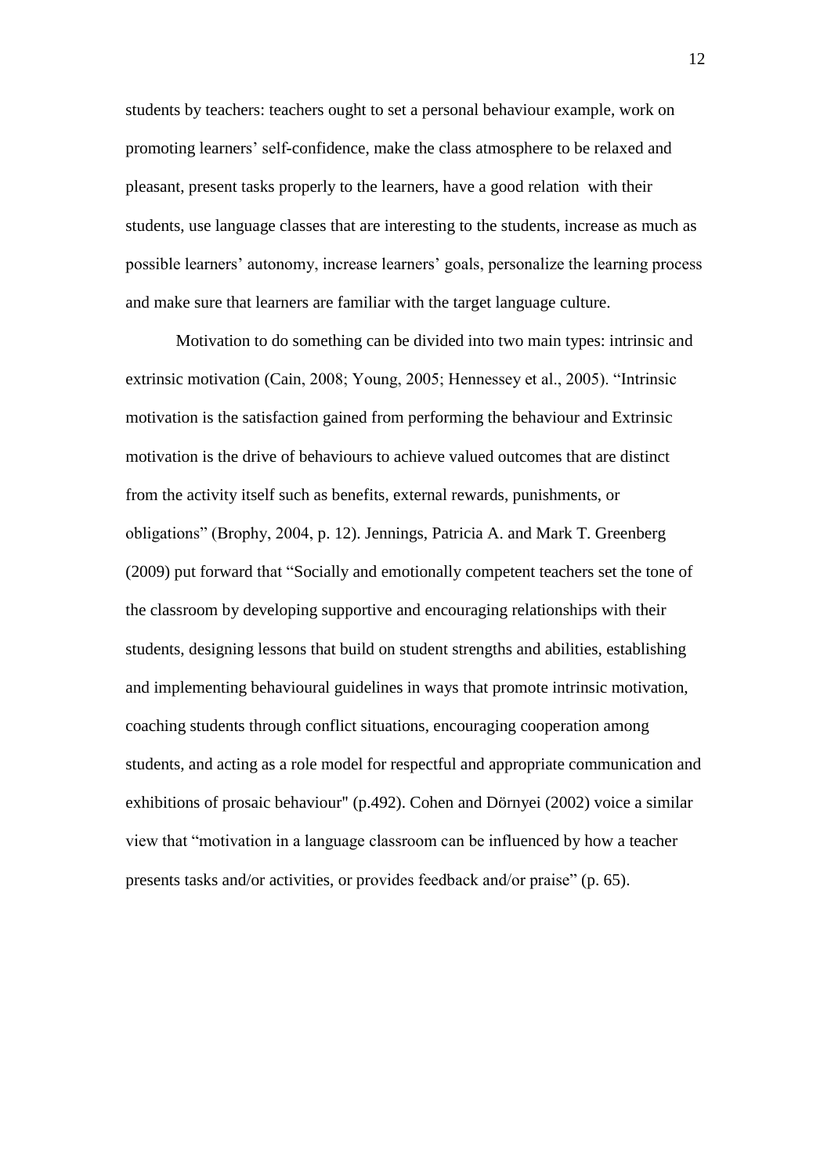students by teachers: teachers ought to set a personal behaviour example, work on promoting learners" self-confidence, make the class atmosphere to be relaxed and pleasant, present tasks properly to the learners, have a good relation with their students, use language classes that are interesting to the students, increase as much as possible learners" autonomy, increase learners" goals, personalize the learning process and make sure that learners are familiar with the target language culture.

Motivation to do something can be divided into two main types: intrinsic and extrinsic motivation (Cain, 2008; Young, 2005; Hennessey et al., 2005). "Intrinsic motivation is the satisfaction gained from performing the behaviour and Extrinsic motivation is the drive of behaviours to achieve valued outcomes that are distinct from the activity itself such as benefits, external rewards, punishments, or obligations" (Brophy, 2004, p. 12). Jennings, Patricia A. and Mark T. Greenberg (2009) put forward that "Socially and emotionally competent teachers set the tone of the classroom by developing supportive and encouraging relationships with their students, designing lessons that build on student strengths and abilities, establishing and implementing behavioural guidelines in ways that promote intrinsic motivation, coaching students through conflict situations, encouraging cooperation among students, and acting as a role model for respectful and appropriate communication and exhibitions of prosaic behaviour" (p.492). Cohen and Dörnyei (2002) voice a similar view that "motivation in a language classroom can be influenced by how a teacher presents tasks and/or activities, or provides feedback and/or praise" (p. 65).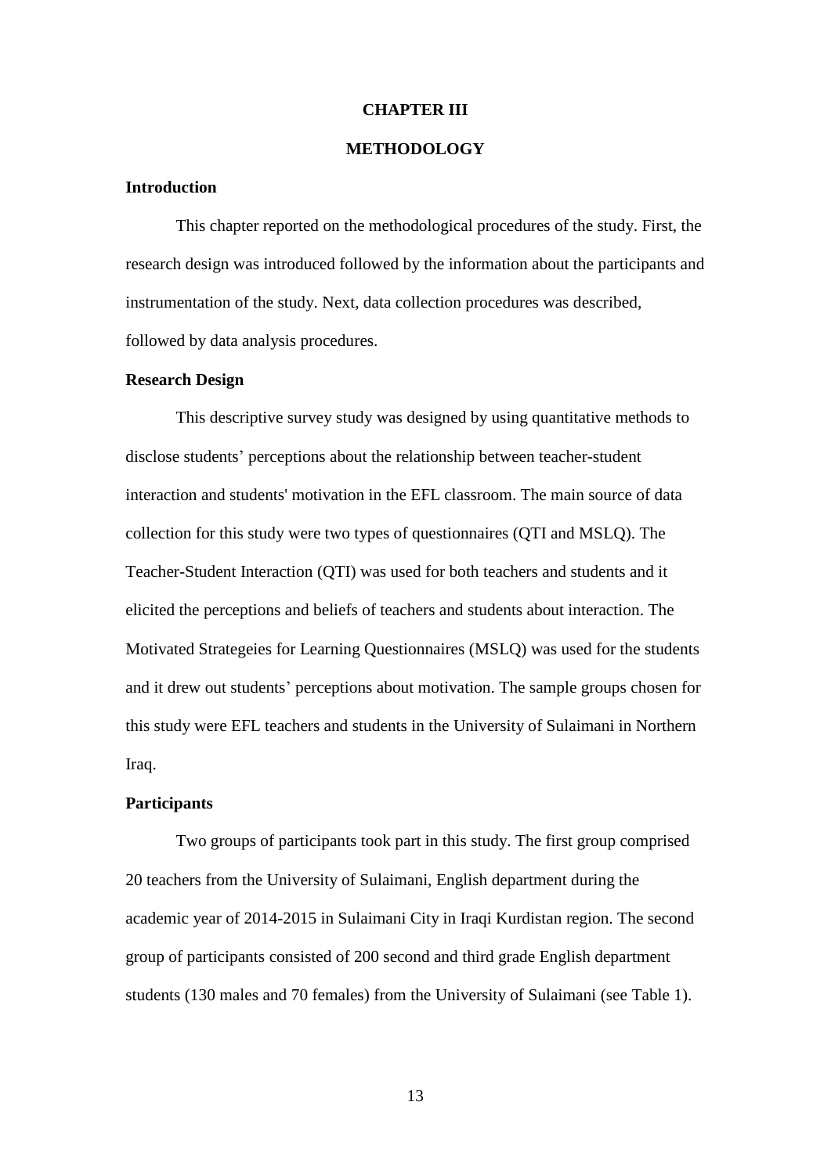#### **CHAPTER III**

#### **METHODOLOGY**

#### **Introduction**

This chapter reported on the methodological procedures of the study. First, the research design was introduced followed by the information about the participants and instrumentation of the study. Next, data collection procedures was described, followed by data analysis procedures.

#### **Research Design**

This descriptive survey study was designed by using quantitative methods to disclose students" perceptions about the relationship between teacher-student interaction and students' motivation in the EFL classroom. The main source of data collection for this study were two types of questionnaires (QTI and MSLQ). The Teacher-Student Interaction (QTI) was used for both teachers and students and it elicited the perceptions and beliefs of teachers and students about interaction. The Motivated Strategeies for Learning Questionnaires (MSLQ) was used for the students and it drew out students" perceptions about motivation. The sample groups chosen for this study were EFL teachers and students in the University of Sulaimani in Northern Iraq.

# **Participants**

Two groups of participants took part in this study. The first group comprised 20 teachers from the University of Sulaimani, English department during the academic year of 2014-2015 in Sulaimani City in Iraqi Kurdistan region. The second group of participants consisted of 200 second and third grade English department students (130 males and 70 females) from the University of Sulaimani (see Table 1).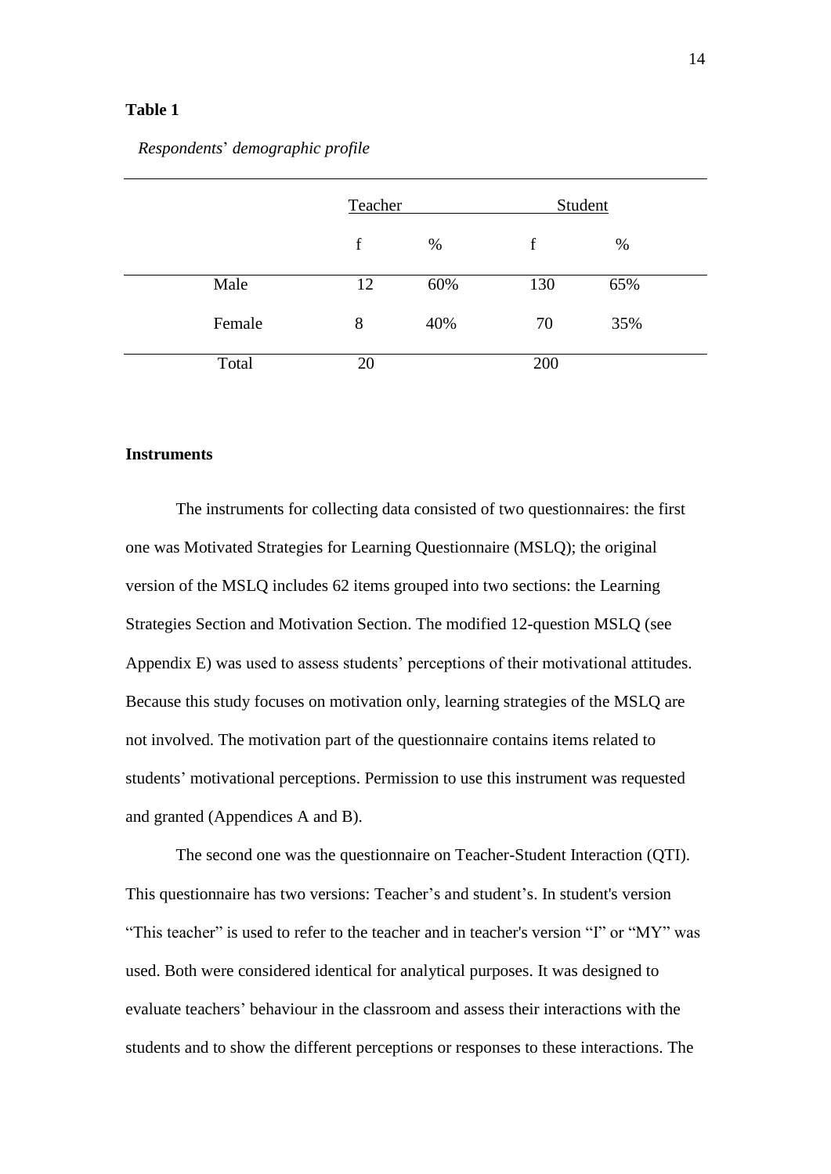#### **Table 1**

### *Respondents*" *demographic profile*

|        | Teacher     |     | Student |     |  |
|--------|-------------|-----|---------|-----|--|
|        | $\mathbf f$ | %   | f       | %   |  |
| Male   | 12          | 60% | 130     | 65% |  |
| Female | 8           | 40% | 70      | 35% |  |
| Total  | 20          |     | 200     |     |  |

#### **Instruments**

The instruments for collecting data consisted of two questionnaires: the first one was Motivated Strategies for Learning Questionnaire (MSLQ); the original version of the MSLQ includes 62 items grouped into two sections: the Learning Strategies Section and Motivation Section. The modified 12-question MSLQ (see Appendix E) was used to assess students" perceptions of their motivational attitudes. Because this study focuses on motivation only, learning strategies of the MSLQ are not involved. The motivation part of the questionnaire contains items related to students" motivational perceptions. Permission to use this instrument was requested and granted (Appendices A and B).

The second one was the questionnaire on Teacher-Student Interaction (QTI). This questionnaire has two versions: Teacher"s and student"s. In student's version "This teacher" is used to refer to the teacher and in teacher's version "I" or "MY" was used. Both were considered identical for analytical purposes. It was designed to evaluate teachers" behaviour in the classroom and assess their interactions with the students and to show the different perceptions or responses to these interactions. The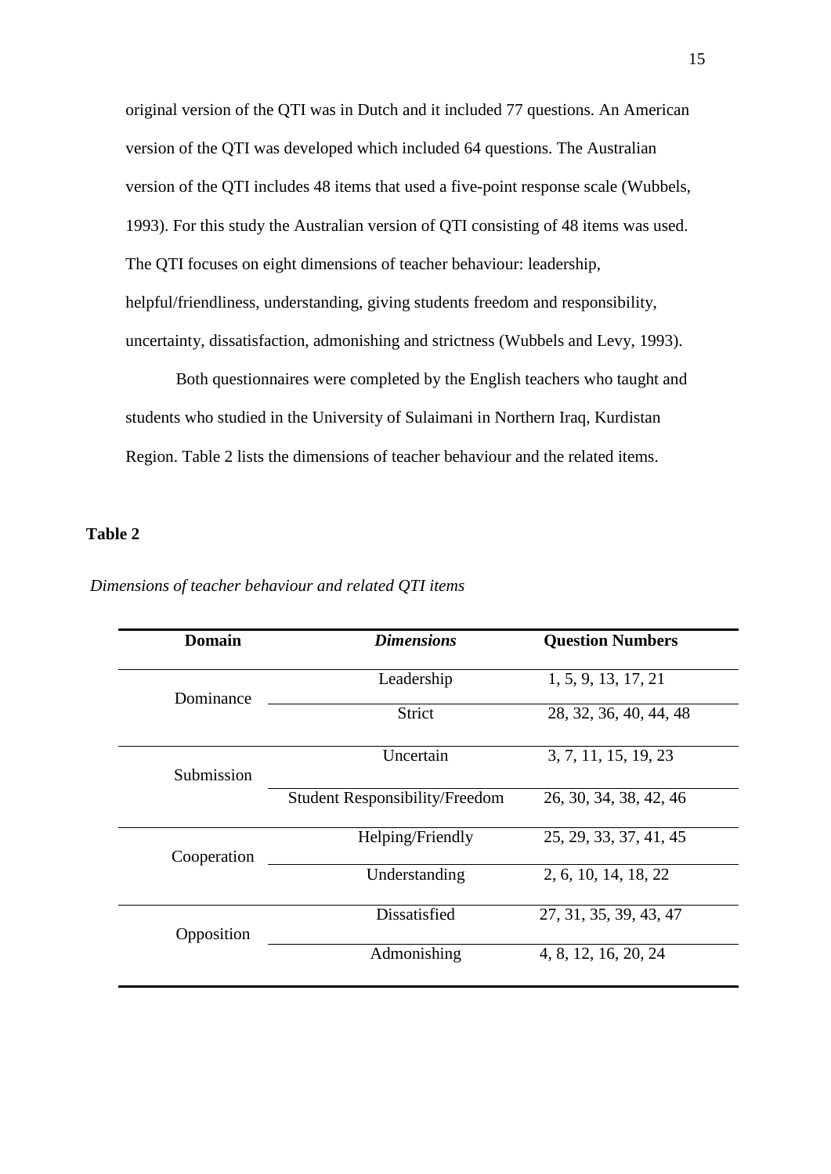original version of the QTI was in Dutch and it included 77 questions. An American version of the QTI was developed which included 64 questions. The Australian version of the QTI includes 48 items that used a five-point response scale (Wubbels, 1993). For this study the Australian version of QTI consisting of 48 items was used. The QTI focuses on eight dimensions of teacher behaviour: leadership, helpful/friendliness, understanding, giving students freedom and responsibility, uncertainty, dissatisfaction, admonishing and strictness (Wubbels and Levy, 1993).

Both questionnaires were completed by the English teachers who taught and students who studied in the University of Sulaimani in Northern Iraq, Kurdistan Region. Table 2 lists the dimensions of teacher behaviour and the related items.

## **Table 2**

| Domain      | <b>Dimensions</b>                     | <b>Question Numbers</b> |
|-------------|---------------------------------------|-------------------------|
| Dominance   | Leadership                            | 1, 5, 9, 13, 17, 21     |
|             | Strict                                | 28, 32, 36, 40, 44, 48  |
| Submission  | Uncertain                             | 3, 7, 11, 15, 19, 23    |
|             | <b>Student Responsibility/Freedom</b> | 26, 30, 34, 38, 42, 46  |
| Cooperation | Helping/Friendly                      | 25, 29, 33, 37, 41, 45  |
|             | Understanding                         | 2, 6, 10, 14, 18, 22    |
| Opposition  | Dissatisfied                          | 27, 31, 35, 39, 43, 47  |
|             | Admonishing                           | 4, 8, 12, 16, 20, 24    |

#### *Dimensions of teacher behaviour and related QTI items*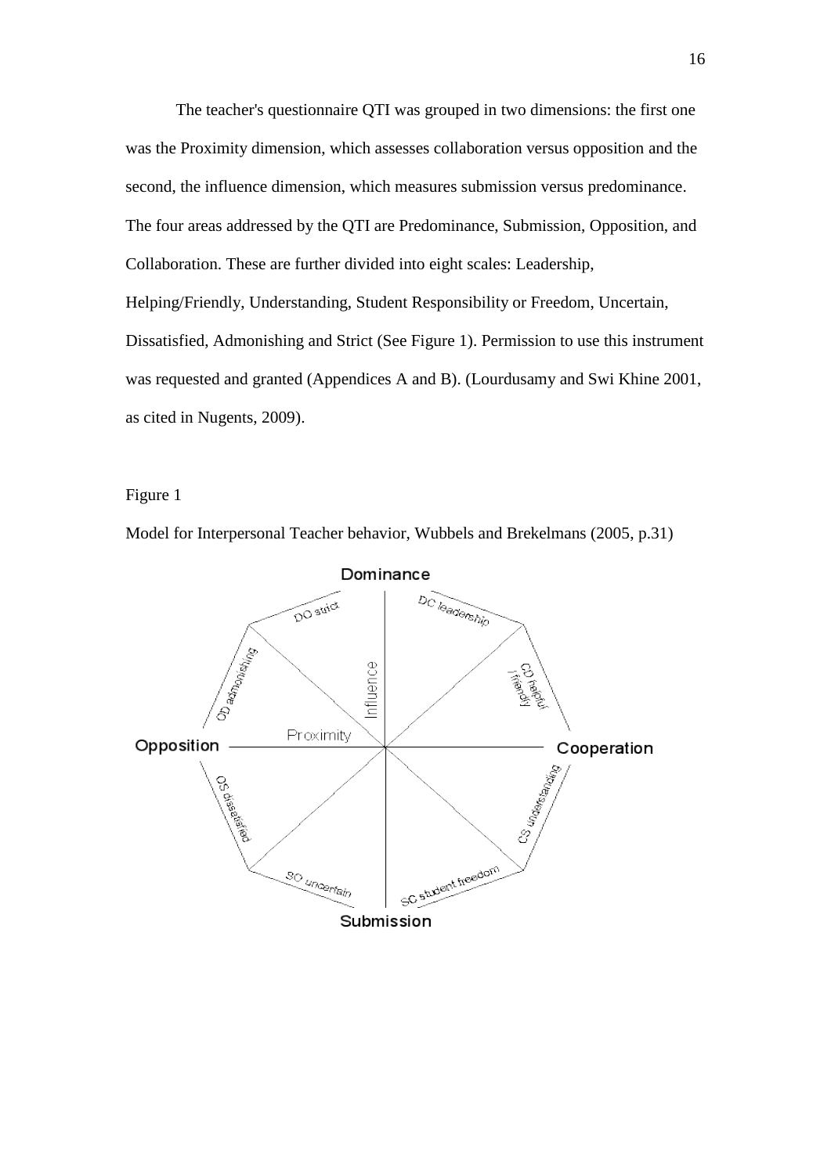The teacher's questionnaire QTI was grouped in two dimensions: the first one was the Proximity dimension, which assesses collaboration versus opposition and the second, the influence dimension, which measures submission versus predominance. The four areas addressed by the QTI are Predominance, Submission, Opposition, and Collaboration. These are further divided into eight scales: Leadership, Helping/Friendly, Understanding, Student Responsibility or Freedom, Uncertain, Dissatisfied, Admonishing and Strict (See Figure 1). Permission to use this instrument was requested and granted (Appendices A and B). (Lourdusamy and Swi Khine 2001, as cited in Nugents, 2009).

Figure 1

Model for Interpersonal Teacher behavior, Wubbels and Brekelmans (2005, p.31)

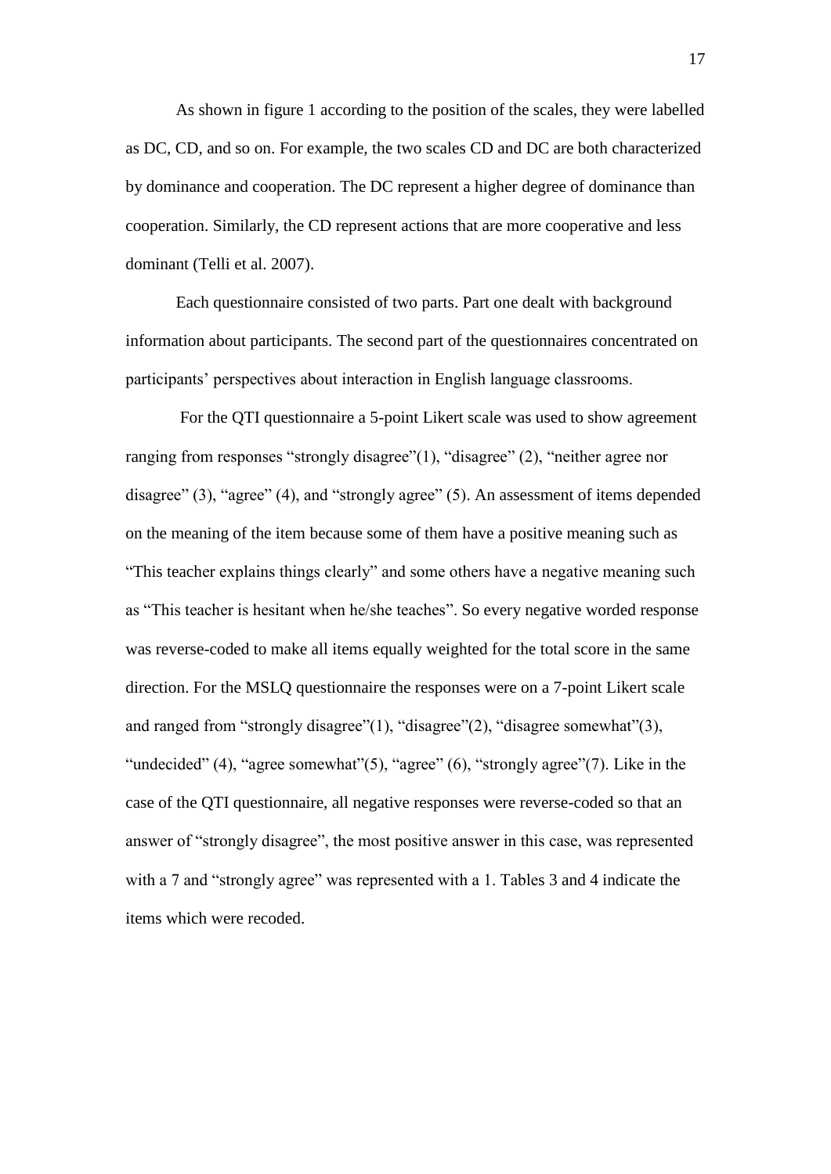As shown in figure 1 according to the position of the scales, they were labelled as DC, CD, and so on. For example, the two scales CD and DC are both characterized by dominance and cooperation. The DC represent a higher degree of dominance than cooperation. Similarly, the CD represent actions that are more cooperative and less dominant (Telli et al. 2007).

Each questionnaire consisted of two parts. Part one dealt with background information about participants. The second part of the questionnaires concentrated on participants" perspectives about interaction in English language classrooms.

For the QTI questionnaire a 5-point Likert scale was used to show agreement ranging from responses "strongly disagree"(1), "disagree" (2), "neither agree nor disagree" (3), "agree" (4), and "strongly agree" (5). An assessment of items depended on the meaning of the item because some of them have a positive meaning such as "This teacher explains things clearly" and some others have a negative meaning such as "This teacher is hesitant when he/she teaches". So every negative worded response was reverse-coded to make all items equally weighted for the total score in the same direction. For the MSLQ questionnaire the responses were on a 7-point Likert scale and ranged from "strongly disagree"(1), "disagree"(2), "disagree somewhat"(3), "undecided"  $(4)$ , "agree somewhat" $(5)$ , "agree"  $(6)$ , "strongly agree" $(7)$ . Like in the case of the QTI questionnaire, all negative responses were reverse-coded so that an answer of "strongly disagree", the most positive answer in this case, was represented with a 7 and "strongly agree" was represented with a 1. Tables 3 and 4 indicate the items which were recoded.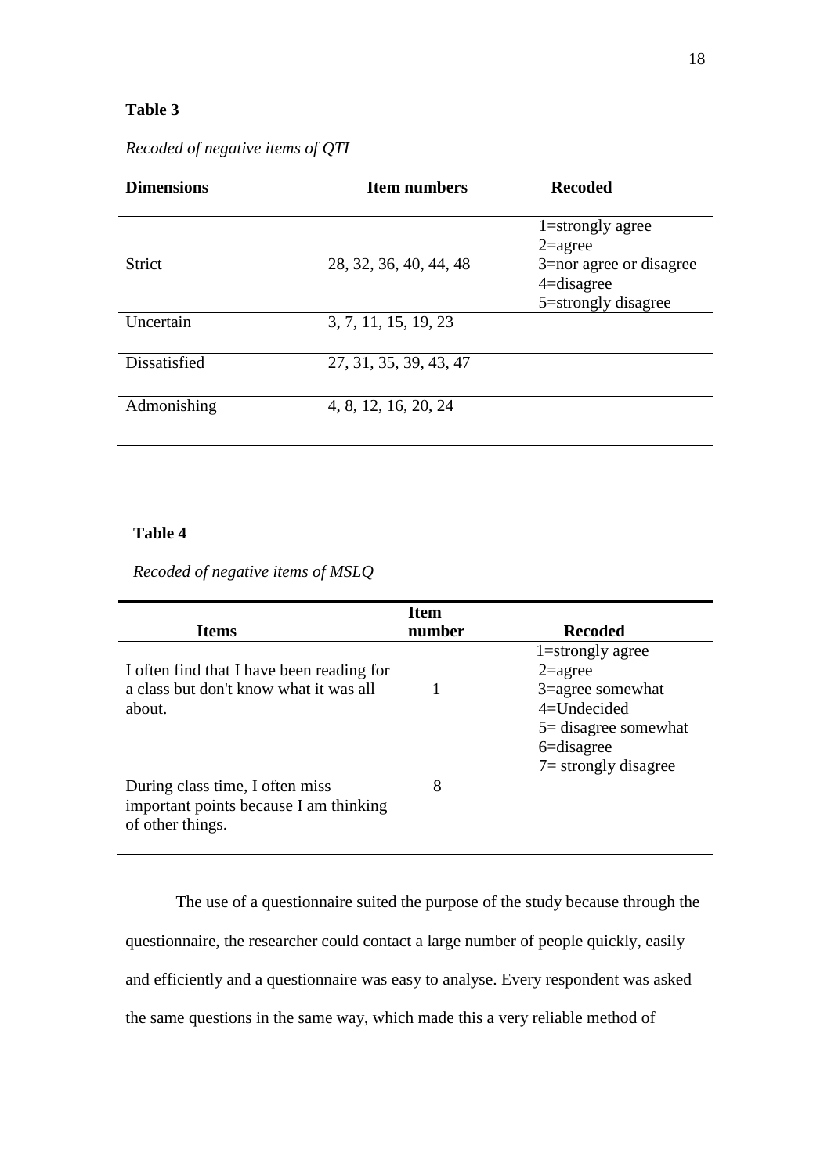# **Table 3**

| <b>Dimensions</b> | <b>Item numbers</b>    | <b>Recoded</b>                                                                                                   |
|-------------------|------------------------|------------------------------------------------------------------------------------------------------------------|
| <b>Strict</b>     | 28, 32, 36, 40, 44, 48 | $1 =$ strongly agree<br>$2 = \text{agree}$<br>3=nor agree or disagree<br>$4 =$ disagree<br>5 = strongly disagree |
| Uncertain         | 3, 7, 11, 15, 19, 23   |                                                                                                                  |
| Dissatisfied      | 27, 31, 35, 39, 43, 47 |                                                                                                                  |
| Admonishing       | 4, 8, 12, 16, 20, 24   |                                                                                                                  |

*Recoded of negative items of QTI*

# **Table 4**

*Recoded of negative items of MSLQ* 

|                                           | <b>Item</b> |                         |
|-------------------------------------------|-------------|-------------------------|
| <b>Items</b>                              | number      | <b>Recoded</b>          |
|                                           |             | $1 =$ strongly agree    |
| I often find that I have been reading for |             | $2 = \text{agree}$      |
| a class but don't know what it was all    |             | 3=agree somewhat        |
| about.                                    |             | $4=$ Undecided          |
|                                           |             | $5 =$ disagree somewhat |
|                                           |             | $6 =$ disagree          |
|                                           |             | $7 =$ strongly disagree |
| During class time, I often miss           | 8           |                         |
| important points because I am thinking    |             |                         |
| of other things.                          |             |                         |
|                                           |             |                         |

The use of a questionnaire suited the purpose of the study because through the questionnaire, the researcher could contact a large number of people quickly, easily and efficiently and a questionnaire was easy to analyse. Every respondent was asked the same questions in the same way, which made this a very reliable method of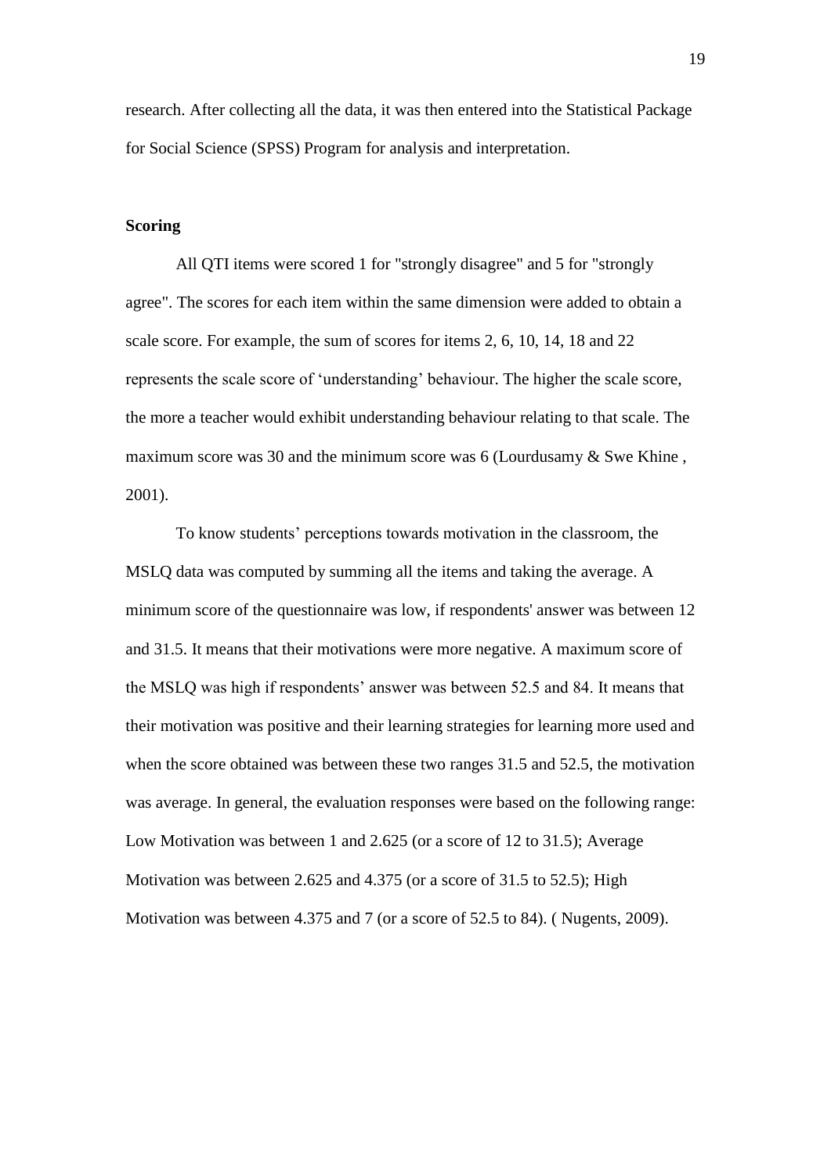research. After collecting all the data, it was then entered into the Statistical Package for Social Science (SPSS) Program for analysis and interpretation.

#### **Scoring**

All QTI items were scored 1 for "strongly disagree" and 5 for "strongly agree". The scores for each item within the same dimension were added to obtain a scale score. For example, the sum of scores for items 2, 6, 10, 14, 18 and 22 represents the scale score of "understanding" behaviour. The higher the scale score, the more a teacher would exhibit understanding behaviour relating to that scale. The maximum score was 30 and the minimum score was 6 (Lourdusamy & Swe Khine, 2001).

To know students" perceptions towards motivation in the classroom, the MSLQ data was computed by summing all the items and taking the average. A minimum score of the questionnaire was low, if respondents' answer was between 12 and 31.5. It means that their motivations were more negative. A maximum score of the MSLQ was high if respondents" answer was between 52.5 and 84. It means that their motivation was positive and their learning strategies for learning more used and when the score obtained was between these two ranges 31.5 and 52.5, the motivation was average. In general, the evaluation responses were based on the following range: Low Motivation was between 1 and 2.625 (or a score of 12 to 31.5); Average Motivation was between 2.625 and 4.375 (or a score of 31.5 to 52.5); High Motivation was between 4.375 and 7 (or a score of 52.5 to 84). ( Nugents, 2009).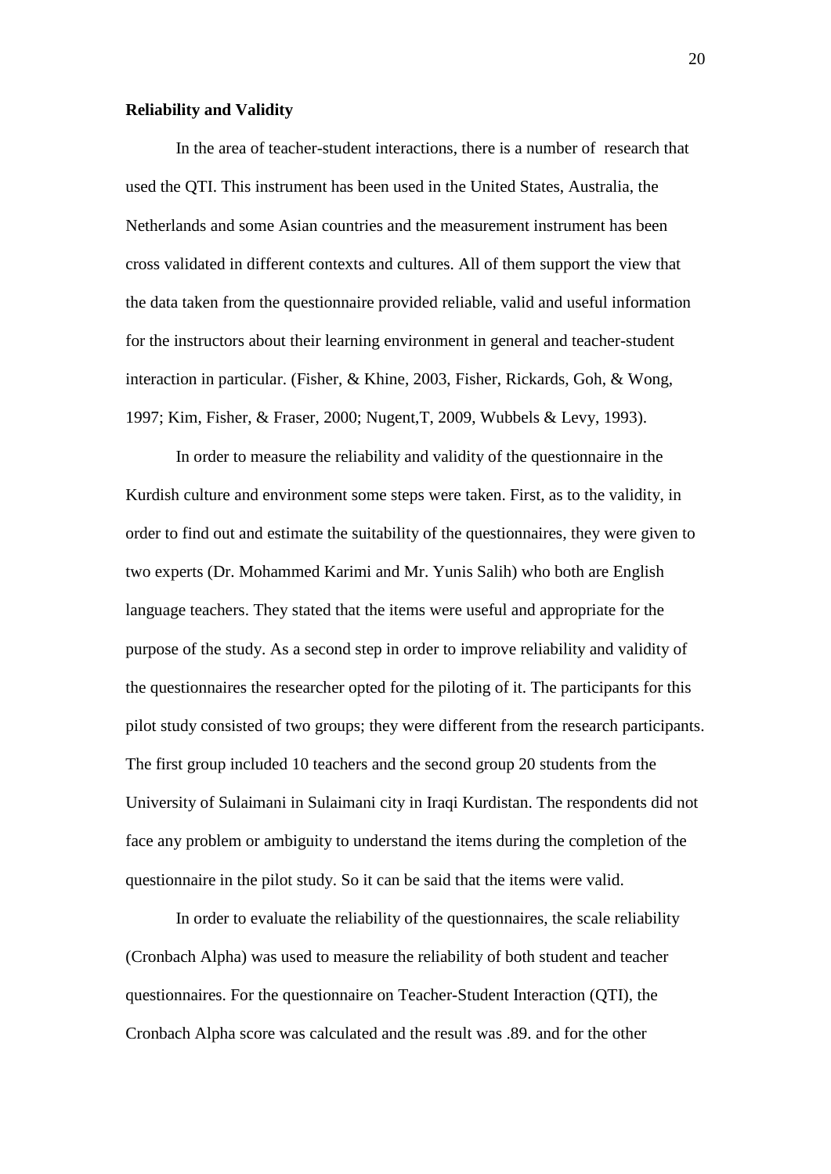#### **Reliability and Validity**

In the area of teacher-student interactions, there is a number of research that used the QTI. This instrument has been used in the United States, Australia, the Netherlands and some Asian countries and the measurement instrument has been cross validated in different contexts and cultures. All of them support the view that the data taken from the questionnaire provided reliable, valid and useful information for the instructors about their learning environment in general and teacher-student interaction in particular. (Fisher, & Khine, 2003, Fisher, Rickards, Goh, & Wong, 1997; Kim, Fisher, & Fraser, 2000; Nugent,T, 2009, Wubbels & Levy, 1993).

In order to measure the reliability and validity of the questionnaire in the Kurdish culture and environment some steps were taken. First, as to the validity, in order to find out and estimate the suitability of the questionnaires, they were given to two experts (Dr. Mohammed Karimi and Mr. Yunis Salih) who both are English language teachers. They stated that the items were useful and appropriate for the purpose of the study. As a second step in order to improve reliability and validity of the questionnaires the researcher opted for the piloting of it. The participants for this pilot study consisted of two groups; they were different from the research participants. The first group included 10 teachers and the second group 20 students from the University of Sulaimani in Sulaimani city in Iraqi Kurdistan. The respondents did not face any problem or ambiguity to understand the items during the completion of the questionnaire in the pilot study. So it can be said that the items were valid.

In order to evaluate the reliability of the questionnaires, the scale reliability (Cronbach Alpha) was used to measure the reliability of both student and teacher questionnaires. For the questionnaire on Teacher-Student Interaction (QTI), the Cronbach Alpha score was calculated and the result was .89. and for the other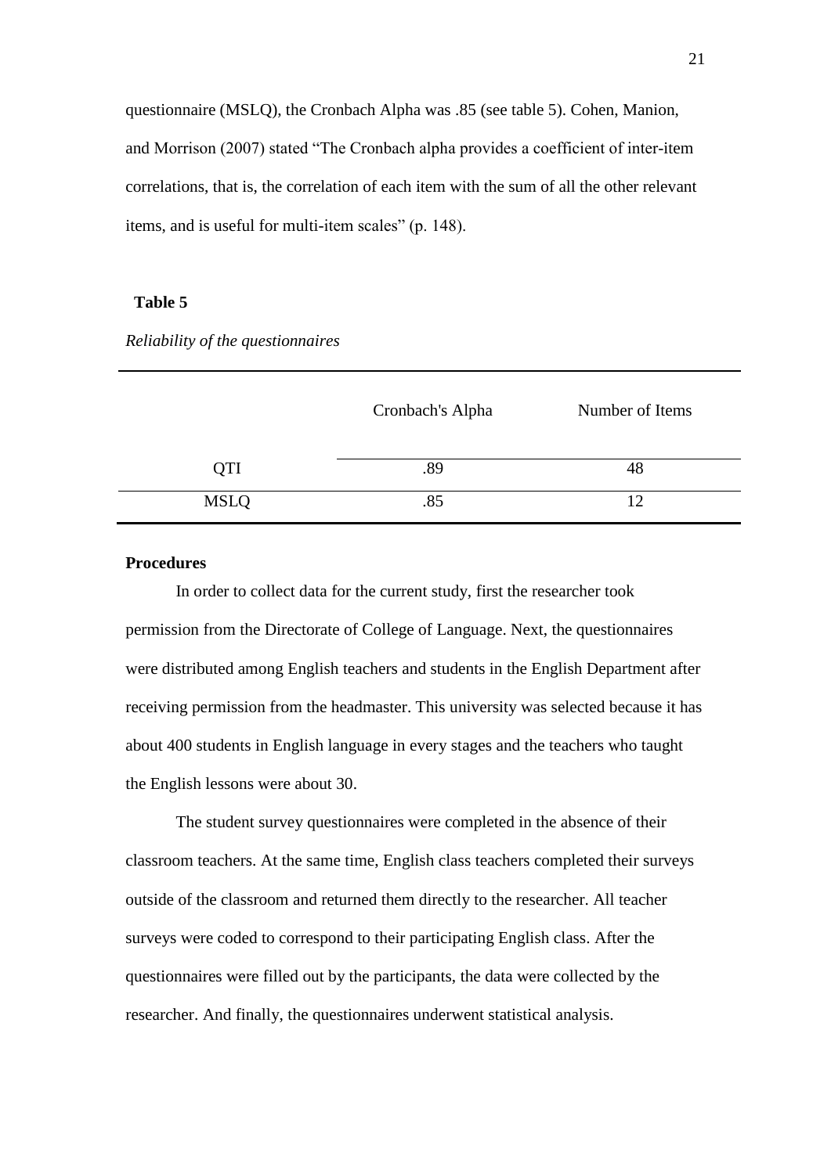questionnaire (MSLQ), the Cronbach Alpha was .85 (see table 5). Cohen, Manion, and Morrison (2007) stated "The Cronbach alpha provides a coefficient of inter-item correlations, that is, the correlation of each item with the sum of all the other relevant items, and is useful for multi-item scales" (p. 148).

# **Table 5**

|             | Cronbach's Alpha | Number of Items |
|-------------|------------------|-----------------|
| QTI         | .89              | 48              |
| <b>MSLQ</b> | .85              | $\overline{12}$ |

*Reliability of the questionnaires*

# **Procedures**

In order to collect data for the current study, first the researcher took permission from the Directorate of College of Language. Next, the questionnaires were distributed among English teachers and students in the English Department after receiving permission from the headmaster. This university was selected because it has about 400 students in English language in every stages and the teachers who taught the English lessons were about 30.

The student survey questionnaires were completed in the absence of their classroom teachers. At the same time, English class teachers completed their surveys outside of the classroom and returned them directly to the researcher. All teacher surveys were coded to correspond to their participating English class. After the questionnaires were filled out by the participants, the data were collected by the researcher. And finally, the questionnaires underwent statistical analysis.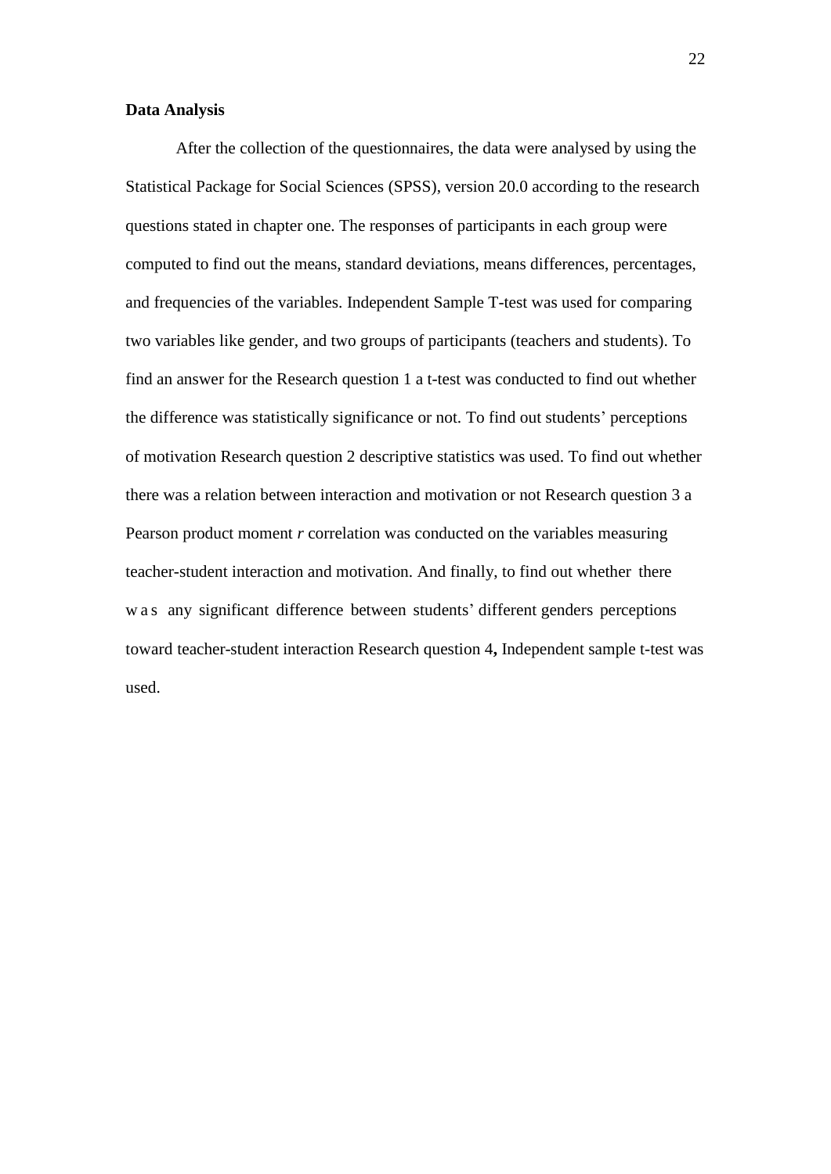#### **Data Analysis**

After the collection of the questionnaires, the data were analysed by using the Statistical Package for Social Sciences (SPSS), version 20.0 according to the research questions stated in chapter one. The responses of participants in each group were computed to find out the means, standard deviations, means differences, percentages, and frequencies of the variables. Independent Sample T-test was used for comparing two variables like gender, and two groups of participants (teachers and students). To find an answer for the Research question 1 a t-test was conducted to find out whether the difference was statistically significance or not. To find out students" perceptions of motivation Research question 2 descriptive statistics was used. To find out whether there was a relation between interaction and motivation or not Research question 3 a Pearson product moment *r* correlation was conducted on the variables measuring teacher-student interaction and motivation. And finally, to find out whether there w a s any significant difference between students' different genders perceptions toward teacher-student interaction Research question 4**,** Independent sample t-test was used.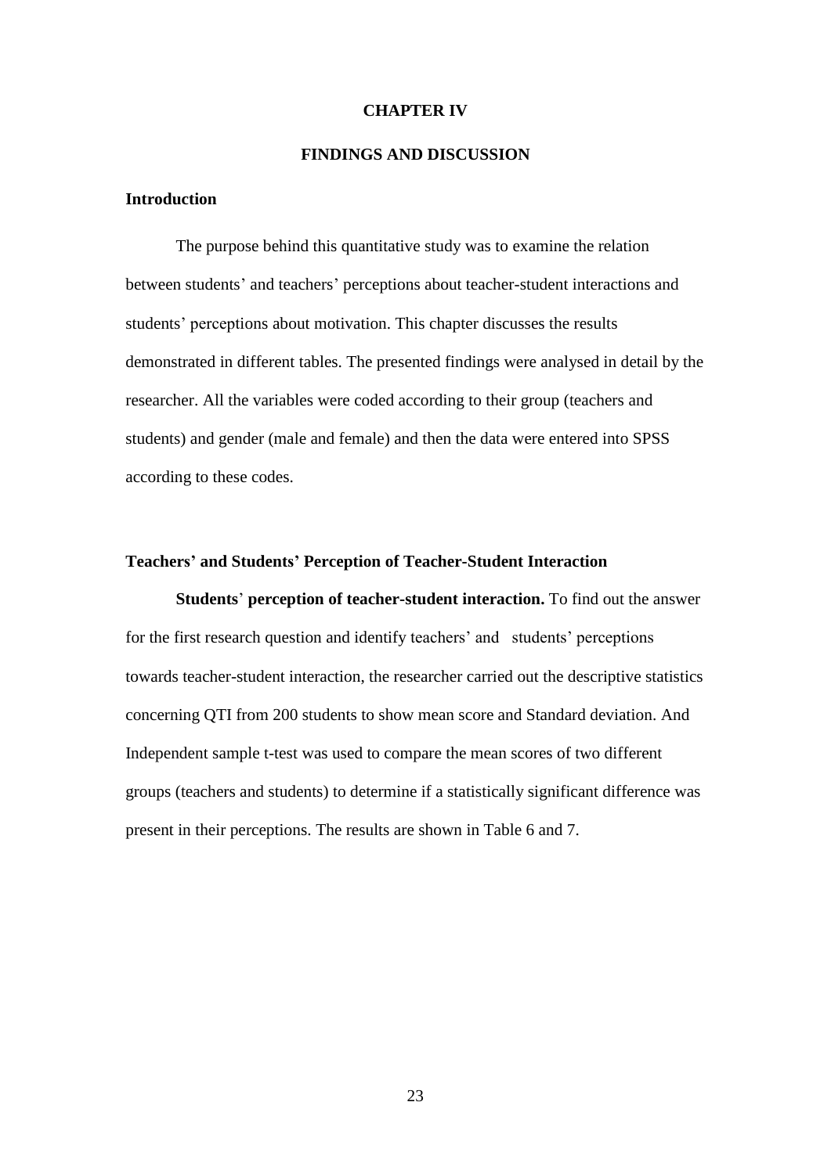#### **CHAPTER IV**

## **FINDINGS AND DISCUSSION**

## **Introduction**

The purpose behind this quantitative study was to examine the relation between students' and teachers' perceptions about teacher-student interactions and students' perceptions about motivation. This chapter discusses the results demonstrated in different tables. The presented findings were analysed in detail by the researcher. All the variables were coded according to their group (teachers and students) and gender (male and female) and then the data were entered into SPSS according to these codes.

## **Teachers' and Students' Perception of Teacher-Student Interaction**

**Students**" **perception of teacher-student interaction.** To find out the answer for the first research question and identify teachers' and students' perceptions towards teacher-student interaction, the researcher carried out the descriptive statistics concerning QTI from 200 students to show mean score and Standard deviation. And Independent sample t-test was used to compare the mean scores of two different groups (teachers and students) to determine if a statistically significant difference was present in their perceptions. The results are shown in Table 6 and 7.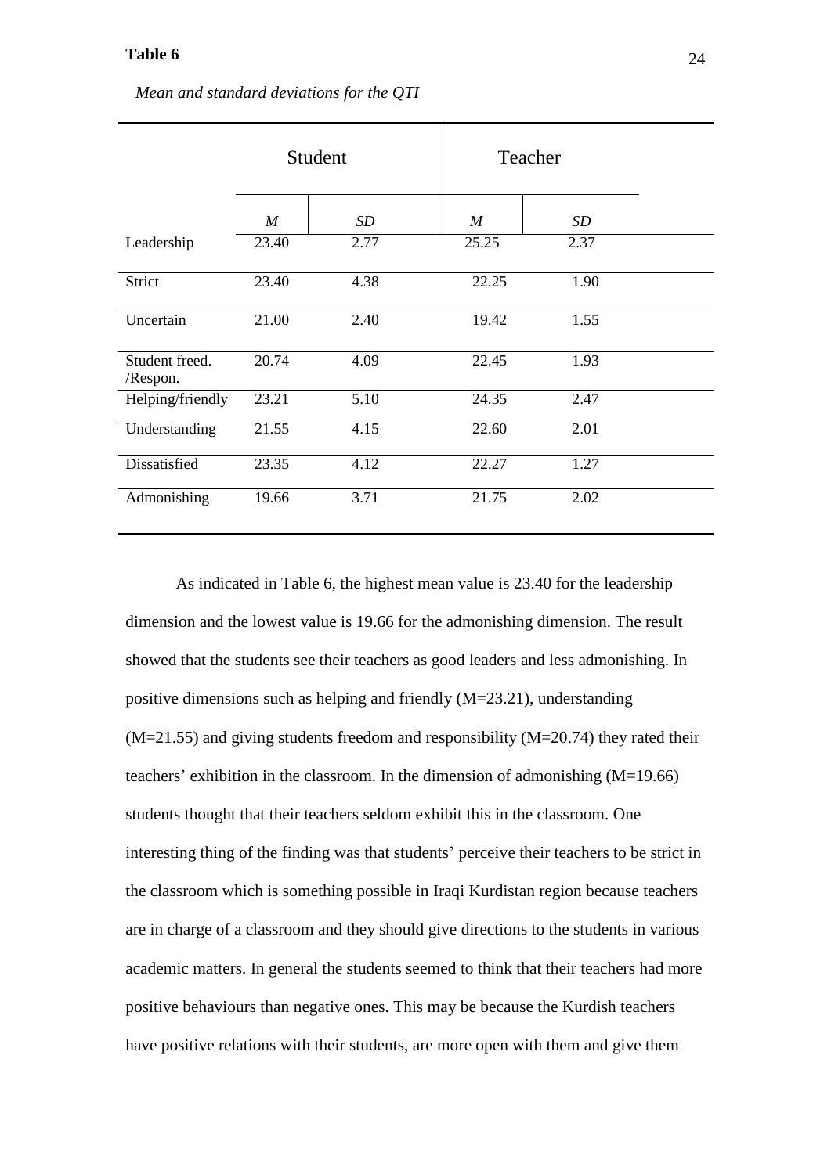|                            |                  | Student         | Teacher          |      |
|----------------------------|------------------|-----------------|------------------|------|
|                            | $\boldsymbol{M}$ | SD <sub>-</sub> | $\boldsymbol{M}$ | SD   |
| Leadership                 | 23.40            | 2.77            | 25.25            | 2.37 |
| Strict                     | 23.40            | 4.38            | 22.25            | 1.90 |
| Uncertain                  | 21.00            | 2.40            | 19.42            | 1.55 |
| Student freed.<br>/Respon. | 20.74            | 4.09            | 22.45            | 1.93 |
| Helping/friendly           | 23.21            | 5.10            | 24.35            | 2.47 |
| Understanding              | 21.55            | 4.15            | 22.60            | 2.01 |
| Dissatisfied               | 23.35            | 4.12            | 22.27            | 1.27 |
| Admonishing                | 19.66            | 3.71            | 21.75            | 2.02 |

*Mean and standard deviations for the QTI*

As indicated in Table 6, the highest mean value is 23.40 for the leadership dimension and the lowest value is 19.66 for the admonishing dimension. The result showed that the students see their teachers as good leaders and less admonishing. In positive dimensions such as helping and friendly (M=23.21), understanding (M=21.55) and giving students freedom and responsibility (M=20.74) they rated their teachers' exhibition in the classroom. In the dimension of admonishing  $(M=19.66)$ students thought that their teachers seldom exhibit this in the classroom. One interesting thing of the finding was that students" perceive their teachers to be strict in the classroom which is something possible in Iraqi Kurdistan region because teachers are in charge of a classroom and they should give directions to the students in various academic matters. In general the students seemed to think that their teachers had more positive behaviours than negative ones. This may be because the Kurdish teachers have positive relations with their students, are more open with them and give them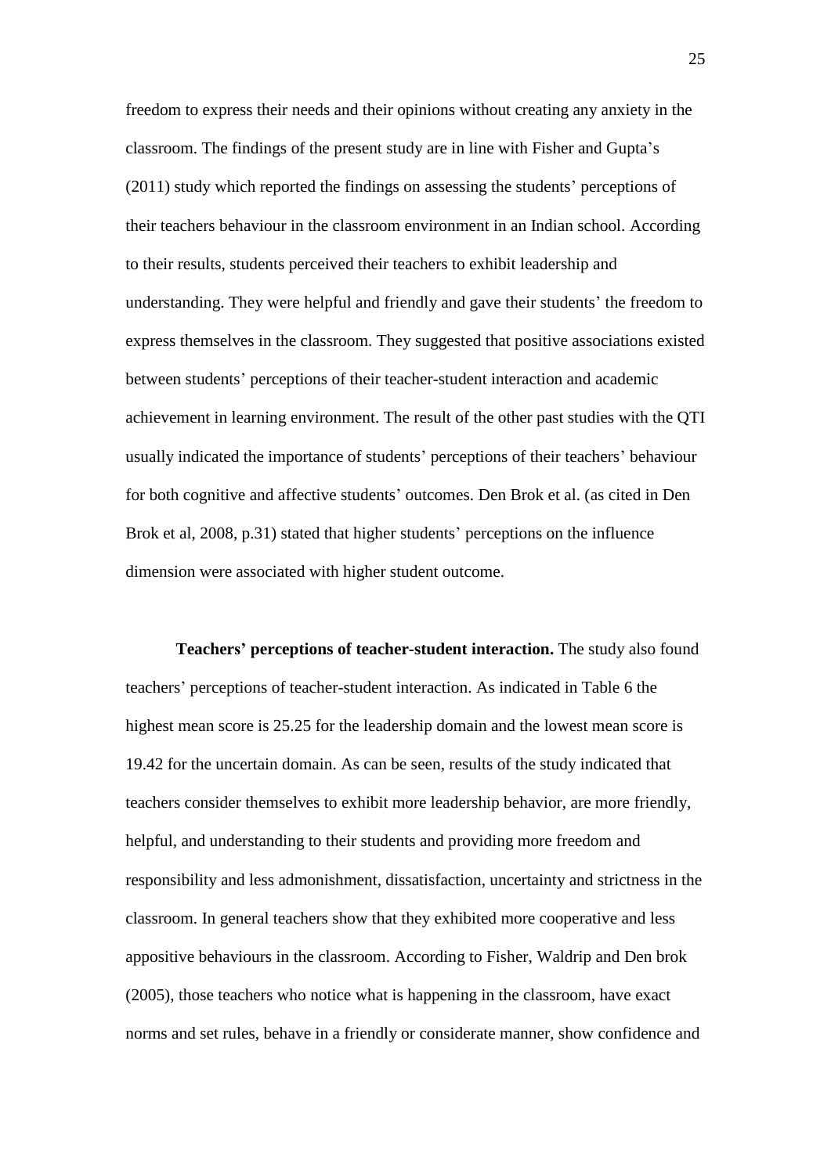freedom to express their needs and their opinions without creating any anxiety in the classroom. The findings of the present study are in line with Fisher and Gupta"s (2011) study which reported the findings on assessing the students" perceptions of their teachers behaviour in the classroom environment in an Indian school. According to their results, students perceived their teachers to exhibit leadership and understanding. They were helpful and friendly and gave their students' the freedom to express themselves in the classroom. They suggested that positive associations existed between students" perceptions of their teacher-student interaction and academic achievement in learning environment. The result of the other past studies with the QTI usually indicated the importance of students" perceptions of their teachers" behaviour for both cognitive and affective students" outcomes. Den Brok et al. (as cited in Den Brok et al, 2008, p.31) stated that higher students' perceptions on the influence dimension were associated with higher student outcome.

**Teachers' perceptions of teacher-student interaction.** The study also found teachers" perceptions of teacher-student interaction. As indicated in Table 6 the highest mean score is 25.25 for the leadership domain and the lowest mean score is 19.42 for the uncertain domain. As can be seen, results of the study indicated that teachers consider themselves to exhibit more leadership behavior, are more friendly, helpful, and understanding to their students and providing more freedom and responsibility and less admonishment, dissatisfaction, uncertainty and strictness in the classroom. In general teachers show that they exhibited more cooperative and less appositive behaviours in the classroom. According to Fisher, Waldrip and Den brok (2005), those teachers who notice what is happening in the classroom, have exact norms and set rules, behave in a friendly or considerate manner, show confidence and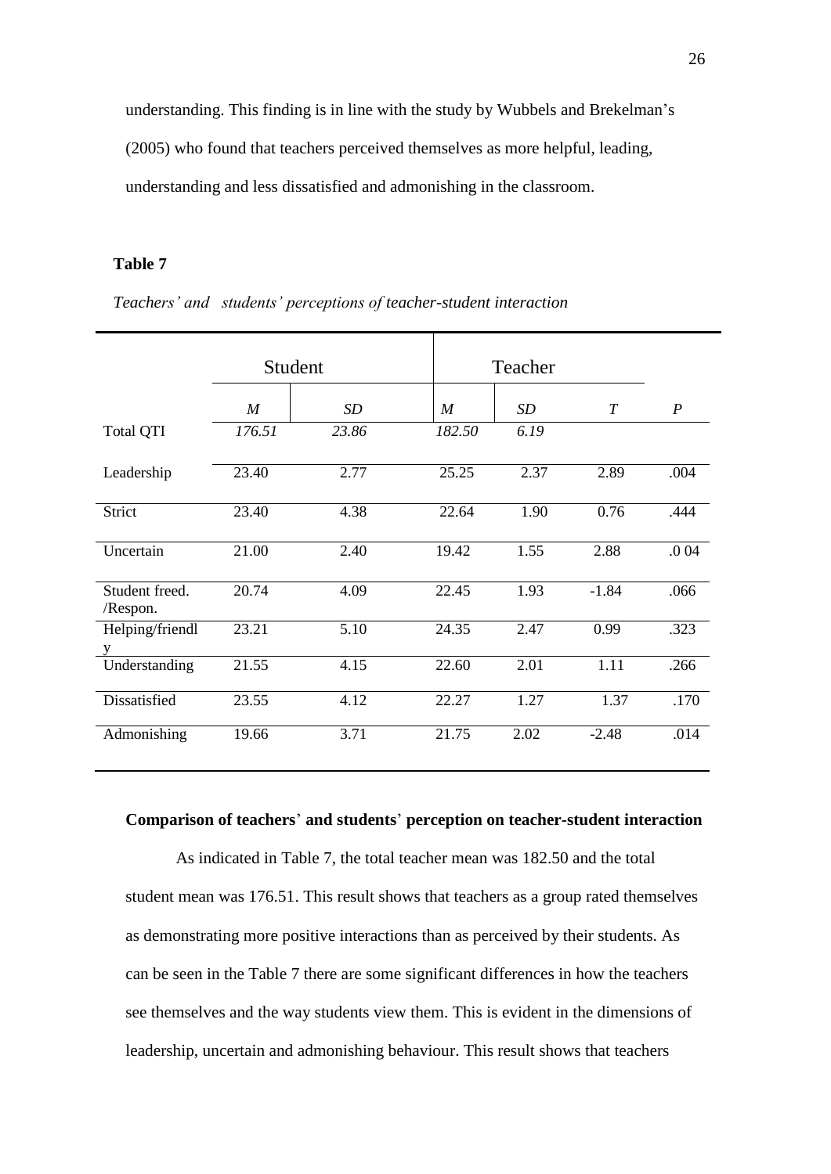understanding. This finding is in line with the study by Wubbels and Brekelman"s

(2005) who found that teachers perceived themselves as more helpful, leading,

understanding and less dissatisfied and admonishing in the classroom.

## **Table 7**

|                            | Student          |       |                  | Teacher |         |                  |
|----------------------------|------------------|-------|------------------|---------|---------|------------------|
|                            | $\boldsymbol{M}$ | SD    | $\boldsymbol{M}$ | SD      | T       | $\boldsymbol{P}$ |
| <b>Total QTI</b>           | 176.51           | 23.86 | 182.50           | 6.19    |         |                  |
| Leadership                 | 23.40            | 2.77  | 25.25            | 2.37    | 2.89    | .004             |
| Strict                     | 23.40            | 4.38  | 22.64            | 1.90    | 0.76    | .444             |
| Uncertain                  | 21.00            | 2.40  | 19.42            | 1.55    | 2.88    | .0 04            |
| Student freed.<br>/Respon. | 20.74            | 4.09  | 22.45            | 1.93    | $-1.84$ | .066             |
| Helping/friendl<br>y       | 23.21            | 5.10  | 24.35            | 2.47    | 0.99    | .323             |
| Understanding              | 21.55            | 4.15  | 22.60            | 2.01    | 1.11    | .266             |
| Dissatisfied               | 23.55            | 4.12  | 22.27            | 1.27    | 1.37    | .170             |
| Admonishing                | 19.66            | 3.71  | 21.75            | 2.02    | $-2.48$ | .014             |

*Teachers' and students' perceptions of teacher-student interaction*

## **Comparison of teachers**" **and students**" **perception on teacher-student interaction**

As indicated in Table 7, the total teacher mean was 182.50 and the total student mean was 176.51. This result shows that teachers as a group rated themselves as demonstrating more positive interactions than as perceived by their students. As can be seen in the Table 7 there are some significant differences in how the teachers see themselves and the way students view them. This is evident in the dimensions of leadership, uncertain and admonishing behaviour. This result shows that teachers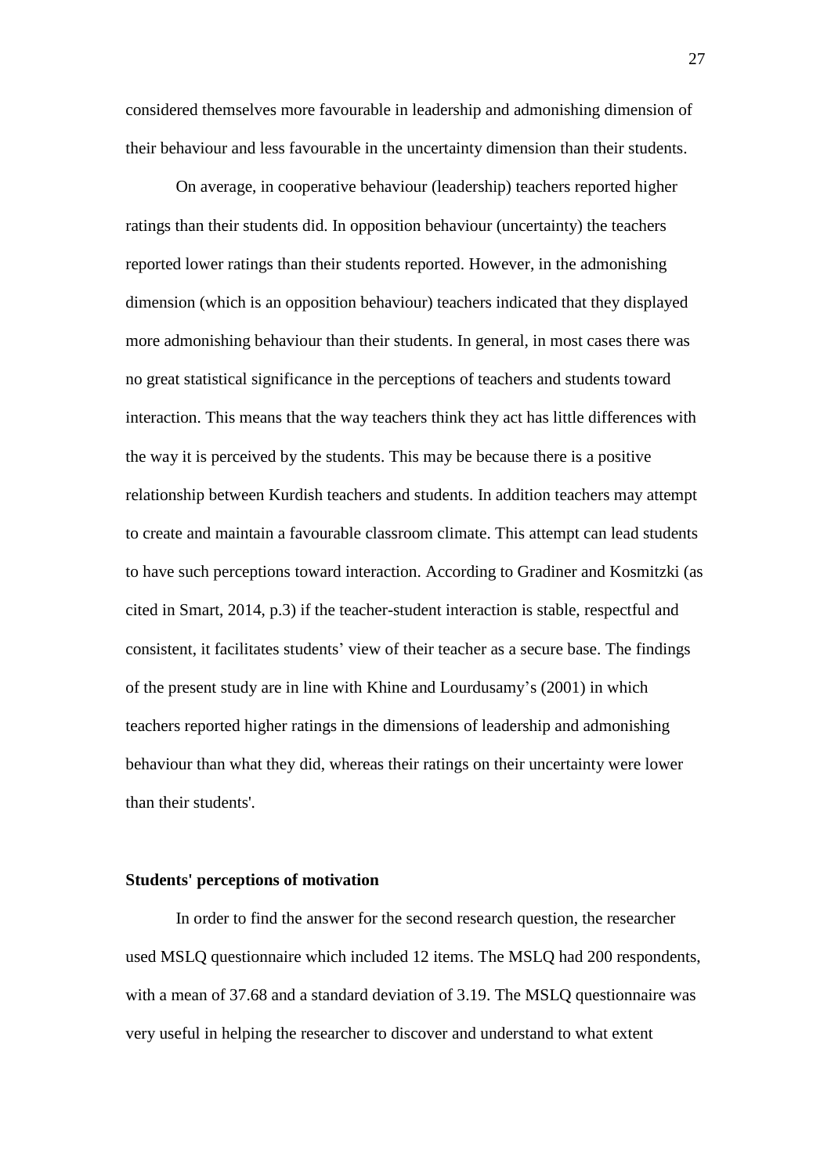considered themselves more favourable in leadership and admonishing dimension of their behaviour and less favourable in the uncertainty dimension than their students.

On average, in cooperative behaviour (leadership) teachers reported higher ratings than their students did. In opposition behaviour (uncertainty) the teachers reported lower ratings than their students reported. However, in the admonishing dimension (which is an opposition behaviour) teachers indicated that they displayed more admonishing behaviour than their students. In general, in most cases there was no great statistical significance in the perceptions of teachers and students toward interaction. This means that the way teachers think they act has little differences with the way it is perceived by the students. This may be because there is a positive relationship between Kurdish teachers and students. In addition teachers may attempt to create and maintain a favourable classroom climate. This attempt can lead students to have such perceptions toward interaction. According to Gradiner and Kosmitzki (as cited in Smart, 2014, p.3) if the teacher-student interaction is stable, respectful and consistent, it facilitates students" view of their teacher as a secure base. The findings of the present study are in line with Khine and Lourdusamy"s (2001) in which teachers reported higher ratings in the dimensions of leadership and admonishing behaviour than what they did, whereas their ratings on their uncertainty were lower than their students'.

#### **Students' perceptions of motivation**

In order to find the answer for the second research question, the researcher used MSLQ questionnaire which included 12 items. The MSLQ had 200 respondents, with a mean of 37.68 and a standard deviation of 3.19. The MSLQ questionnaire was very useful in helping the researcher to discover and understand to what extent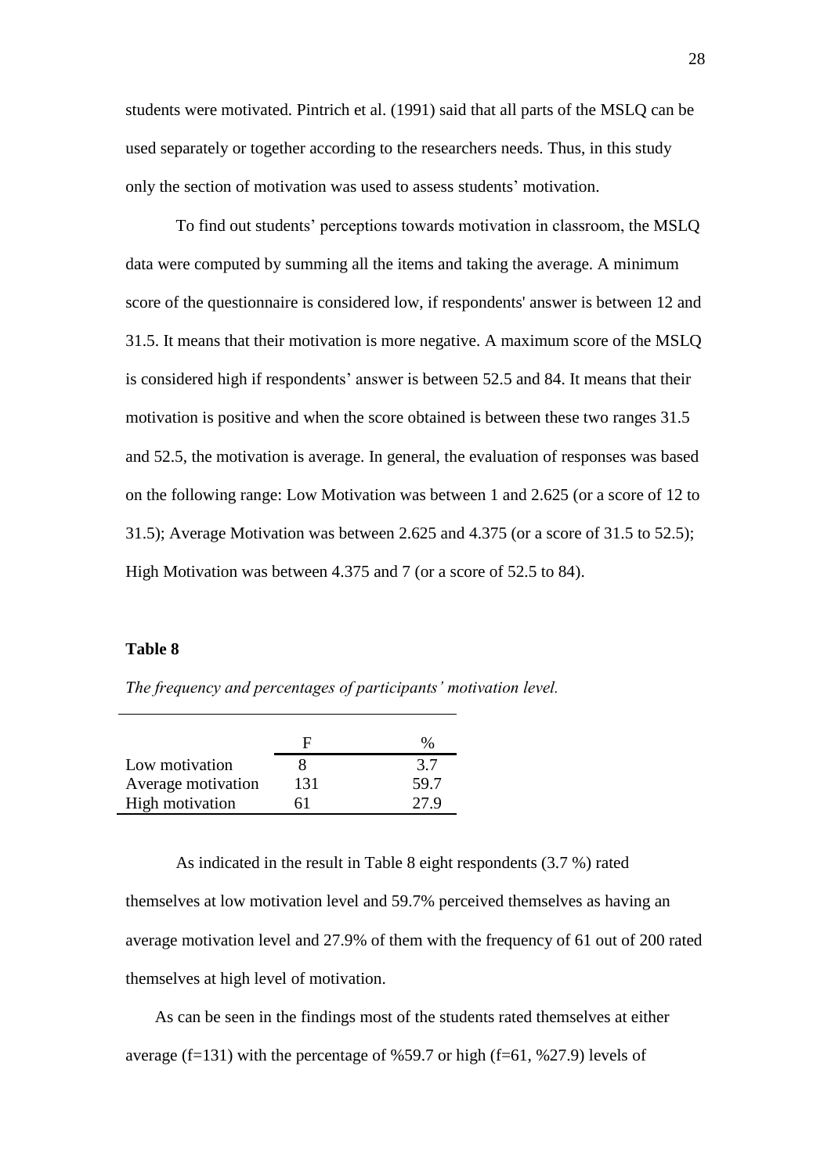students were motivated. Pintrich et al. (1991) said that all parts of the MSLQ can be used separately or together according to the researchers needs. Thus, in this study only the section of motivation was used to assess students" motivation.

To find out students" perceptions towards motivation in classroom, the MSLQ data were computed by summing all the items and taking the average. A minimum score of the questionnaire is considered low, if respondents' answer is between 12 and 31.5. It means that their motivation is more negative. A maximum score of the MSLQ is considered high if respondents' answer is between 52.5 and 84. It means that their motivation is positive and when the score obtained is between these two ranges 31.5 and 52.5, the motivation is average. In general, the evaluation of responses was based on the following range: Low Motivation was between 1 and 2.625 (or a score of 12 to 31.5); Average Motivation was between 2.625 and 4.375 (or a score of 31.5 to 52.5); High Motivation was between 4.375 and 7 (or a score of 52.5 to 84).

#### **Table 8**

*The frequency and percentages of participants' motivation level.*

|                    |     | ‰    |
|--------------------|-----|------|
| Low motivation     |     | 3.7  |
| Average motivation | 131 | 59.7 |
| High motivation    |     | 27.9 |

As indicated in the result in Table 8 eight respondents (3.7 %) rated themselves at low motivation level and 59.7% perceived themselves as having an average motivation level and 27.9% of them with the frequency of 61 out of 200 rated themselves at high level of motivation.

 As can be seen in the findings most of the students rated themselves at either average (f=131) with the percentage of %59.7 or high (f=61, %27.9) levels of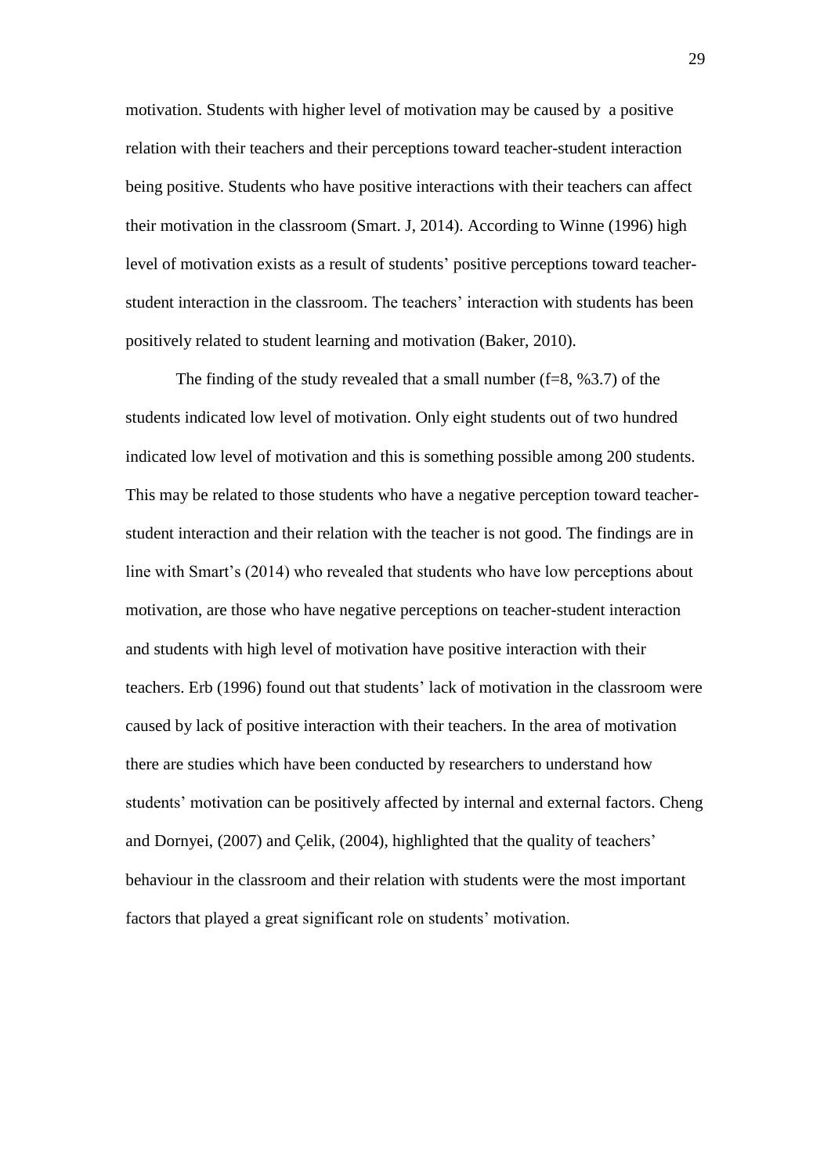motivation. Students with higher level of motivation may be caused by a positive relation with their teachers and their perceptions toward teacher-student interaction being positive. Students who have positive interactions with their teachers can affect their motivation in the classroom (Smart. J, 2014). According to Winne (1996) high level of motivation exists as a result of students' positive perceptions toward teacherstudent interaction in the classroom. The teachers" interaction with students has been positively related to student learning and motivation (Baker, 2010).

The finding of the study revealed that a small number ( $f=8$ ,  $%3.7$ ) of the students indicated low level of motivation. Only eight students out of two hundred indicated low level of motivation and this is something possible among 200 students. This may be related to those students who have a negative perception toward teacherstudent interaction and their relation with the teacher is not good. The findings are in line with Smart's (2014) who revealed that students who have low perceptions about motivation, are those who have negative perceptions on teacher-student interaction and students with high level of motivation have positive interaction with their teachers. Erb (1996) found out that students" lack of motivation in the classroom were caused by lack of positive interaction with their teachers. In the area of motivation there are studies which have been conducted by researchers to understand how students' motivation can be positively affected by internal and external factors. Cheng and Dornyei, (2007) and Çelik, (2004), highlighted that the quality of teachers" behaviour in the classroom and their relation with students were the most important factors that played a great significant role on students' motivation.

29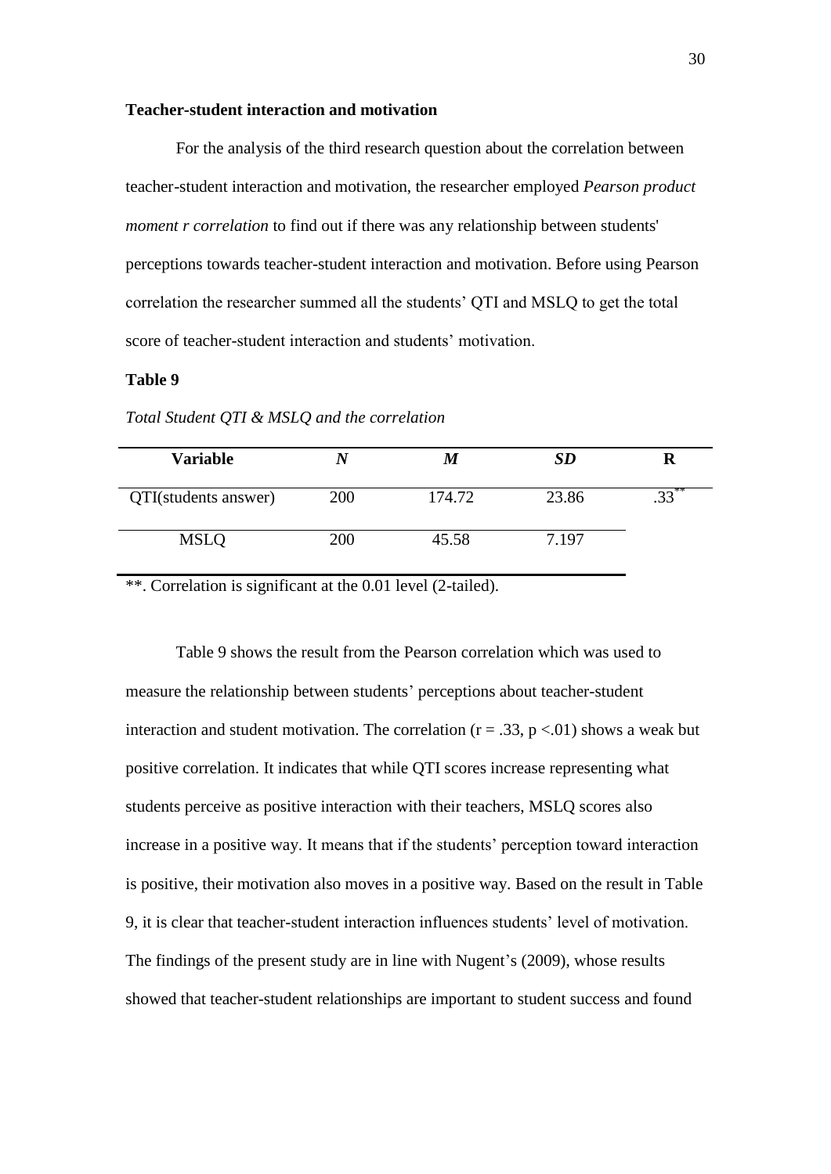#### **Teacher-student interaction and motivation**

For the analysis of the third research question about the correlation between teacher-student interaction and motivation, the researcher employed *Pearson product moment r correlation* to find out if there was any relationship between students' perceptions towards teacher-student interaction and motivation. Before using Pearson correlation the researcher summed all the students" QTI and MSLQ to get the total score of teacher-student interaction and students' motivation.

#### **Table 9**

| Variable             |     |        | <b>SD</b> | R       |
|----------------------|-----|--------|-----------|---------|
| QTI(students answer) | 200 | 174.72 | 23.86     | $33***$ |
| <b>MSLQ</b>          | 200 | 45.58  | 7.197     |         |

*Total Student QTI & MSLQ and the correlation*

\*\*. Correlation is significant at the 0.01 level (2-tailed).

Table 9 shows the result from the Pearson correlation which was used to measure the relationship between students" perceptions about teacher-student interaction and student motivation. The correlation ( $r = .33$ ,  $p < .01$ ) shows a weak but positive correlation. It indicates that while QTI scores increase representing what students perceive as positive interaction with their teachers, MSLQ scores also increase in a positive way. It means that if the students' perception toward interaction is positive, their motivation also moves in a positive way. Based on the result in Table 9, it is clear that teacher-student interaction influences students" level of motivation. The findings of the present study are in line with Nugent's (2009), whose results showed that teacher-student relationships are important to student success and found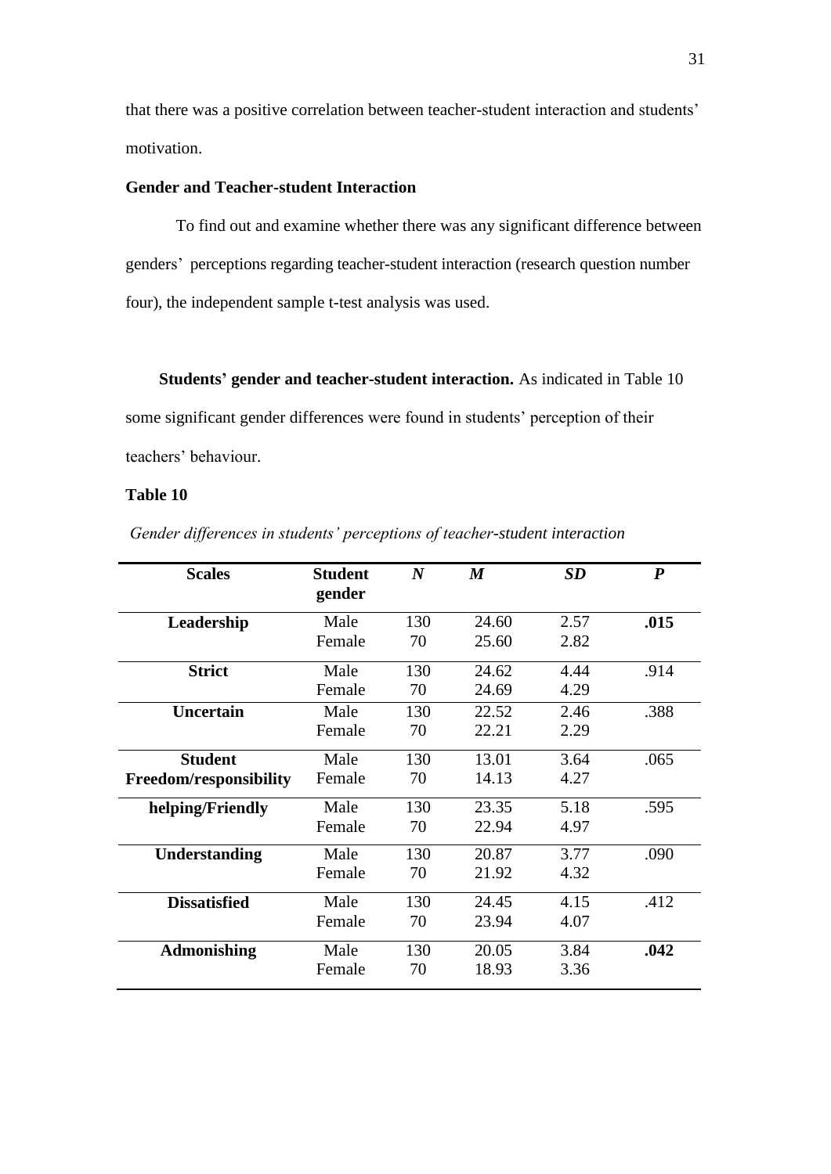that there was a positive correlation between teacher-student interaction and students" motivation.

## **Gender and Teacher-student Interaction**

To find out and examine whether there was any significant difference between genders" perceptions regarding teacher-student interaction (research question number four), the independent sample t-test analysis was used.

 **Students' gender and teacher-student interaction.** As indicated in Table 10

some significant gender differences were found in students" perception of their teachers' behaviour.

## **Table 10**

| Gender differences in students' perceptions of teacher-student interaction |  |  |  |  |  |
|----------------------------------------------------------------------------|--|--|--|--|--|
|                                                                            |  |  |  |  |  |

| <b>Scales</b>          | <b>Student</b><br>gender | $\boldsymbol{N}$ | $\boldsymbol{M}$ | SD   | $\boldsymbol{P}$ |
|------------------------|--------------------------|------------------|------------------|------|------------------|
| Leadership             | Male                     | 130              | 24.60            | 2.57 | .015             |
|                        | Female                   | 70               | 25.60            | 2.82 |                  |
| <b>Strict</b>          | Male                     | 130              | 24.62            | 4.44 | .914             |
|                        | Female                   | 70               | 24.69            | 4.29 |                  |
| <b>Uncertain</b>       | Male                     | 130              | 22.52            | 2.46 | .388             |
|                        | Female                   | 70               | 22.21            | 2.29 |                  |
| <b>Student</b>         | Male                     | 130              | 13.01            | 3.64 | .065             |
| Freedom/responsibility | Female                   | 70               | 14.13            | 4.27 |                  |
| helping/Friendly       | Male                     | 130              | 23.35            | 5.18 | .595             |
|                        | Female                   | 70               | 22.94            | 4.97 |                  |
| <b>Understanding</b>   | Male                     | 130              | 20.87            | 3.77 | .090             |
|                        | Female                   | 70               | 21.92            | 4.32 |                  |
| <b>Dissatisfied</b>    | Male                     | 130              | 24.45            | 4.15 | .412             |
|                        | Female                   | 70               | 23.94            | 4.07 |                  |
| <b>Admonishing</b>     | Male                     | 130              | 20.05            | 3.84 | .042             |
|                        | Female                   | 70               | 18.93            | 3.36 |                  |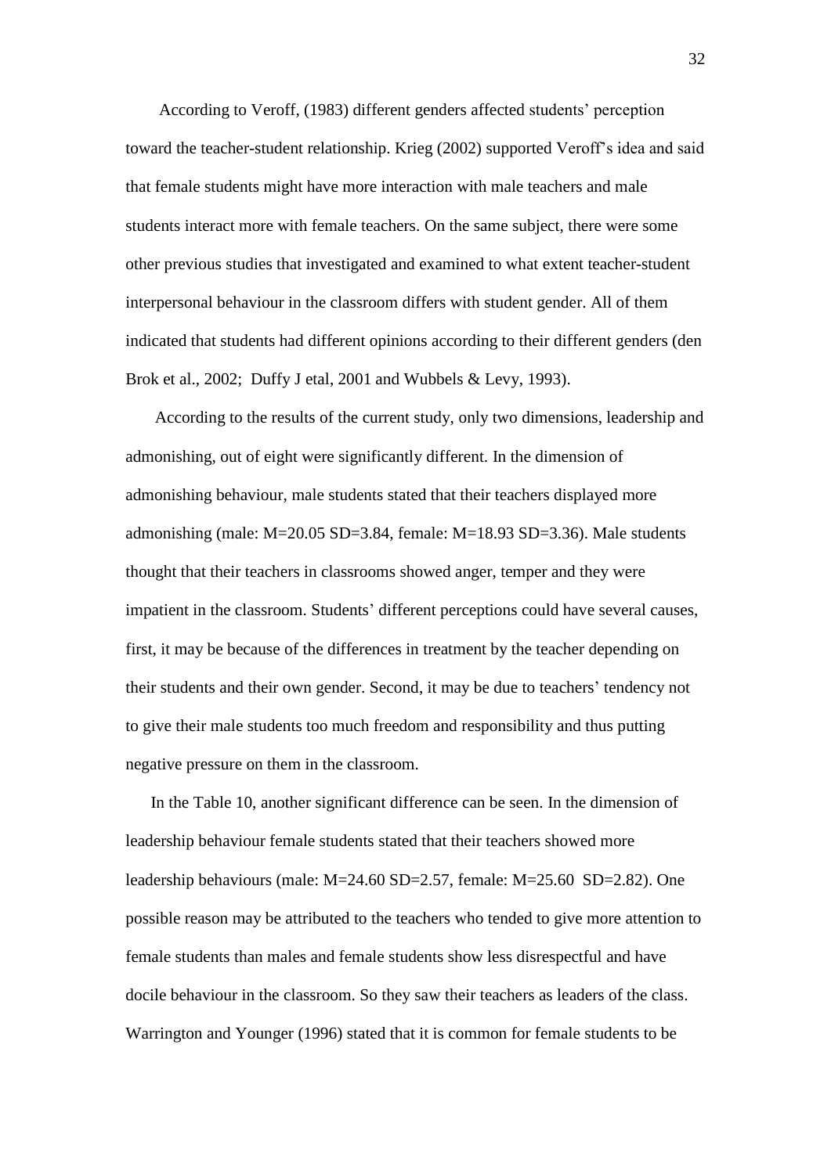According to Veroff, (1983) different genders affected students" perception toward the teacher-student relationship. Krieg (2002) supported Veroff"s idea and said that female students might have more interaction with male teachers and male students interact more with female teachers. On the same subject, there were some other previous studies that investigated and examined to what extent teacher-student interpersonal behaviour in the classroom differs with student gender. All of them indicated that students had different opinions according to their different genders (den Brok et al., 2002; Duffy J etal, 2001 and Wubbels & Levy, 1993).

 According to the results of the current study, only two dimensions, leadership and admonishing, out of eight were significantly different. In the dimension of admonishing behaviour, male students stated that their teachers displayed more admonishing (male: M=20.05 SD=3.84, female: M=18.93 SD=3.36). Male students thought that their teachers in classrooms showed anger, temper and they were impatient in the classroom. Students' different perceptions could have several causes, first, it may be because of the differences in treatment by the teacher depending on their students and their own gender. Second, it may be due to teachers" tendency not to give their male students too much freedom and responsibility and thus putting negative pressure on them in the classroom.

 In the Table 10, another significant difference can be seen. In the dimension of leadership behaviour female students stated that their teachers showed more leadership behaviours (male: M=24.60 SD=2.57, female: M=25.60 SD=2.82). One possible reason may be attributed to the teachers who tended to give more attention to female students than males and female students show less disrespectful and have docile behaviour in the classroom. So they saw their teachers as leaders of the class. Warrington and Younger (1996) stated that it is common for female students to be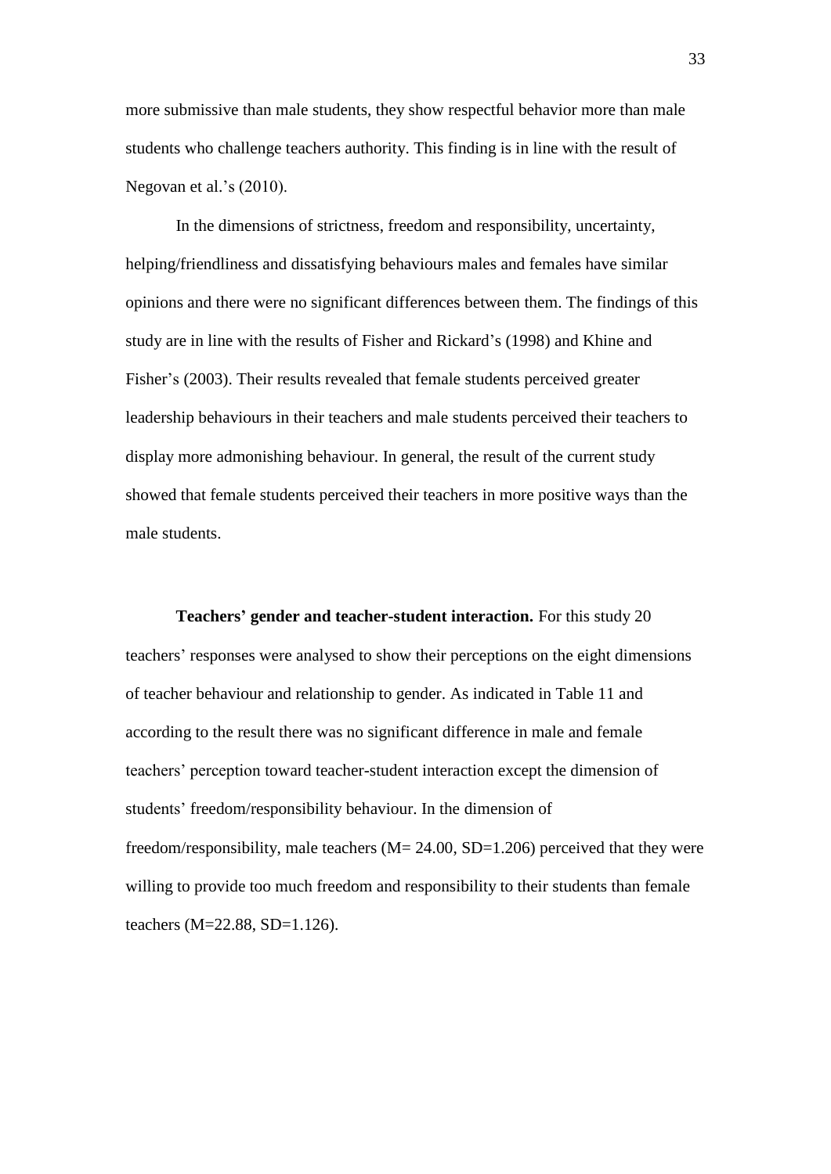more submissive than male students, they show respectful behavior more than male students who challenge teachers authority. This finding is in line with the result of Negovan et al.'s (2010).

In the dimensions of strictness, freedom and responsibility, uncertainty, helping/friendliness and dissatisfying behaviours males and females have similar opinions and there were no significant differences between them. The findings of this study are in line with the results of Fisher and Rickard"s (1998) and Khine and Fisher's (2003). Their results revealed that female students perceived greater leadership behaviours in their teachers and male students perceived their teachers to display more admonishing behaviour. In general, the result of the current study showed that female students perceived their teachers in more positive ways than the male students.

**Teachers' gender and teacher-student interaction.** For this study 20 teachers" responses were analysed to show their perceptions on the eight dimensions of teacher behaviour and relationship to gender. As indicated in Table 11 and according to the result there was no significant difference in male and female teachers" perception toward teacher-student interaction except the dimension of students' freedom/responsibility behaviour. In the dimension of freedom/responsibility, male teachers (M= 24.00, SD=1.206) perceived that they were willing to provide too much freedom and responsibility to their students than female teachers (M=22.88, SD=1.126).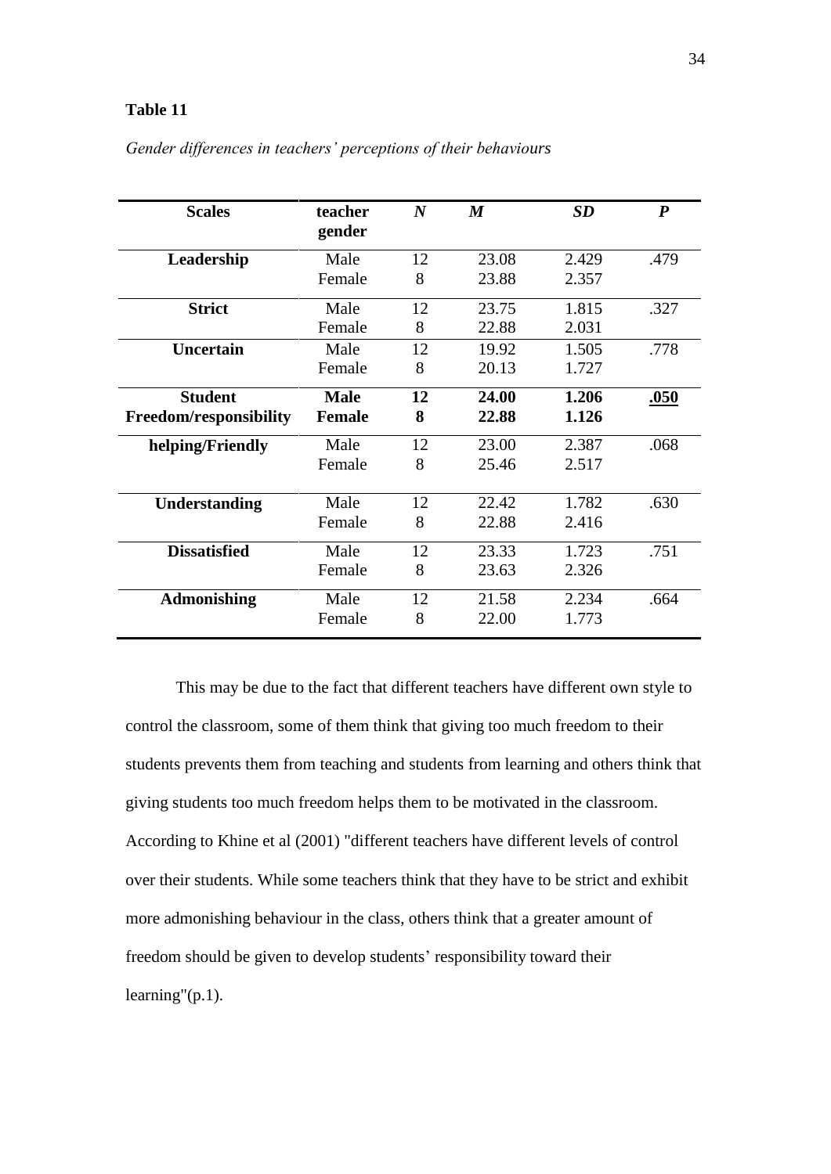## **Table 11**

| <b>Scales</b>          | teacher<br>gender | $\boldsymbol{N}$ | $\boldsymbol{M}$ | <b>SD</b> | $\boldsymbol{P}$ |
|------------------------|-------------------|------------------|------------------|-----------|------------------|
| Leadership             | Male              | 12               | 23.08            | 2.429     | .479             |
|                        | Female            | 8                | 23.88            | 2.357     |                  |
| <b>Strict</b>          | Male              | 12               | 23.75            | 1.815     | .327             |
|                        | Female            | 8                | 22.88            | 2.031     |                  |
| <b>Uncertain</b>       | Male              | 12               | 19.92            | 1.505     | .778             |
|                        | Female            | 8                | 20.13            | 1.727     |                  |
| <b>Student</b>         | <b>Male</b>       | 12               | 24.00            | 1.206     | .050             |
| Freedom/responsibility | <b>Female</b>     | 8                | 22.88            | 1.126     |                  |
| helping/Friendly       | Male              | 12               | 23.00            | 2.387     | .068             |
|                        | Female            | 8                | 25.46            | 2.517     |                  |
| <b>Understanding</b>   | Male              | 12               | 22.42            | 1.782     | .630             |
|                        | Female            | 8                | 22.88            | 2.416     |                  |
| <b>Dissatisfied</b>    | Male              | 12               | 23.33            | 1.723     | .751             |
|                        | Female            | 8                | 23.63            | 2.326     |                  |
| <b>Admonishing</b>     | Male              | 12               | 21.58            | 2.234     | .664             |
|                        | Female            | 8                | 22.00            | 1.773     |                  |

## *Gender differences in teachers' perceptions of their behaviours*

This may be due to the fact that different teachers have different own style to control the classroom, some of them think that giving too much freedom to their students prevents them from teaching and students from learning and others think that giving students too much freedom helps them to be motivated in the classroom. According to Khine et al (2001) "different teachers have different levels of control over their students. While some teachers think that they have to be strict and exhibit more admonishing behaviour in the class, others think that a greater amount of freedom should be given to develop students' responsibility toward their learning"(p.1).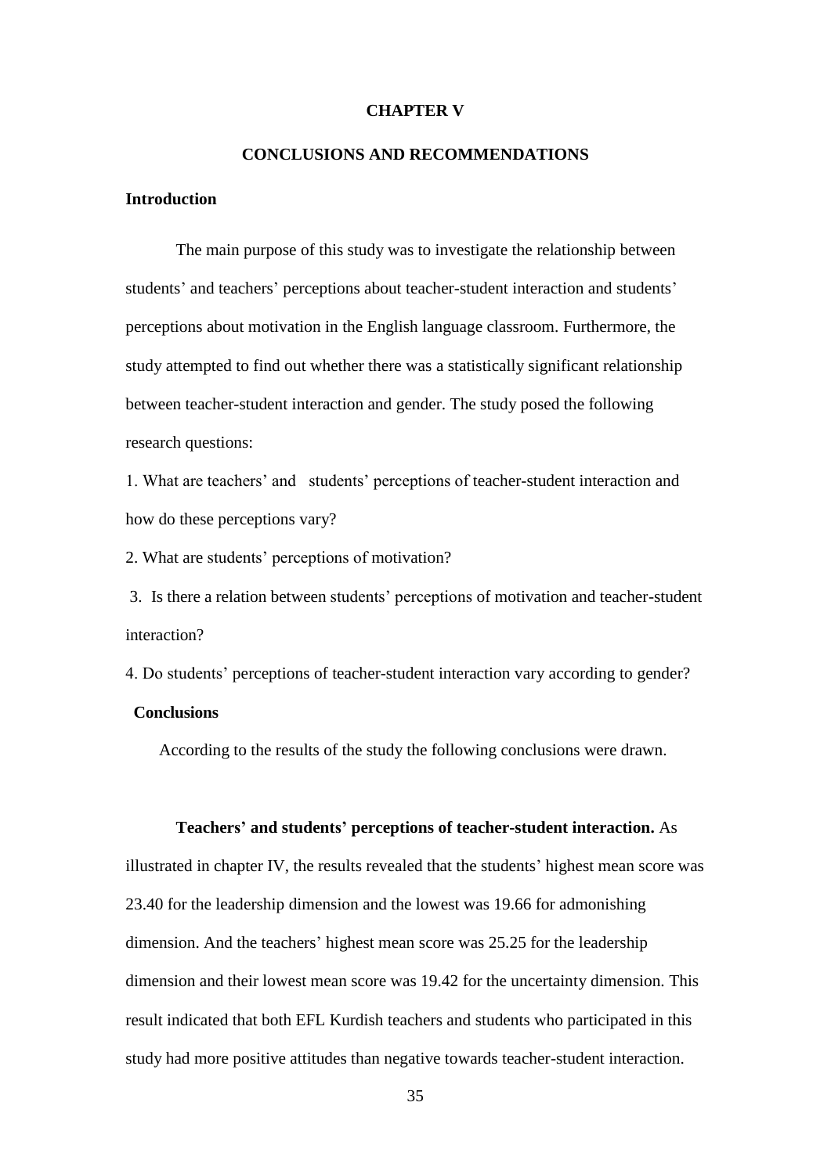#### **CHAPTER V**

## **CONCLUSIONS AND RECOMMENDATIONS**

## **Introduction**

 The main purpose of this study was to investigate the relationship between students' and teachers' perceptions about teacher-student interaction and students' perceptions about motivation in the English language classroom. Furthermore, the study attempted to find out whether there was a statistically significant relationship between teacher-student interaction and gender. The study posed the following research questions:

1. What are teachers" and students" perceptions of teacher-student interaction and how do these perceptions vary?

2. What are students" perceptions of motivation?

3. Is there a relation between students" perceptions of motivation and teacher-student interaction?

4. Do students" perceptions of teacher-student interaction vary according to gender?

## **Conclusions**

According to the results of the study the following conclusions were drawn.

#### **Teachers' and students' perceptions of teacher-student interaction.** As

illustrated in chapter IV, the results revealed that the students' highest mean score was 23.40 for the leadership dimension and the lowest was 19.66 for admonishing dimension. And the teachers' highest mean score was 25.25 for the leadership dimension and their lowest mean score was 19.42 for the uncertainty dimension. This result indicated that both EFL Kurdish teachers and students who participated in this study had more positive attitudes than negative towards teacher-student interaction.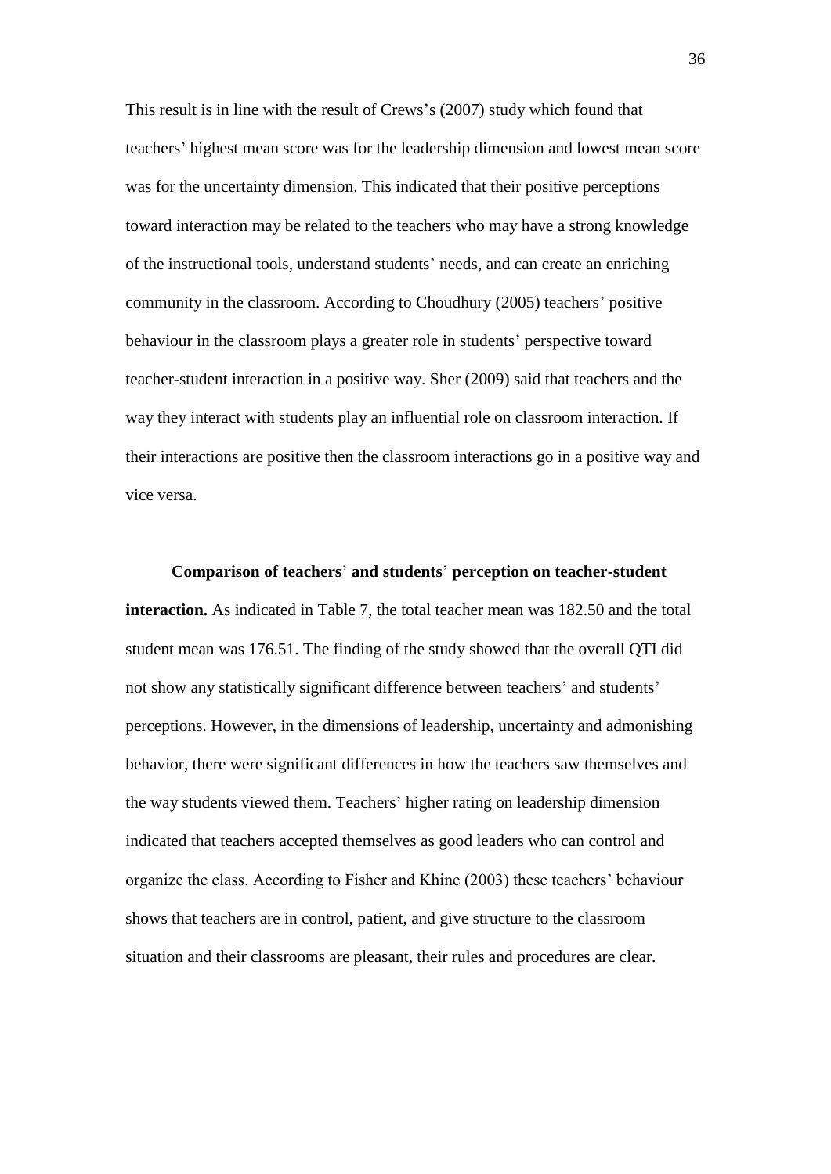This result is in line with the result of Crews"s (2007) study which found that teachers" highest mean score was for the leadership dimension and lowest mean score was for the uncertainty dimension. This indicated that their positive perceptions toward interaction may be related to the teachers who may have a strong knowledge of the instructional tools, understand students' needs, and can create an enriching community in the classroom. According to Choudhury (2005) teachers" positive behaviour in the classroom plays a greater role in students' perspective toward teacher-student interaction in a positive way. Sher (2009) said that teachers and the way they interact with students play an influential role on classroom interaction. If their interactions are positive then the classroom interactions go in a positive way and vice versa.

 **Comparison of teachers**" **and students**" **perception on teacher-student interaction.** As indicated in Table 7, the total teacher mean was 182.50 and the total student mean was 176.51. The finding of the study showed that the overall QTI did not show any statistically significant difference between teachers' and students' perceptions. However, in the dimensions of leadership, uncertainty and admonishing behavior, there were significant differences in how the teachers saw themselves and the way students viewed them. Teachers" higher rating on leadership dimension indicated that teachers accepted themselves as good leaders who can control and organize the class. According to Fisher and Khine (2003) these teachers" behaviour shows that teachers are in control, patient, and give structure to the classroom situation and their classrooms are pleasant, their rules and procedures are clear.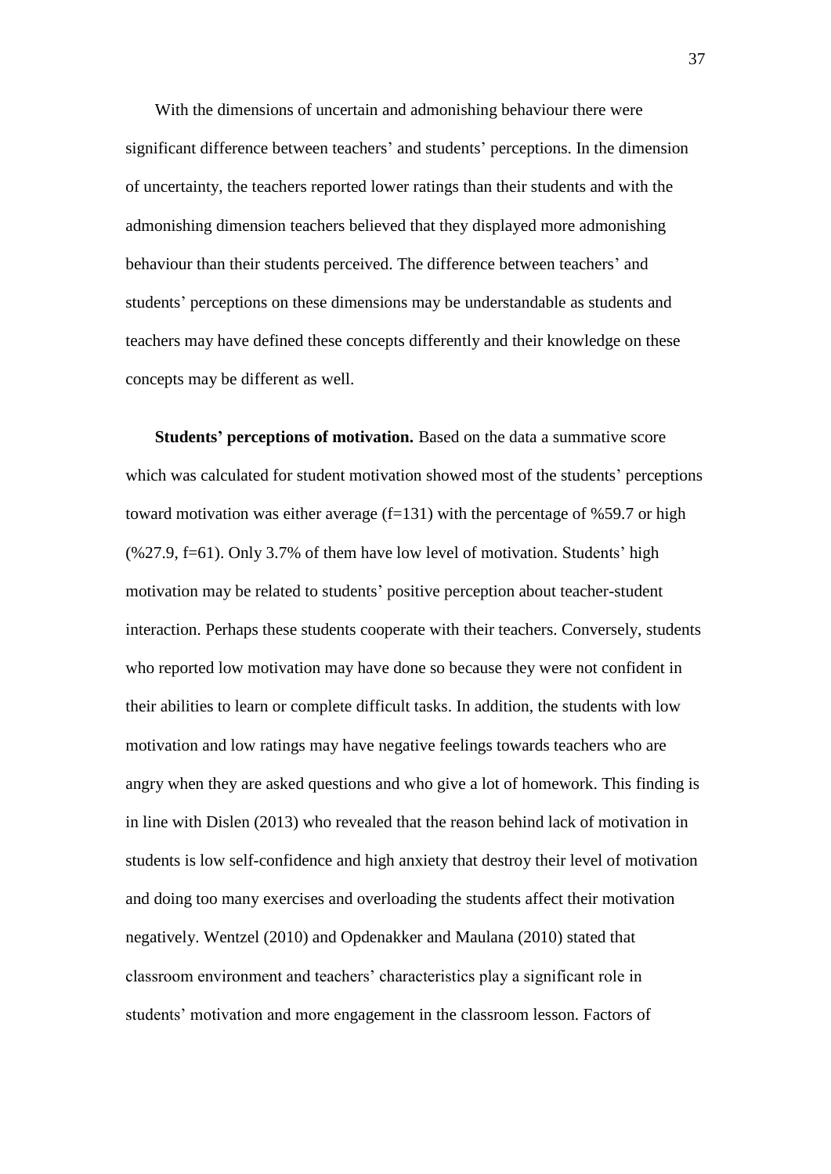With the dimensions of uncertain and admonishing behaviour there were significant difference between teachers' and students' perceptions. In the dimension of uncertainty, the teachers reported lower ratings than their students and with the admonishing dimension teachers believed that they displayed more admonishing behaviour than their students perceived. The difference between teachers' and students" perceptions on these dimensions may be understandable as students and teachers may have defined these concepts differently and their knowledge on these concepts may be different as well.

 **Students' perceptions of motivation.** Based on the data a summative score which was calculated for student motivation showed most of the students' perceptions toward motivation was either average  $(f=131)$  with the percentage of %59.7 or high  $(\frac{627.9}{,} f=61)$ . Only 3.7% of them have low level of motivation. Students' high motivation may be related to students' positive perception about teacher-student interaction. Perhaps these students cooperate with their teachers. Conversely, students who reported low motivation may have done so because they were not confident in their abilities to learn or complete difficult tasks. In addition, the students with low motivation and low ratings may have negative feelings towards teachers who are angry when they are asked questions and who give a lot of homework. This finding is in line with Dislen (2013) who revealed that the reason behind lack of motivation in students is low self-confidence and high anxiety that destroy their level of motivation and doing too many exercises and overloading the students affect their motivation negatively. Wentzel (2010) and Opdenakker and Maulana (2010) stated that classroom environment and teachers" characteristics play a significant role in students' motivation and more engagement in the classroom lesson. Factors of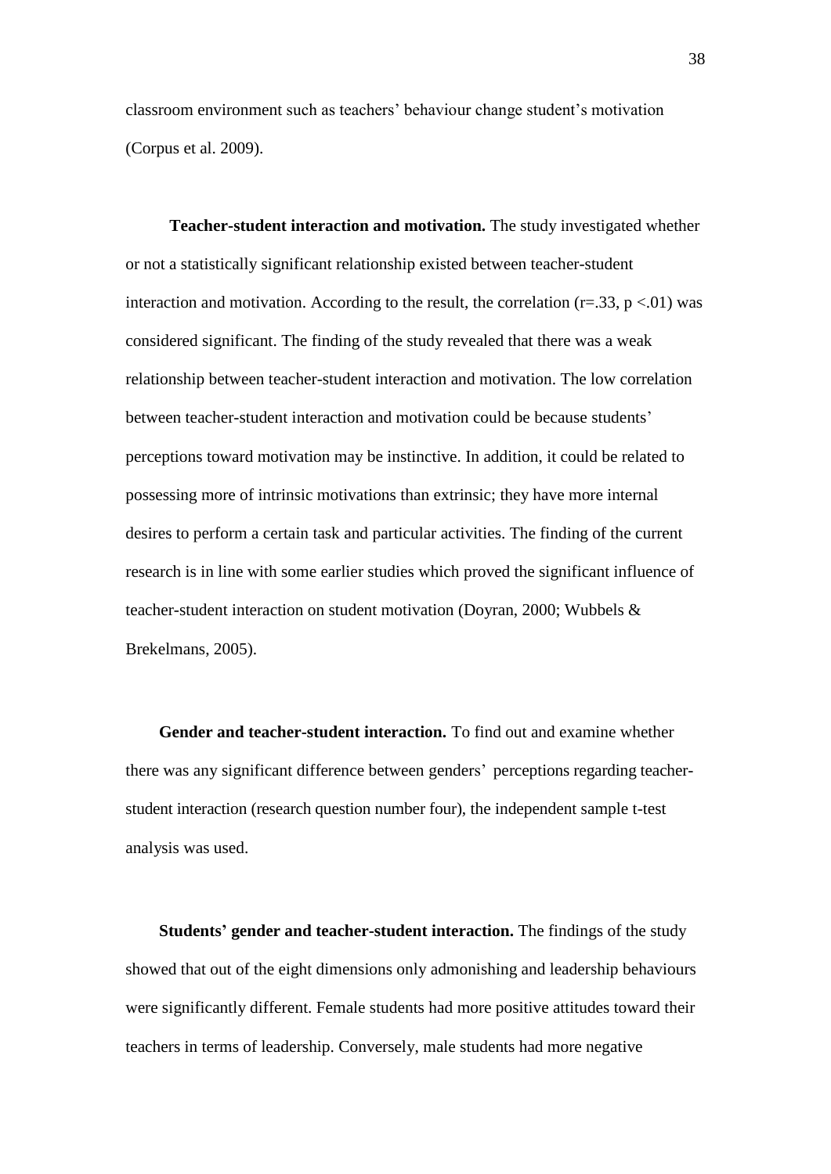classroom environment such as teachers" behaviour change student"s motivation (Corpus et al. 2009).

 **Teacher-student interaction and motivation.** The study investigated whether or not a statistically significant relationship existed between teacher-student interaction and motivation. According to the result, the correlation ( $r=33$ ,  $p < 01$ ) was considered significant. The finding of the study revealed that there was a weak relationship between teacher-student interaction and motivation. The low correlation between teacher-student interaction and motivation could be because students" perceptions toward motivation may be instinctive. In addition, it could be related to possessing more of intrinsic motivations than extrinsic; they have more internal desires to perform a certain task and particular activities. The finding of the current research is in line with some earlier studies which proved the significant influence of teacher-student interaction on student motivation (Doyran, 2000; Wubbels & Brekelmans, 2005).

 **Gender and teacher-student interaction.** To find out and examine whether there was any significant difference between genders" perceptions regarding teacherstudent interaction (research question number four), the independent sample t-test analysis was used.

 **Students' gender and teacher-student interaction.** The findings of the study showed that out of the eight dimensions only admonishing and leadership behaviours were significantly different. Female students had more positive attitudes toward their teachers in terms of leadership. Conversely, male students had more negative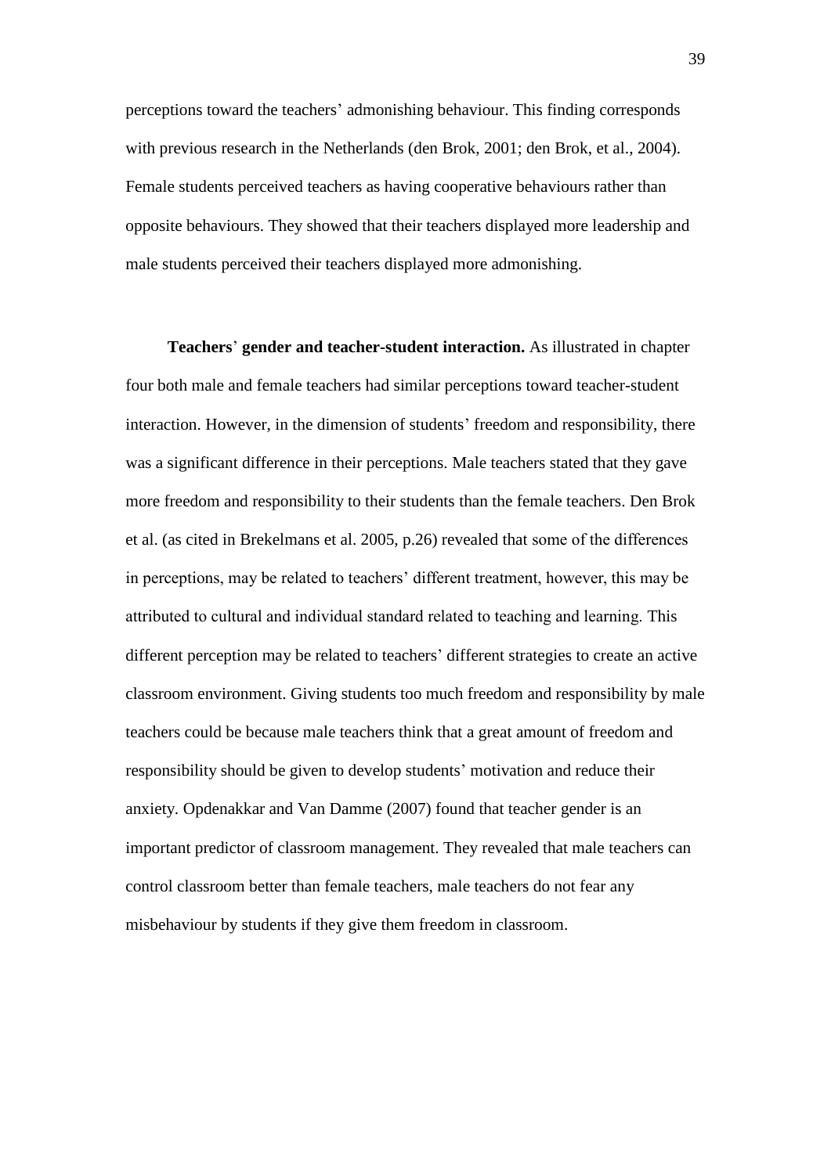perceptions toward the teachers" admonishing behaviour. This finding corresponds with previous research in the Netherlands (den Brok, 2001; den Brok, et al., 2004). Female students perceived teachers as having cooperative behaviours rather than opposite behaviours. They showed that their teachers displayed more leadership and male students perceived their teachers displayed more admonishing.

 **Teachers**" **gender and teacher-student interaction.** As illustrated in chapter four both male and female teachers had similar perceptions toward teacher-student interaction. However, in the dimension of students' freedom and responsibility, there was a significant difference in their perceptions. Male teachers stated that they gave more freedom and responsibility to their students than the female teachers. Den Brok et al. (as cited in Brekelmans et al. 2005, p.26) revealed that some of the differences in perceptions, may be related to teachers' different treatment, however, this may be attributed to cultural and individual standard related to teaching and learning. This different perception may be related to teachers' different strategies to create an active classroom environment. Giving students too much freedom and responsibility by male teachers could be because male teachers think that a great amount of freedom and responsibility should be given to develop students" motivation and reduce their anxiety. Opdenakkar and Van Damme (2007) found that teacher gender is an important predictor of classroom management. They revealed that male teachers can control classroom better than female teachers, male teachers do not fear any misbehaviour by students if they give them freedom in classroom.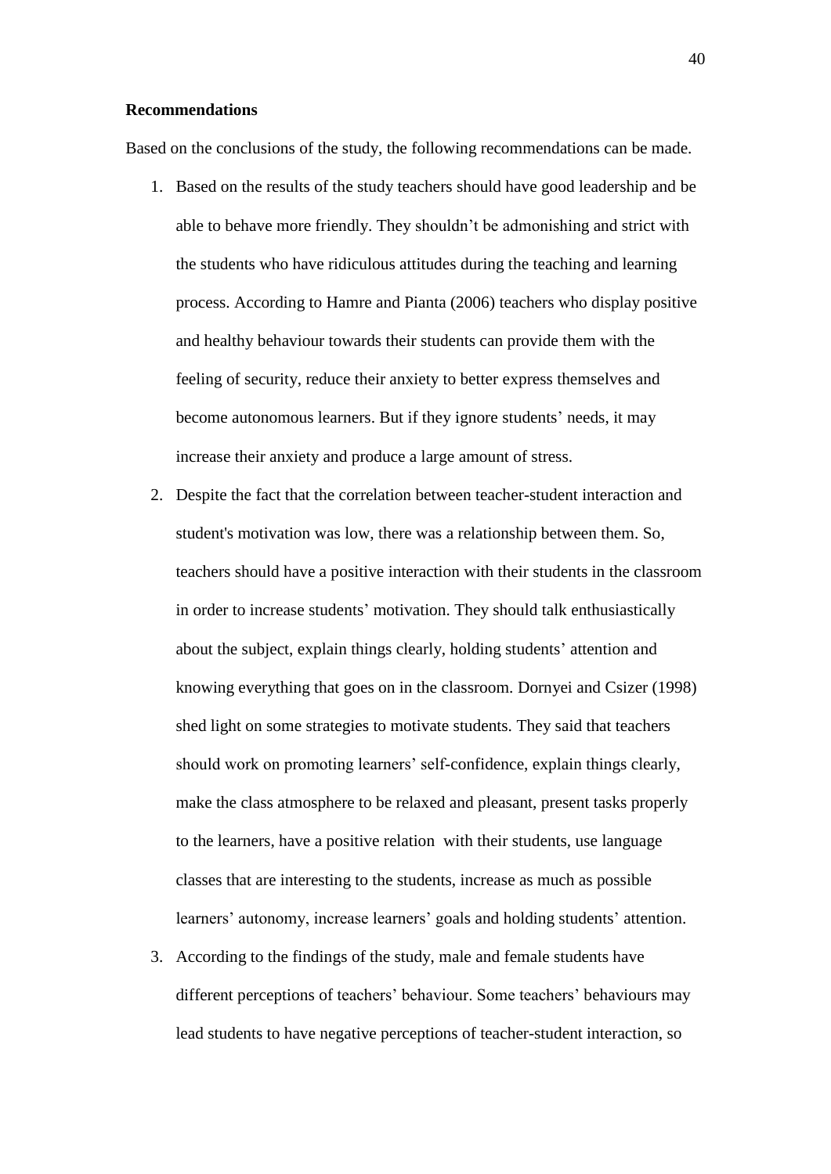#### **Recommendations**

Based on the conclusions of the study, the following recommendations can be made.

- 1. Based on the results of the study teachers should have good leadership and be able to behave more friendly. They shouldn"t be admonishing and strict with the students who have ridiculous attitudes during the teaching and learning process. According to Hamre and Pianta (2006) teachers who display positive and healthy behaviour towards their students can provide them with the feeling of security, reduce their anxiety to better express themselves and become autonomous learners. But if they ignore students' needs, it may increase their anxiety and produce a large amount of stress.
- 2. Despite the fact that the correlation between teacher-student interaction and student's motivation was low, there was a relationship between them. So, teachers should have a positive interaction with their students in the classroom in order to increase students' motivation. They should talk enthusiastically about the subject, explain things clearly, holding students" attention and knowing everything that goes on in the classroom. Dornyei and Csizer (1998) shed light on some strategies to motivate students. They said that teachers should work on promoting learners' self-confidence, explain things clearly, make the class atmosphere to be relaxed and pleasant, present tasks properly to the learners, have a positive relation with their students, use language classes that are interesting to the students, increase as much as possible learners' autonomy, increase learners' goals and holding students' attention.
- 3. According to the findings of the study, male and female students have different perceptions of teachers' behaviour. Some teachers' behaviours may lead students to have negative perceptions of teacher-student interaction, so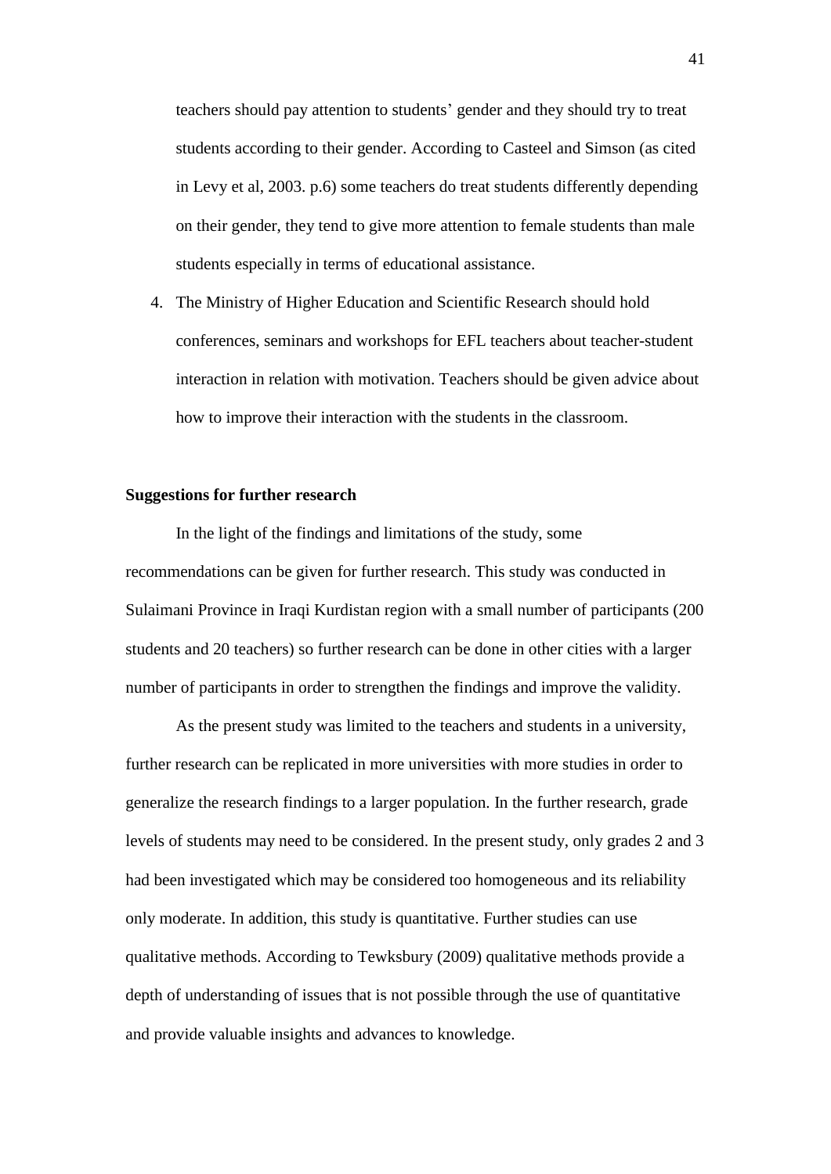teachers should pay attention to students" gender and they should try to treat students according to their gender. According to Casteel and Simson (as cited in Levy et al, 2003. p.6) some teachers do treat students differently depending on their gender, they tend to give more attention to female students than male students especially in terms of educational assistance.

4. The Ministry of Higher Education and Scientific Research should hold conferences, seminars and workshops for EFL teachers about teacher-student interaction in relation with motivation. Teachers should be given advice about how to improve their interaction with the students in the classroom.

#### **Suggestions for further research**

In the light of the findings and limitations of the study, some recommendations can be given for further research. This study was conducted in Sulaimani Province in Iraqi Kurdistan region with a small number of participants (200 students and 20 teachers) so further research can be done in other cities with a larger number of participants in order to strengthen the findings and improve the validity.

As the present study was limited to the teachers and students in a university, further research can be replicated in more universities with more studies in order to generalize the research findings to a larger population. In the further research, grade levels of students may need to be considered. In the present study, only grades 2 and 3 had been investigated which may be considered too homogeneous and its reliability only moderate. In addition, this study is quantitative. Further studies can use qualitative methods. According to Tewksbury (2009) qualitative methods provide a depth of understanding of issues that is not possible through the use of quantitative and provide valuable insights and advances to knowledge.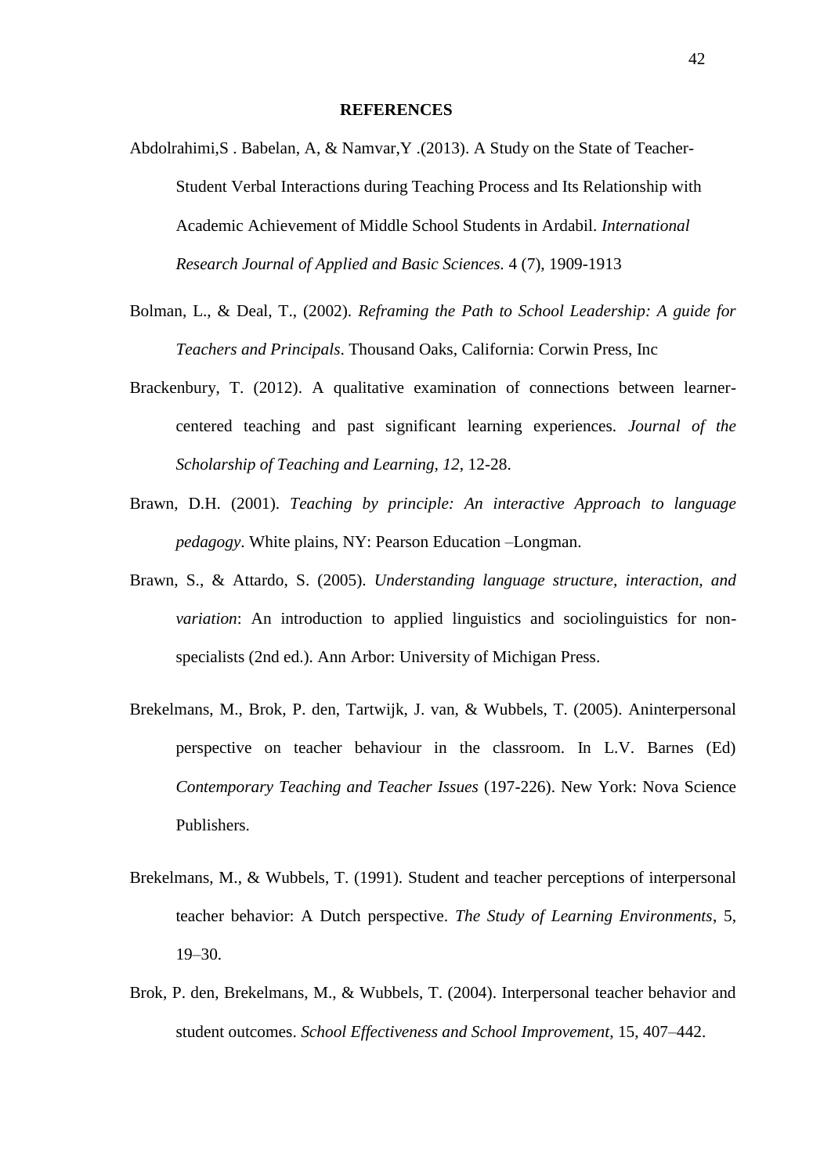- Abdolrahimi,S . Babelan, A, & Namvar,Y .(2013). A Study on the State of Teacher-Student Verbal Interactions during Teaching Process and Its Relationship with Academic Achievement of Middle School Students in Ardabil. *International Research Journal of Applied and Basic Sciences.* 4 (7), 1909-1913
- Bolman, L., & Deal, T., (2002). *Reframing the Path to School Leadership: A guide for Teachers and Principals*. Thousand Oaks, California: Corwin Press, Inc
- Brackenbury, T. (2012). A qualitative examination of connections between learnercentered teaching and past significant learning experiences. *Journal of the Scholarship of Teaching and Learning, 12*, 12-28.
- Brawn, D.H. (2001). *Teaching by principle: An interactive Approach to language pedagogy*. White plains, NY: Pearson Education –Longman.
- Brawn, S., & Attardo, S. (2005). *Understanding language structure, interaction, and variation*: An introduction to applied linguistics and sociolinguistics for nonspecialists (2nd ed.). Ann Arbor: University of Michigan Press.
- Brekelmans, M., Brok, P. den, Tartwijk, J. van, & Wubbels, T. (2005). Aninterpersonal perspective on teacher behaviour in the classroom. In L.V. Barnes (Ed) *Contemporary Teaching and Teacher Issues* (197-226). New York: Nova Science Publishers.
- Brekelmans, M., & Wubbels, T. (1991). Student and teacher perceptions of interpersonal teacher behavior: A Dutch perspective. *The Study of Learning Environments*, 5,  $19-30.$
- Brok, P. den, Brekelmans, M., & Wubbels, T. (2004). Interpersonal teacher behavior and student outcomes. *School Effectiveness and School Improvement*, 15, 407–442.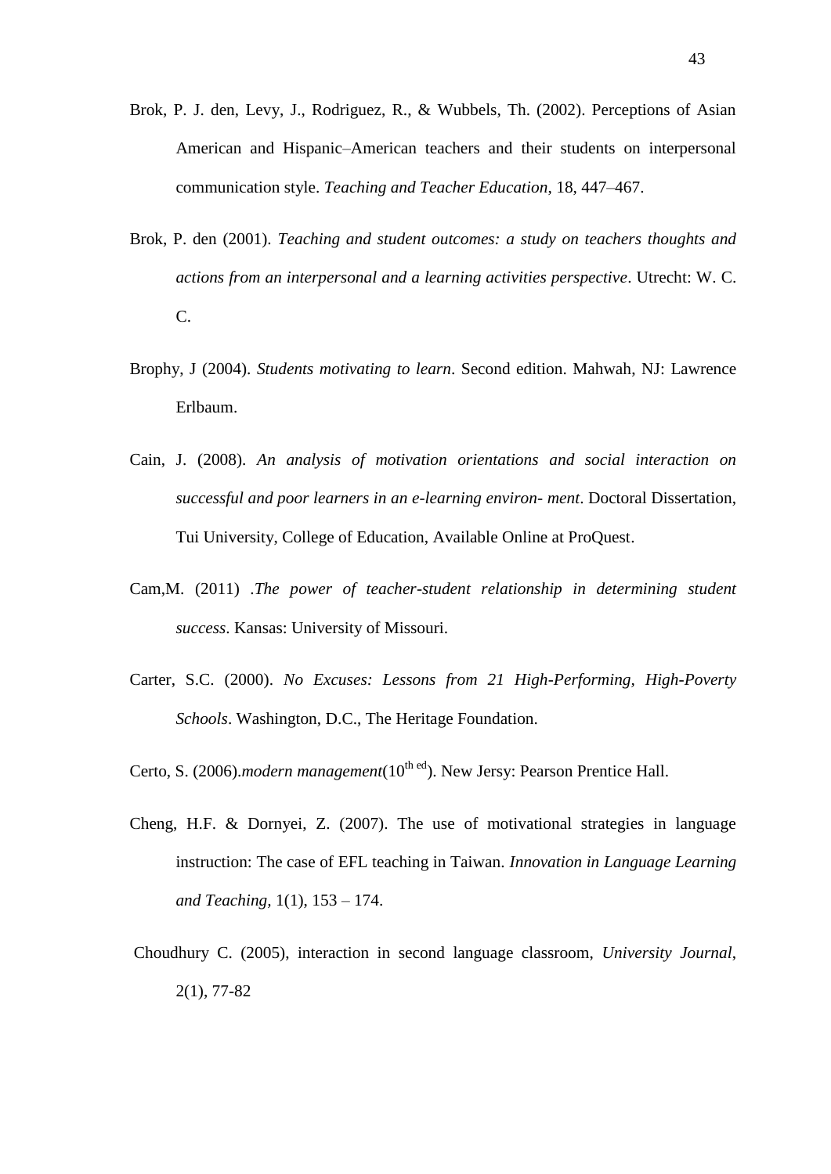- Brok, P. J. den, Levy, J., Rodriguez, R., & Wubbels, Th. (2002). Perceptions of Asian American and Hispanic–American teachers and their students on interpersonal communication style. *Teaching and Teacher Education*, 18, 447–467.
- Brok, P. den (2001). *Teaching and student outcomes: a study on teachers thoughts and actions from an interpersonal and a learning activities perspective*. Utrecht: W. C. C.
- Brophy, J (2004). *Students motivating to learn*. Second edition. Mahwah, NJ: Lawrence Erlbaum.
- Cain, J. (2008). *An analysis of motivation orientations and social interaction on successful and poor learners in an e-learning environ- ment*. Doctoral Dissertation, Tui University, College of Education, Available Online at ProQuest.
- Cam,M. (2011) .*The power of teacher-student relationship in determining student success*. Kansas: University of Missouri.
- Carter, S.C. (2000). *No Excuses: Lessons from 21 High-Performing, High-Poverty Schools*. Washington, D.C., The Heritage Foundation.
- Certo, S. (2006).*modern management*(10<sup>th ed</sup>). New Jersy: Pearson Prentice Hall.
- Cheng, H.F. & Dornyei, Z. (2007). The use of motivational strategies in language instruction: The case of EFL teaching in Taiwan. *Innovation in Language Learning and Teaching,* 1(1), 153 – 174.
- Choudhury C. (2005), interaction in second language classroom, *University Journal*, 2(1), 77-82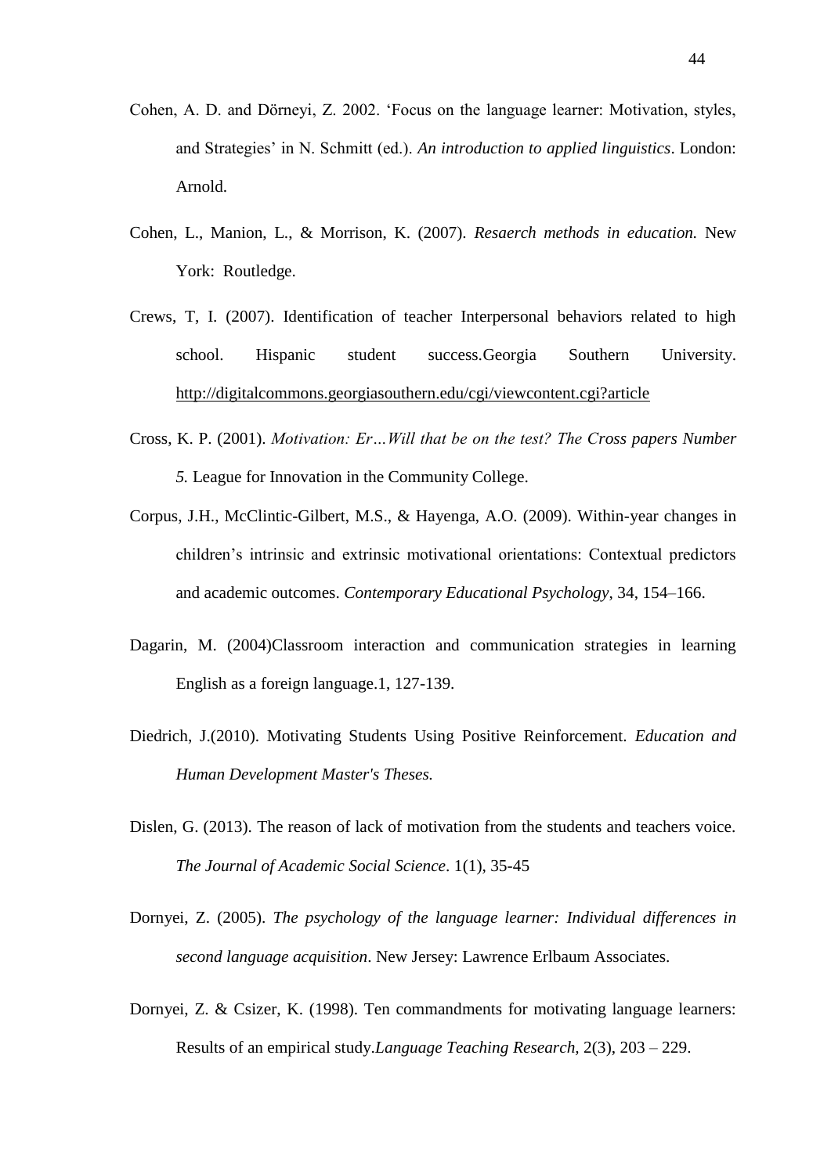- Cohen, A. D. and Dörneyi, Z. 2002. "Focus on the language learner: Motivation, styles, and Strategies" in N. Schmitt (ed.). *An introduction to applied linguistics*. London: Arnold.
- Cohen, L., Manion, L., & Morrison, K. (2007). *Resaerch methods in education.* New York: Routledge.
- Crews, T, I. (2007). Identification of teacher Interpersonal behaviors related to high school. Hispanic student success.Georgia Southern University. <http://digitalcommons.georgiasouthern.edu/cgi/viewcontent.cgi?article>
- Cross, K. P. (2001). *Motivation: Er…Will that be on the test? The Cross papers Number 5.* League for Innovation in the Community College.
- Corpus, J.H., McClintic-Gilbert, M.S., & Hayenga, A.O. (2009). Within-year changes in children"s intrinsic and extrinsic motivational orientations: Contextual predictors and academic outcomes. *Contemporary Educational Psychology*, 34, 154–166.
- Dagarin, M. (2004)Classroom interaction and communication strategies in learning English as a foreign language.1, 127-139.
- Diedrich, J.(2010). Motivating Students Using Positive Reinforcement. *Education and Human Development Master's Theses.*
- Dislen, G. (2013). The reason of lack of motivation from the students and teachers voice. *The Journal of Academic Social Science*. 1(1), 35-45
- Dornyei, Z. (2005). *The psychology of the language learner: Individual differences in second language acquisition*. New Jersey: Lawrence Erlbaum Associates.
- Dornyei, Z. & Csizer, K. (1998). Ten commandments for motivating language learners: Results of an empirical study.*Language Teaching Research,* 2(3), 203 – 229.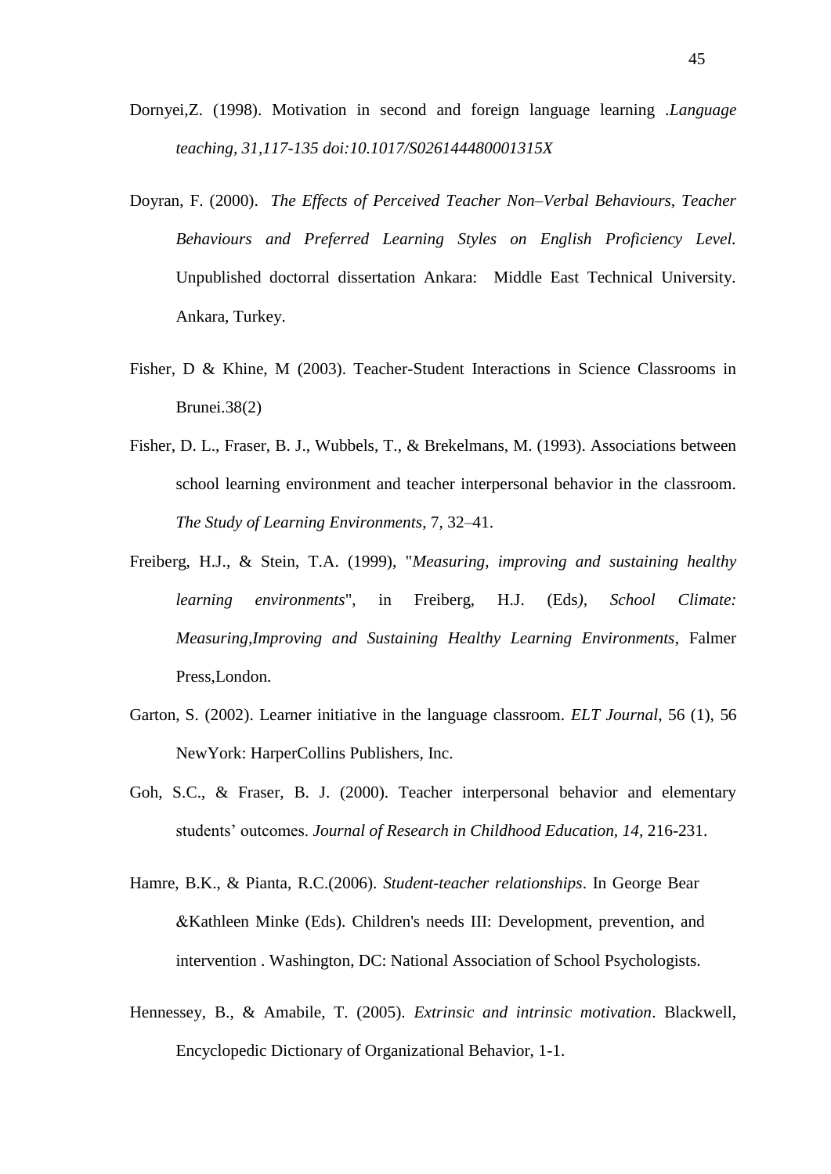- Dornyei,Z. (1998). Motivation in second and foreign language learning .*Language teaching, 31,117-135 doi:10.1017/S026144480001315X*
- Doyran, F. (2000). *The Effects of Perceived Teacher Non–Verbal Behaviours, Teacher Behaviours and Preferred Learning Styles on English Proficiency Level.* Unpublished doctorral dissertation Ankara: Middle East Technical University. Ankara, Turkey. Duffy J., Warren K., Warren K., Walsh M. (2001). Classical students: General *Roless, 45, 579-593.*  $\alpha$
- Fisher, D & Khine, M (2003). Teacher-Student Interactions in Science Classrooms in Brunei.38(2)
- Fisher, D. L., Fraser, B. J., Wubbels, T., & Brekelmans, M. (1993). Associations between school learning environment and teacher interpersonal behavior in the classroom. *The Study of Learning Environments*, 7, 32–41.
- Freiberg, H.J., & Stein, T.A. (1999), "*Measuring, improving and sustaining healthy learning environments*", in Freiberg, H.J. (Eds*), School Climate: Measuring,Improving and Sustaining Healthy Learning Environments*, Falmer Press,London.
- Garton, S. (2002). Learner initiative in the language classroom*. ELT Journal*, 56 (1), 56 NewYork: HarperCollins Publishers, Inc.
- Goh, S.C., & Fraser, B. J. (2000). Teacher interpersonal behavior and elementary students" outcomes. *Journal of Research in Childhood Education, 14,* 216-231.
- Hamre, B.K., & Pianta, R.C.(2006). *Student-teacher relationships*. In George Bear &Kathleen Minke (Eds). Children's needs III: Development, prevention, and intervention . Washington, DC: National Association of School Psychologists.
- Hennessey, B., & Amabile, T. (2005). *Extrinsic and intrinsic motivation*. Blackwell, Encyclopedic Dictionary of Organizational Behavior, 1-1.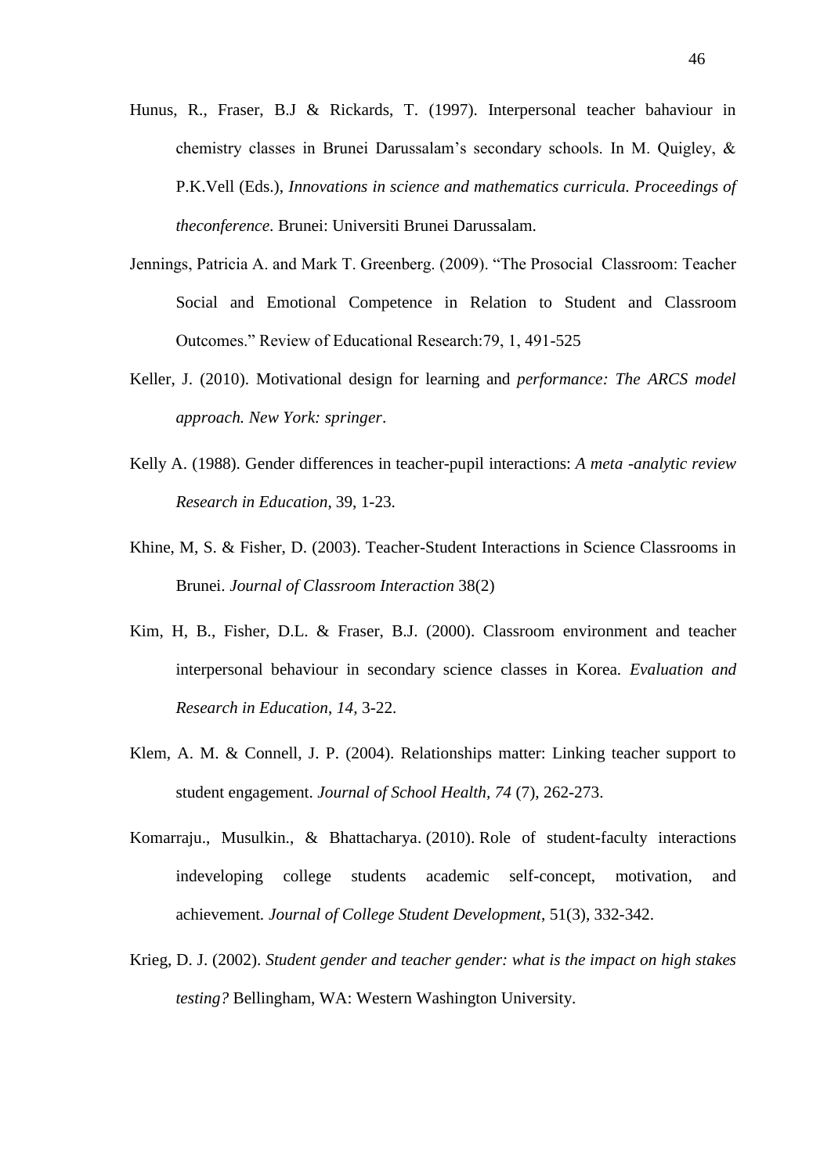- Hunus, R., Fraser, B.J & Rickards, T. (1997). Interpersonal teacher bahaviour in chemistry classes in Brunei Darussalam"s secondary schools. In M. Quigley, & P.K.Vell (Eds.), *Innovations in science and mathematics curricula. Proceedings of theconference*. Brunei: Universiti Brunei Darussalam.
- Jennings, Patricia A. and Mark T. Greenberg. (2009). "The Prosocial Classroom: Teacher Social and Emotional Competence in Relation to Student and Classroom Outcomes." Review of Educational Research:79, 1, 491-525
- Keller, J. (2010). Motivational design for learning and *performance: The ARCS model approach. New York: springer*.
- Kelly A. (1988). Gender differences in teacher-pupil interactions: *A meta -analytic review Research in Education*, 39, 1-23.
- Khine, M, S. & Fisher, D. (2003). Teacher-Student Interactions in Science Classrooms in Brunei. *Journal of Classroom Interaction* 38(2)
- Kim, H, B., Fisher, D.L. & Fraser, B.J. (2000). Classroom environment and teacher interpersonal behaviour in secondary science classes in Korea*. Evaluation and Research in Education*, *14,* 3-22.
- Klem, A. M. & Connell, J. P. (2004). Relationships matter: Linking teacher support to student engagement. *Journal of School Health, 74* (7), 262-273.
- Komarraju., Musulkin., & Bhattacharya. (2010). Role of student-faculty interactions indeveloping college students academic self-concept, motivation, and achievement*. Journal of College Student Development*, 51(3), 332-342.
- Krieg, D. J. (2002). *Student gender and teacher gender: what is the impact on high stakes testing?* Bellingham, WA: Western Washington University.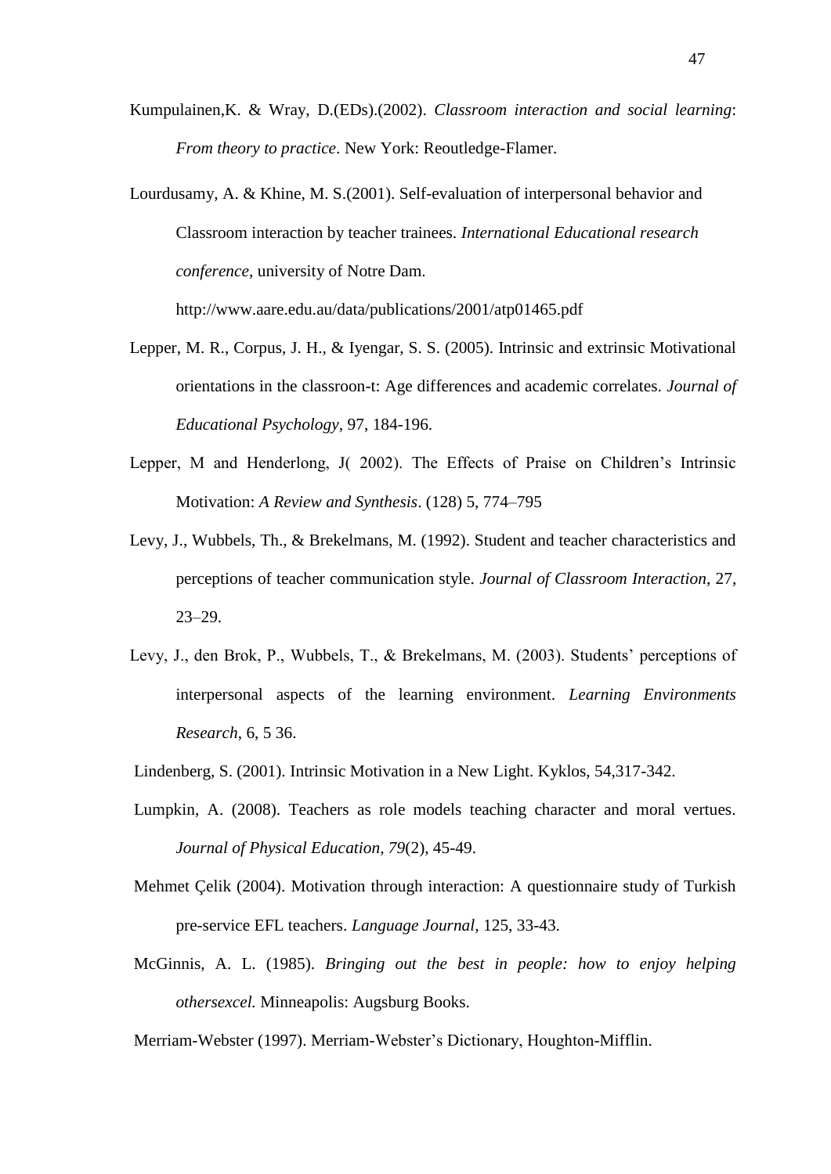- Kumpulainen,K. & Wray, D.(EDs).(2002). *Classroom interaction and social learning*: *From theory to practice*. New York: Reoutledge-Flamer.
- Lourdusamy, A. & Khine, M. S.(2001). Self-evaluation of interpersonal behavior and Classroom interaction by teacher trainees. *International Educational research conference*, university of Notre Dam.

http://www.aare.edu.au/data/publications/2001/atp01465.pdf

- Lepper, M. R., Corpus, J. H., & Iyengar, S. S. (2005). Intrinsic and extrinsic Motivational orientations in the classroon-t: Age differences and academic correlates. *Journal of Educational Psychology,* 97, 184-196.
- Lepper, M and Henderlong, J( 2002). The Effects of Praise on Children"s Intrinsic Motivation: *A Review and Synthesis*. (128) 5, 774–795
- Levy, J., Wubbels, Th., & Brekelmans, M. (1992). Student and teacher characteristics and perceptions of teacher communication style. *Journal of Classroom Interaction*, 27, 23–29.
- Levy, J., den Brok, P., Wubbels, T., & Brekelmans, M. (2003). Students" perceptions of interpersonal aspects of the learning environment. *Learning Environments Research*, 6, 5 36.
- Lindenberg, S. (2001). Intrinsic Motivation in a New Light. Kyklos, 54,317-342.
- Lumpkin, A. (2008). Teachers as role models teaching character and moral vertues. *Journal of Physical Education, 79*(2), 45-49.
- Mehmet Çelik (2004). Motivation through interaction: A questionnaire study of Turkish pre-service EFL teachers. *Language Journal,* 125, 33-43.
- McGinnis, A. L. (1985). *Bringing out the best in people: how to enjoy helping othersexcel.* Minneapolis: Augsburg Books.

Merriam-Webster (1997). Merriam-Webster"s Dictionary, Houghton-Mifflin.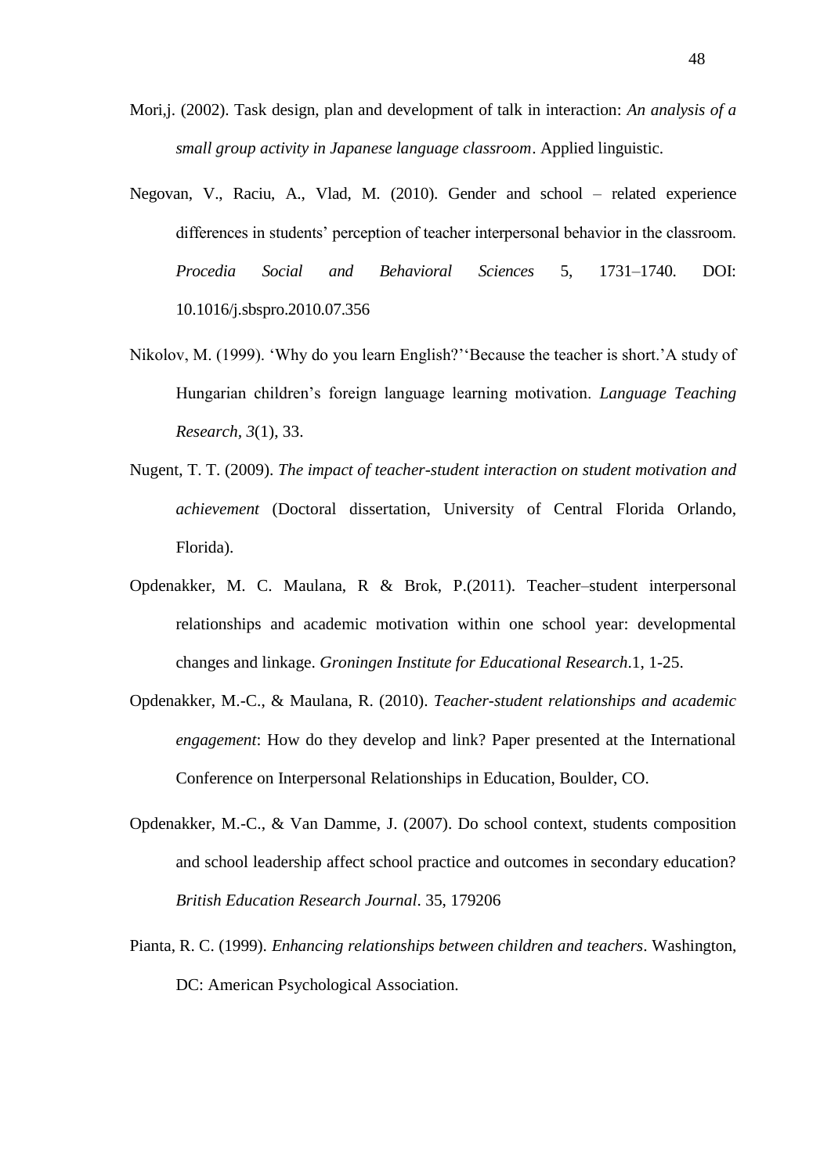- Mori,j. (2002). Task design, plan and development of talk in interaction: *An analysis of a small group activity in Japanese language classroom*. Applied linguistic.
- Negovan, V., Raciu, A., Vlad, M. (2010). Gender and school related experience differences in students' perception of teacher interpersonal behavior in the classroom. *Procedia Social and Behavioral Sciences* 5, 1731–1740. DOI: 10.1016/j.sbspro.2010.07.356
- Nikolov, M. (1999). "Why do you learn English?""Because the teacher is short."A study of Hungarian children"s foreign language learning motivation. *Language Teaching Research, 3*(1), 33.
- Nugent, T. T. (2009). *The impact of teacher-student interaction on student motivation and achievement* (Doctoral dissertation, University of Central Florida Orlando, Florida).
- Opdenakker, M. C. Maulana, R & Brok, P.(2011). Teacher–student interpersonal relationships and academic motivation within one school year: developmental changes and linkage. *Groningen Institute for Educational Research*.1, 1-25.
- Opdenakker, M.-C., & Maulana, R. (2010). *Teacher-student relationships and academic engagement*: How do they develop and link? Paper presented at the International Conference on Interpersonal Relationships in Education, Boulder, CO.
- Opdenakker, M.-C., & Van Damme, J. (2007). Do school context, students composition and school leadership affect school practice and outcomes in secondary education? *British Education Research Journal*. 35, 179206
- Pianta, R. C. (1999). *Enhancing relationships between children and teachers*. Washington, DC: American Psychological Association.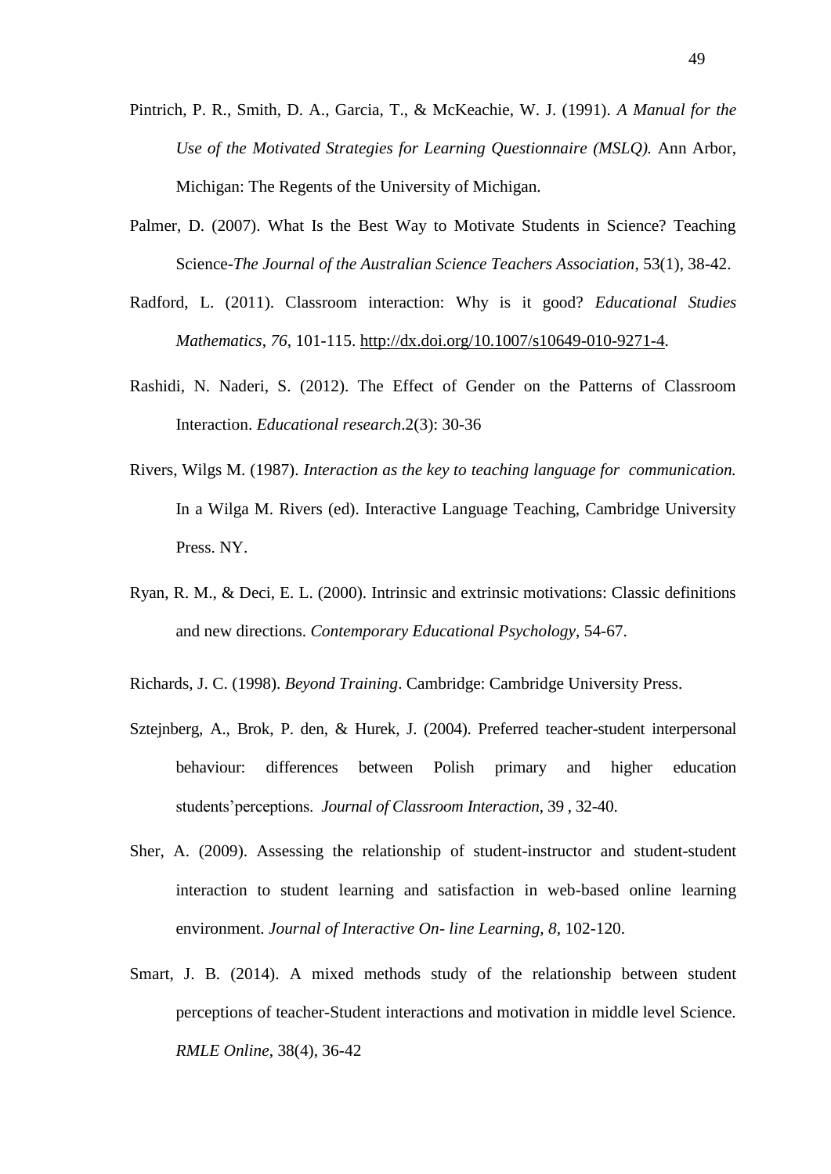- Pintrich, P. R., Smith, D. A., Garcia, T., & McKeachie, W. J. (1991). *A Manual for the Use of the Motivated Strategies for Learning Questionnaire (MSLQ).* Ann Arbor, Michigan: The Regents of the University of Michigan*.*
- Palmer, D. (2007). What Is the Best Way to Motivate Students in Science? Teaching Science-*The Journal of the Australian Science Teachers Association*, 53(1), 38-42.
- Radford, L. (2011). Classroom interaction: Why is it good? *Educational Studies Mathematics*, *76*, 101-115. [http://dx.doi.org/10.1007/s10649-010-9271-4.](http://dx.doi.org/10.1007/s10649-010-9271-4)
- Rashidi, N. Naderi, S. (2012). The Effect of Gender on the Patterns of Classroom Interaction. *Educational research*.2(3): 30-36
- Rivers, Wilgs M. (1987). *Interaction as the key to teaching language for communication.* In a Wilga M. Rivers (ed). Interactive Language Teaching, Cambridge University Press. NY.
- Ryan, R. M., & Deci, E. L. (2000). Intrinsic and extrinsic motivations: Classic definitions and new directions. *Contemporary Educational Psychology*, 54-67.
- Richards, J. C. (1998). *Beyond Training*. Cambridge: Cambridge University Press.
- Sztejnberg, A., Brok, P. den, & Hurek, J. (2004). Preferred teacher-student interpersonal behaviour: differences between Polish primary and higher education students"perceptions. *Journal of Classroom Interaction*, 39 , 32-40.
- Sher, A. (2009). Assessing the relationship of student-instructor and student-student interaction to student learning and satisfaction in web-based online learning environment. *Journal of Interactive On- line Learning, 8,* 102-120.
- Smart, J. B. (2014). A mixed methods study of the relationship between student perceptions of teacher-Student interactions and motivation in middle level Science. *RMLE Online*, 38(4), 36-42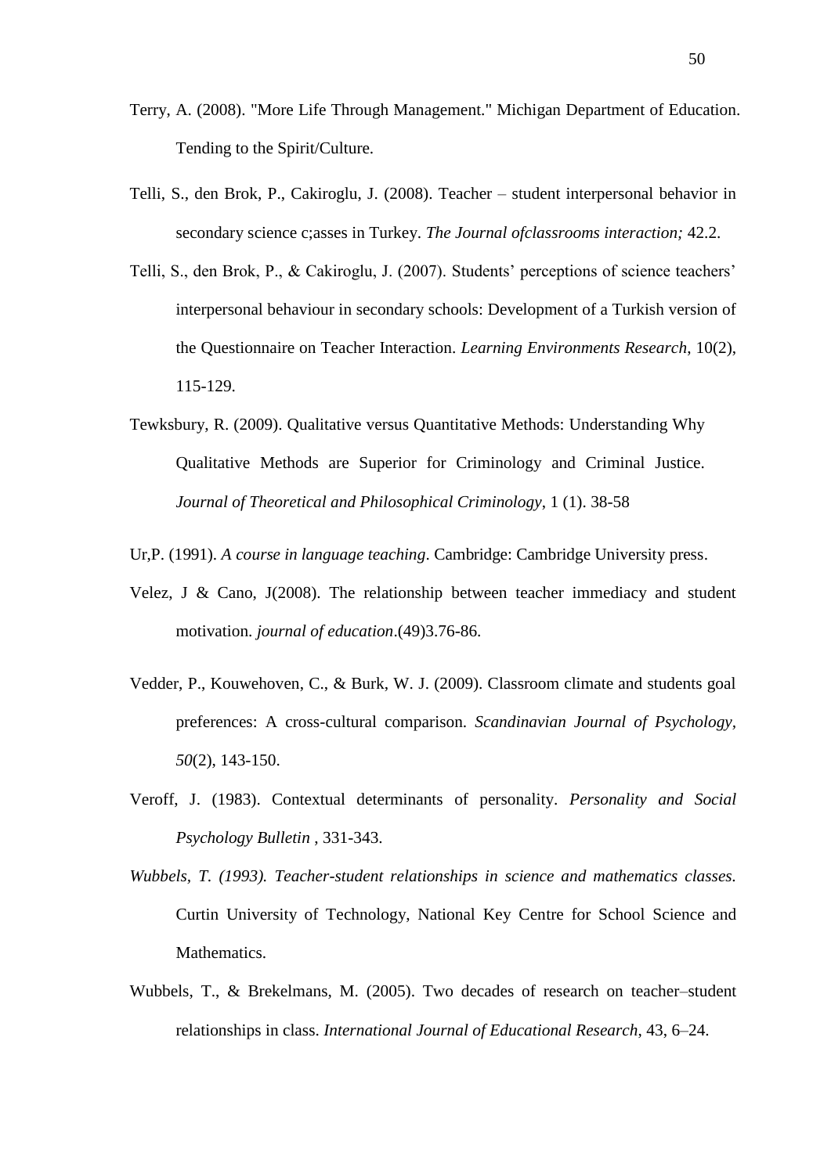- Terry, A. (2008). "More Life Through Management." Michigan Department of Education. Tending to the Spirit/Culture.
- Telli, S., den Brok, P., Cakiroglu, J. (2008). Teacher student interpersonal behavior in secondary science c;asses in Turkey. *The Journal ofclassrooms interaction;* 42.2.
- Telli, S., den Brok, P., & Cakiroglu, J. (2007). Students' perceptions of science teachers' interpersonal behaviour in secondary schools: Development of a Turkish version of the Questionnaire on Teacher Interaction. *Learning Environments Research*, 10(2), 115-129.
- Tewksbury, R. (2009). Qualitative versus Quantitative Methods: Understanding Why Qualitative Methods are Superior for Criminology and Criminal Justice. *Journal of Theoretical and Philosophical Criminology*, 1 (1). 38-58
- Ur,P. (1991). *A course in language teaching*. Cambridge: Cambridge University press.
- Velez, J & Cano, J(2008). The relationship between teacher immediacy and student motivation. *journal of education*.(49)3.76-86.
- Vedder, P., Kouwehoven, C., & Burk, W. J. (2009). Classroom climate and students goal preferences: A cross-cultural comparison. *Scandinavian Journal of Psychology, 50*(2), 143-150.
- Veroff, J. (1983). Contextual determinants of personality. *Personality and Social Psychology Bulletin* , 331-343.
- *Wubbels, T. (1993). Teacher-student relationships in science and mathematics classes.*  Curtin University of Technology, National Key Centre for School Science and Mathematics.
- Wubbels, T., & Brekelmans, M. (2005). Two decades of research on teacher–student relationships in class. *International Journal of Educational Research*, 43, 6–24.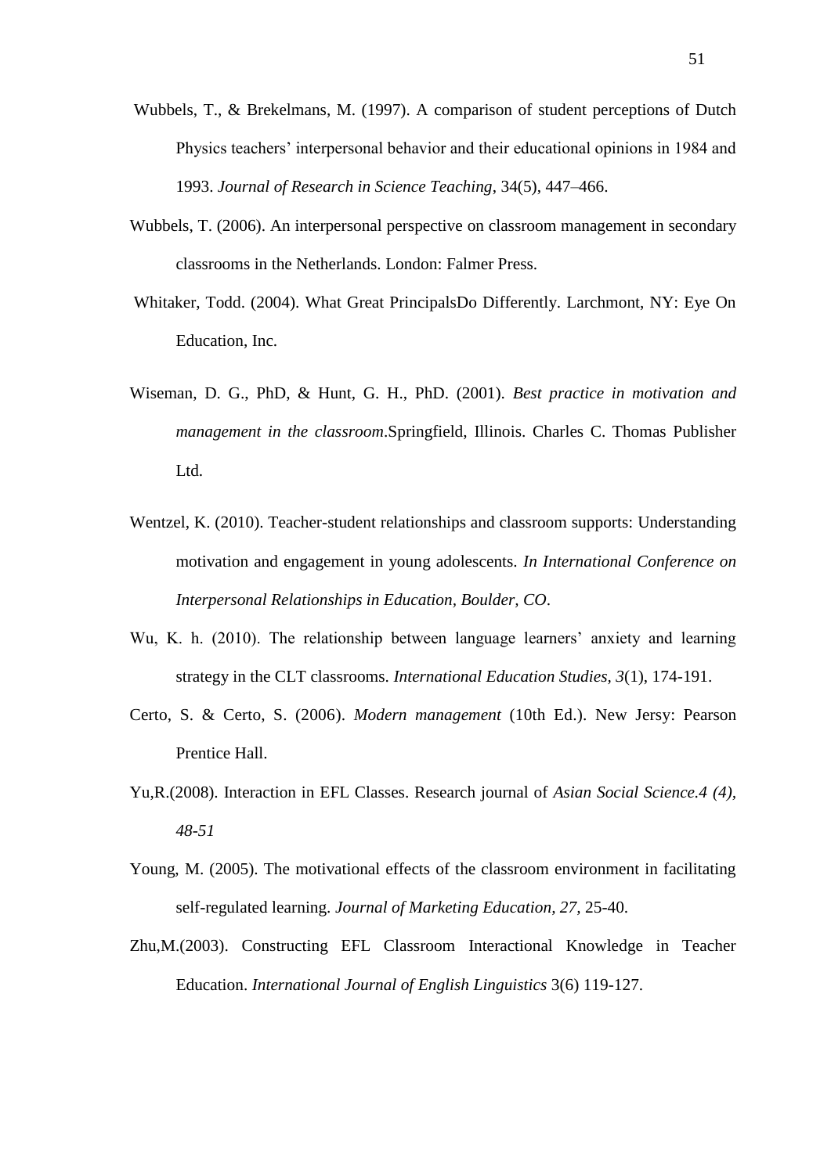- Wubbels, T., & Brekelmans, M. (1997). A comparison of student perceptions of Dutch Physics teachers" interpersonal behavior and their educational opinions in 1984 and 1993. *Journal of Research in Science Teaching*, 34(5), 447–466.
- Wubbels, T. (2006). An interpersonal perspective on classroom management in secondary classrooms in the Netherlands. London: Falmer Press.
- Whitaker, Todd. (2004). What Great PrincipalsDo Differently. Larchmont, NY: Eye On Education, Inc.
- Wiseman, D. G., PhD, & Hunt, G. H., PhD. (2001). *Best practice in motivation and management in the classroom*.Springfield, Illinois. Charles C. Thomas Publisher Ltd.
- Wentzel, K. (2010). Teacher-student relationships and classroom supports: Understanding motivation and engagement in young adolescents. *In International Conference on Interpersonal Relationships in Education, Boulder, CO*.
- Wu, K. h. (2010). The relationship between language learners' anxiety and learning strategy in the CLT classrooms. *International Education Studies, 3*(1), 174-191.
- Certo, S. & Certo, S. (2006). *Modern management* (10th Ed.). New Jersy: Pearson Prentice Hall.
- Yu,R.(2008). Interaction in EFL Classes. Research journal of *Asian Social Science.4 (4), 48-51*
- Young, M. (2005). The motivational effects of the classroom environment in facilitating self-regulated learning. *Journal of Marketing Education, 27,* 25-40.
- Zhu,M.(2003). Constructing EFL Classroom Interactional Knowledge in Teacher Education. *International Journal of English Linguistics* 3(6) 119-127.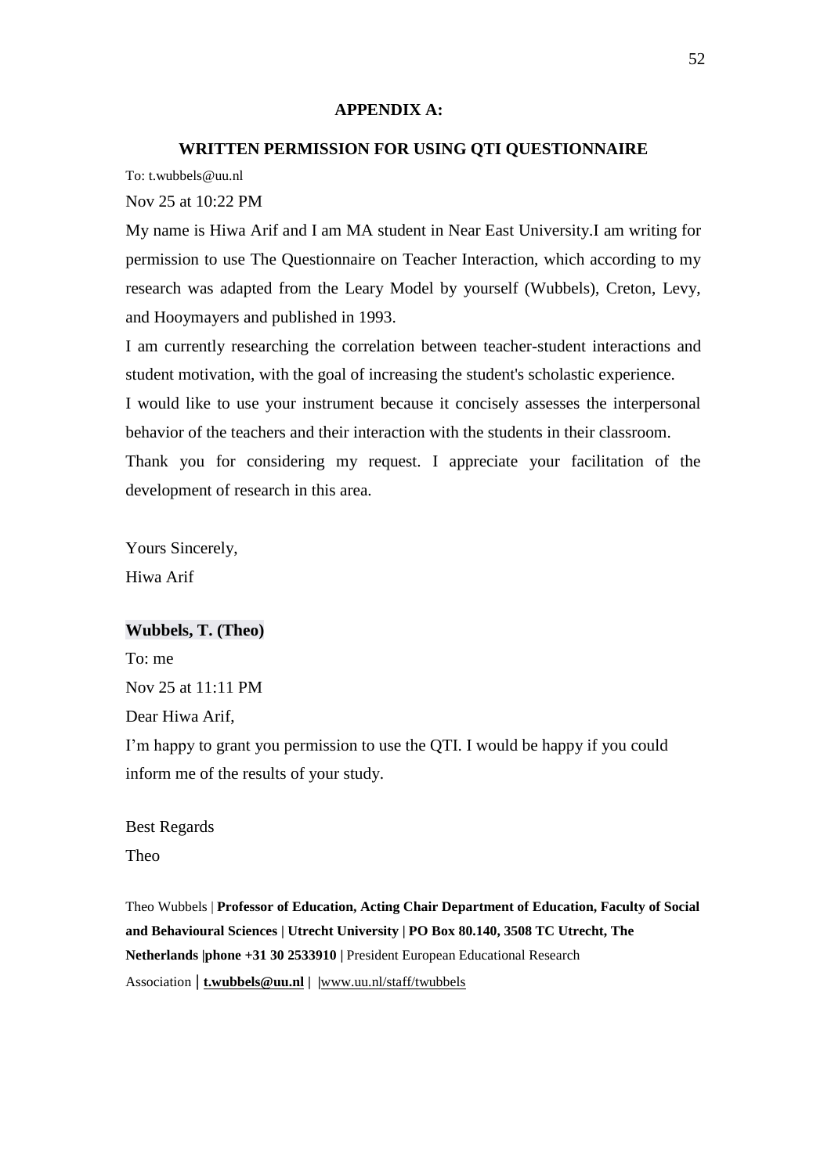#### **APPENDIX A:**

## **WRITTEN PERMISSION FOR USING QTI QUESTIONNAIRE**

To: t.wubbels@uu.nl

Nov 25 at 10:22 PM

My name is Hiwa Arif and I am MA student in Near East University.I am writing for permission to use The Questionnaire on Teacher Interaction, which according to my research was adapted from the Leary Model by yourself (Wubbels), Creton, Levy, and Hooymayers and published in 1993.

I am currently researching the correlation between teacher-student interactions and student motivation, with the goal of increasing the student's scholastic experience. I would like to use your instrument because it concisely assesses the interpersonal behavior of the teachers and their interaction with the students in their classroom. Thank you for considering my request. I appreciate your facilitation of the development of research in this area.

Yours Sincerely, Hiwa Arif

#### **Wubbels, T. (Theo)**

To: me Nov 25 at 11:11 PM Dear Hiwa Arif,

I"m happy to grant you permission to use the QTI. I would be happy if you could inform me of the results of your study.

Best Regards Theo

Theo Wubbels | **Professor of Education, Acting Chair Department of Education, Faculty of Social and Behavioural Sciences | Utrecht University | PO Box 80.140, 3508 TC Utrecht, The Netherlands |phone +31 30 2533910 |** President European Educational Research Association **| [t.wubbels@uu.nl](mailto:t.wubbels@uu.nl) | |**[www.uu.nl/staff/twubbels](http://www.uu.nl/staff/twubbels)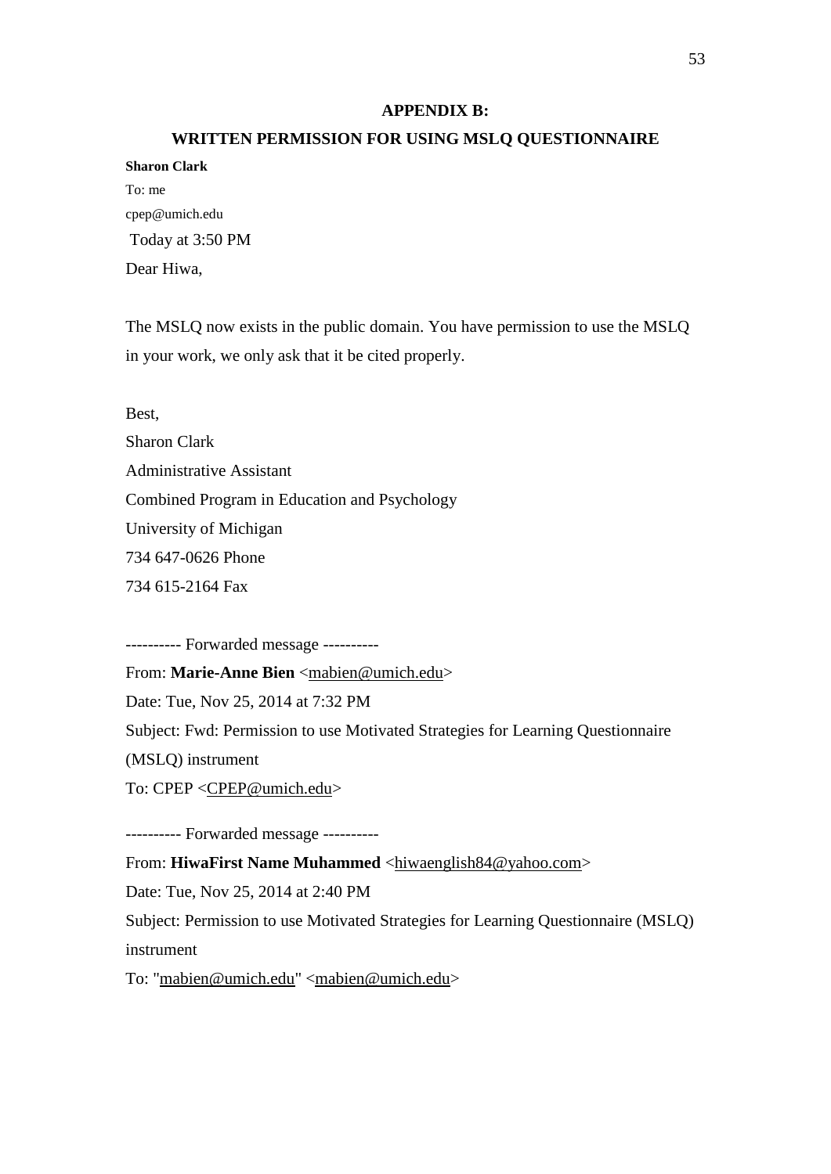#### **APPENDIX B:**

#### **WRITTEN PERMISSION FOR USING MSLQ QUESTIONNAIRE**

| <b>Sharon Clark</b> |
|---------------------|
| To: me              |
| cpep@umich.edu      |
| Today at 3:50 PM    |
| Dear Hiwa,          |

The MSLQ now exists in the public domain. You have permission to use the MSLQ in your work, we only ask that it be cited properly.

Best,

Sharon Clark Administrative Assistant Combined Program in Education and Psychology University of Michigan 734 647-0626 Phone 734 615-2164 Fax

---------- Forwarded message ----------

From: Marie-Anne Bien [<mabien@umich.edu>](mailto:mabien@umich.edu)

Date: Tue, Nov 25, 2014 at 7:32 PM

Subject: Fwd: Permission to use Motivated Strategies for Learning Questionnaire

(MSLQ) instrument

To: CPEP [<CPEP@umich.edu>](mailto:CPEP@umich.edu)

---------- Forwarded message ----------

From: **HiwaFirst Name Muhammed** [<hiwaenglish84@yahoo.com>](mailto:hiwaenglish84@yahoo.com) Date: Tue, Nov 25, 2014 at 2:40 PM Subject: Permission to use Motivated Strategies for Learning Questionnaire (MSLQ) instrument To: ["mabien@umich.edu"](mailto:mabien@umich.edu) [<mabien@umich.edu>](mailto:mabien@umich.edu)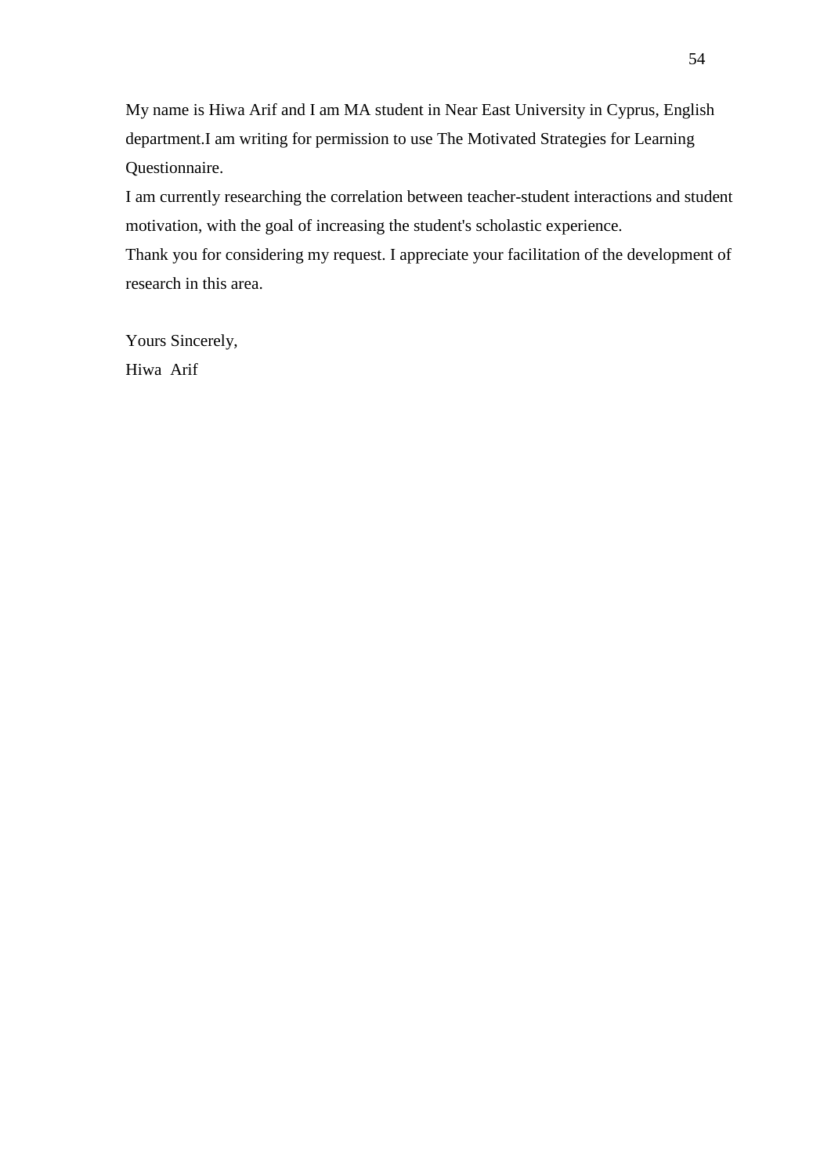My name is Hiwa Arif and I am MA student in Near East University in Cyprus, English department.I am writing for permission to use The Motivated Strategies for Learning Questionnaire.

I am currently researching the correlation between teacher-student interactions and student motivation, with the goal of increasing the student's scholastic experience.

Thank you for considering my request. I appreciate your facilitation of the development of research in this area.

Yours Sincerely, Hiwa Arif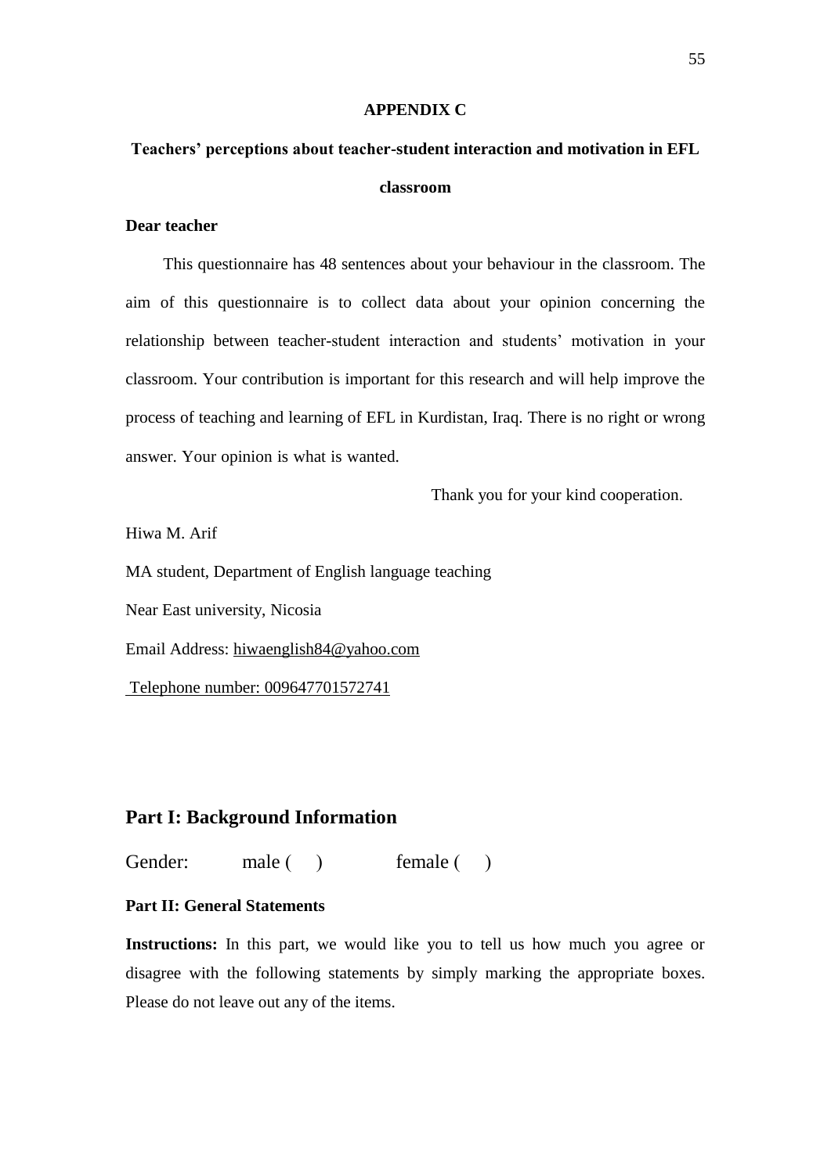#### **APPENDIX C**

# **Teachers' perceptions about teacher-student interaction and motivation in EFL classroom**

## **Dear teacher**

 This questionnaire has 48 sentences about your behaviour in the classroom. The aim of this questionnaire is to collect data about your opinion concerning the relationship between teacher-student interaction and students" motivation in your classroom. Your contribution is important for this research and will help improve the process of teaching and learning of EFL in Kurdistan, Iraq. There is no right or wrong answer. Your opinion is what is wanted.

Thank you for your kind cooperation.

Hiwa M. Arif

MA student, Department of English language teaching

Near East university, Nicosia

Email Address: [hiwaenglish84@yahoo.com](mailto:hiwaenglish84@yahoo.com) 

Telephone number: 009647701572741

## **Part I: Background Information**

Gender: male ( ) female ( )

## **Part II: General Statements**

Instructions: In this part, we would like you to tell us how much you agree or disagree with the following statements by simply marking the appropriate boxes. Please do not leave out any of the items.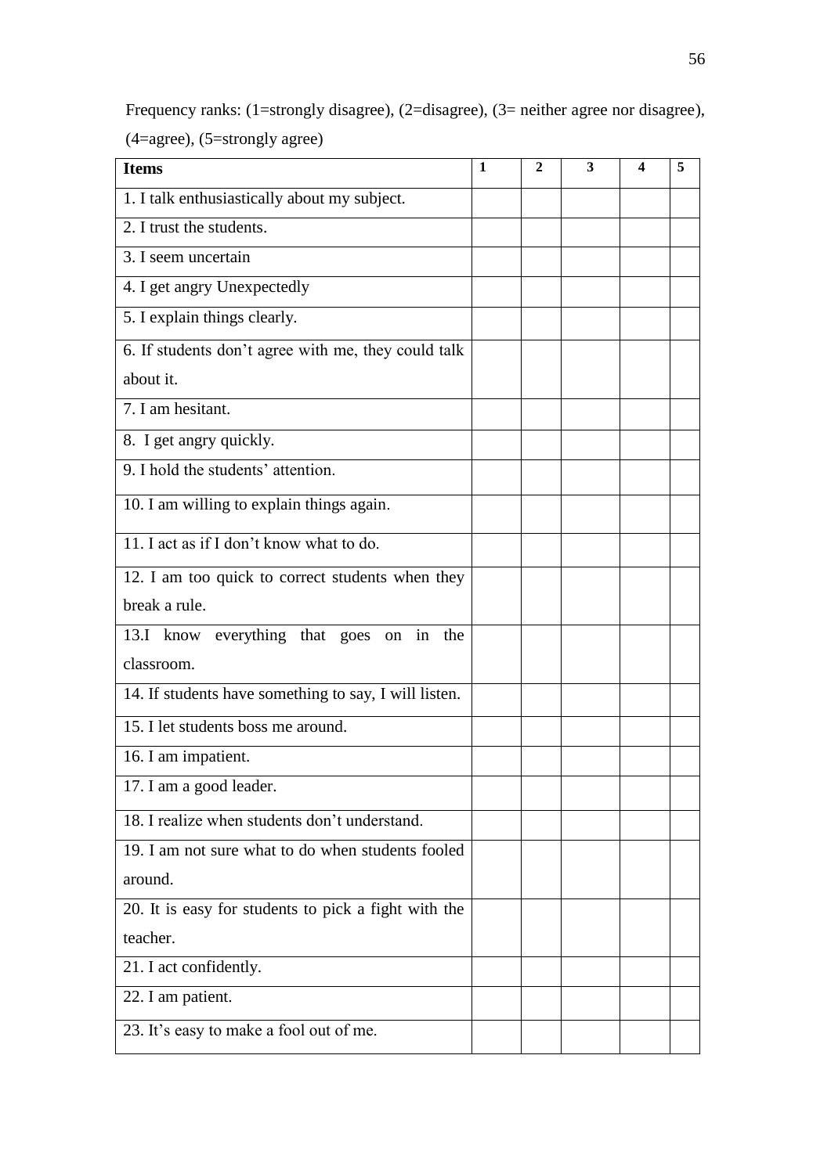Frequency ranks: (1=strongly disagree), (2=disagree), (3= neither agree nor disagree), (4=agree), (5=strongly agree)

| <b>Items</b>                                          | 1 | 2 | 3 | 4 | 5 |
|-------------------------------------------------------|---|---|---|---|---|
| 1. I talk enthusiastically about my subject.          |   |   |   |   |   |
| 2. I trust the students.                              |   |   |   |   |   |
| 3. I seem uncertain                                   |   |   |   |   |   |
| 4. I get angry Unexpectedly                           |   |   |   |   |   |
| 5. I explain things clearly.                          |   |   |   |   |   |
| 6. If students don't agree with me, they could talk   |   |   |   |   |   |
| about it.                                             |   |   |   |   |   |
| 7. I am hesitant.                                     |   |   |   |   |   |
| 8. I get angry quickly.                               |   |   |   |   |   |
| 9. I hold the students' attention.                    |   |   |   |   |   |
| 10. I am willing to explain things again.             |   |   |   |   |   |
| 11. I act as if I don't know what to do.              |   |   |   |   |   |
| 12. I am too quick to correct students when they      |   |   |   |   |   |
| break a rule.                                         |   |   |   |   |   |
| 13.I know everything that goes on<br>in<br>the        |   |   |   |   |   |
| classroom.                                            |   |   |   |   |   |
| 14. If students have something to say, I will listen. |   |   |   |   |   |
| 15. I let students boss me around.                    |   |   |   |   |   |
| 16. I am impatient.                                   |   |   |   |   |   |
| 17. I am a good leader.                               |   |   |   |   |   |
| 18. I realize when students don't understand.         |   |   |   |   |   |
| 19. I am not sure what to do when students fooled     |   |   |   |   |   |
| around.                                               |   |   |   |   |   |
| 20. It is easy for students to pick a fight with the  |   |   |   |   |   |
| teacher.                                              |   |   |   |   |   |
| 21. I act confidently.                                |   |   |   |   |   |
| 22. I am patient.                                     |   |   |   |   |   |
| 23. It's easy to make a fool out of me.               |   |   |   |   |   |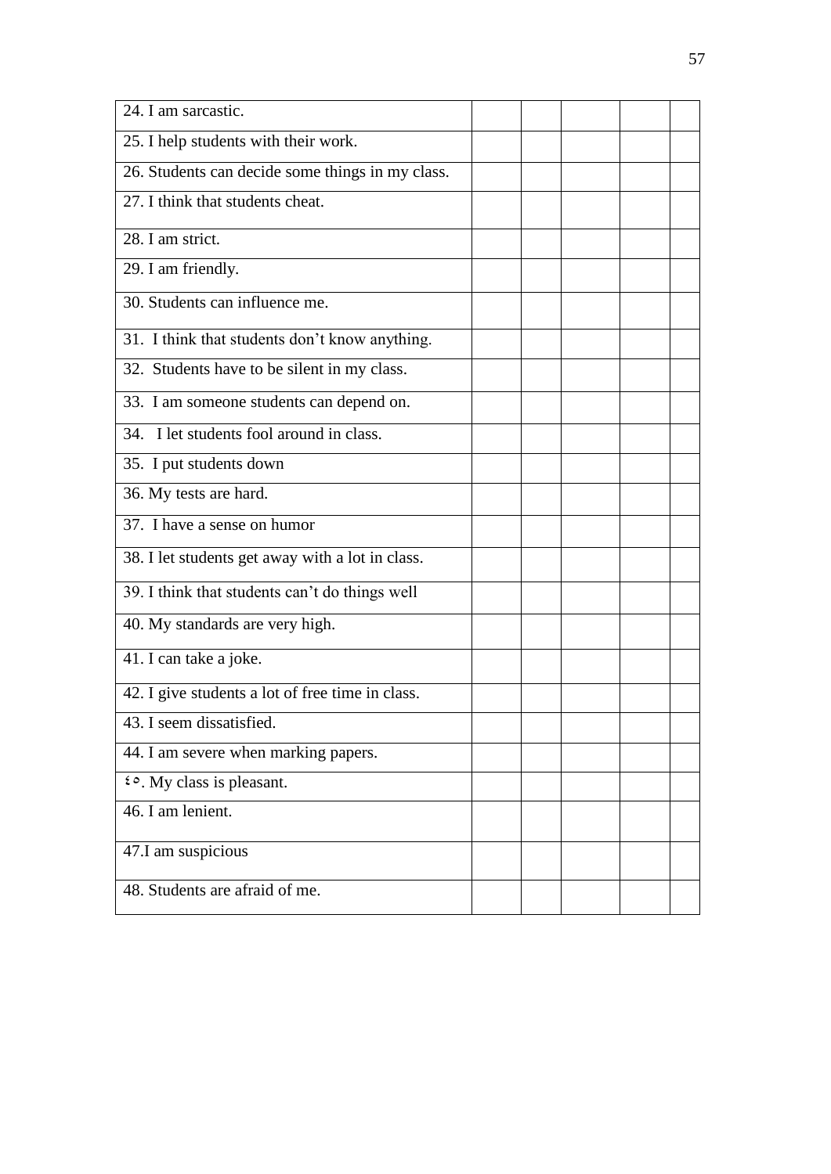| 24. I am sarcastic.                              |  |  |  |
|--------------------------------------------------|--|--|--|
| 25. I help students with their work.             |  |  |  |
| 26. Students can decide some things in my class. |  |  |  |
| 27. I think that students cheat.                 |  |  |  |
| 28. I am strict.                                 |  |  |  |
| 29. I am friendly.                               |  |  |  |
| 30. Students can influence me.                   |  |  |  |
| 31. I think that students don't know anything.   |  |  |  |
| 32. Students have to be silent in my class.      |  |  |  |
| 33. I am someone students can depend on.         |  |  |  |
| 34. I let students fool around in class.         |  |  |  |
| 35. I put students down                          |  |  |  |
| 36. My tests are hard.                           |  |  |  |
| 37. I have a sense on humor                      |  |  |  |
| 38. I let students get away with a lot in class. |  |  |  |
| 39. I think that students can't do things well   |  |  |  |
| 40. My standards are very high.                  |  |  |  |
| 41. I can take a joke.                           |  |  |  |
| 42. I give students a lot of free time in class. |  |  |  |
| 43. I seem dissatisfied.                         |  |  |  |
| 44. I am severe when marking papers.             |  |  |  |
| <i>i</i> $\circ$ . My class is pleasant.         |  |  |  |
| 46. I am lenient.                                |  |  |  |
| 47.I am suspicious                               |  |  |  |
| 48. Students are afraid of me.                   |  |  |  |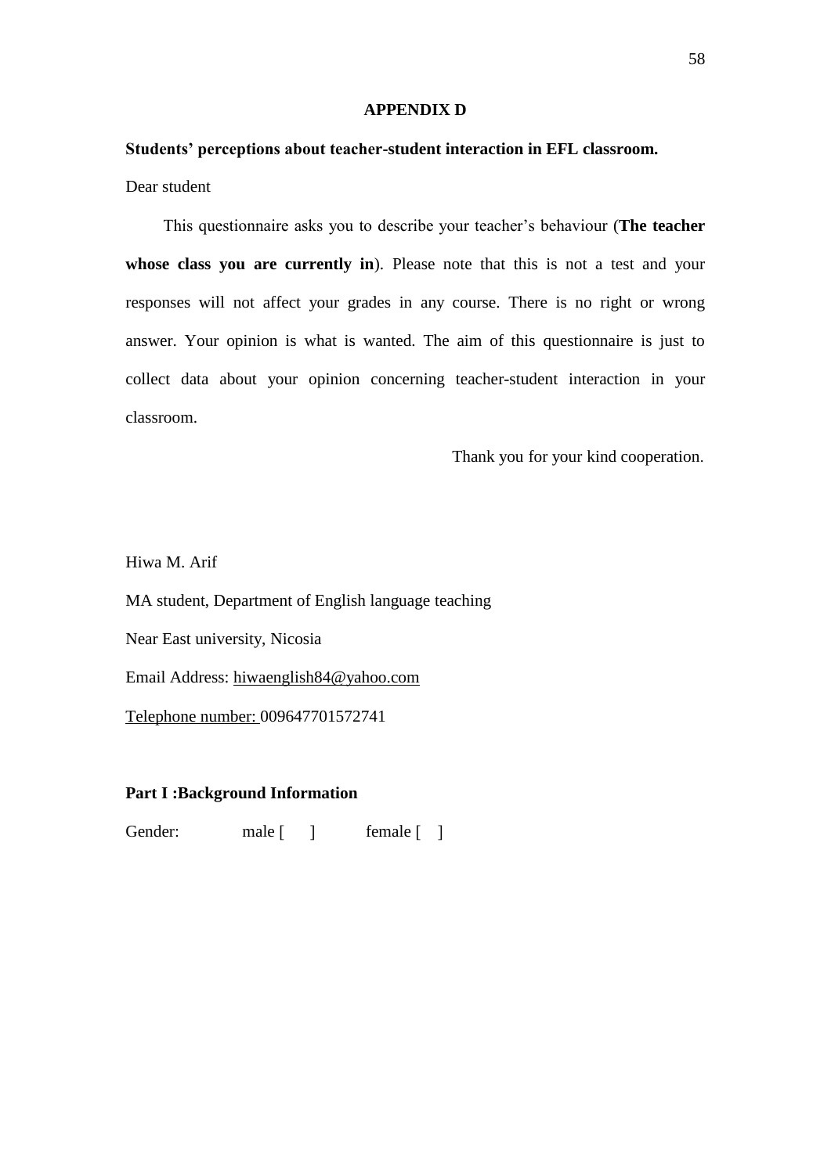#### **APPENDIX D**

## **Students' perceptions about teacher-student interaction in EFL classroom.** Dear student

 This questionnaire asks you to describe your teacher"s behaviour (**The teacher whose class you are currently in**). Please note that this is not a test and your responses will not affect your grades in any course. There is no right or wrong answer. Your opinion is what is wanted. The aim of this questionnaire is just to collect data about your opinion concerning teacher-student interaction in your classroom.

Thank you for your kind cooperation.

Hiwa M. Arif

MA student, Department of English language teaching Near East university, Nicosia Email Address: [hiwaenglish84@yahoo.com](mailto:hiwaenglish84@yahoo.com)

Telephone number: 009647701572741

## **Part I :Background Information**

Gender: male [ ] female [ ]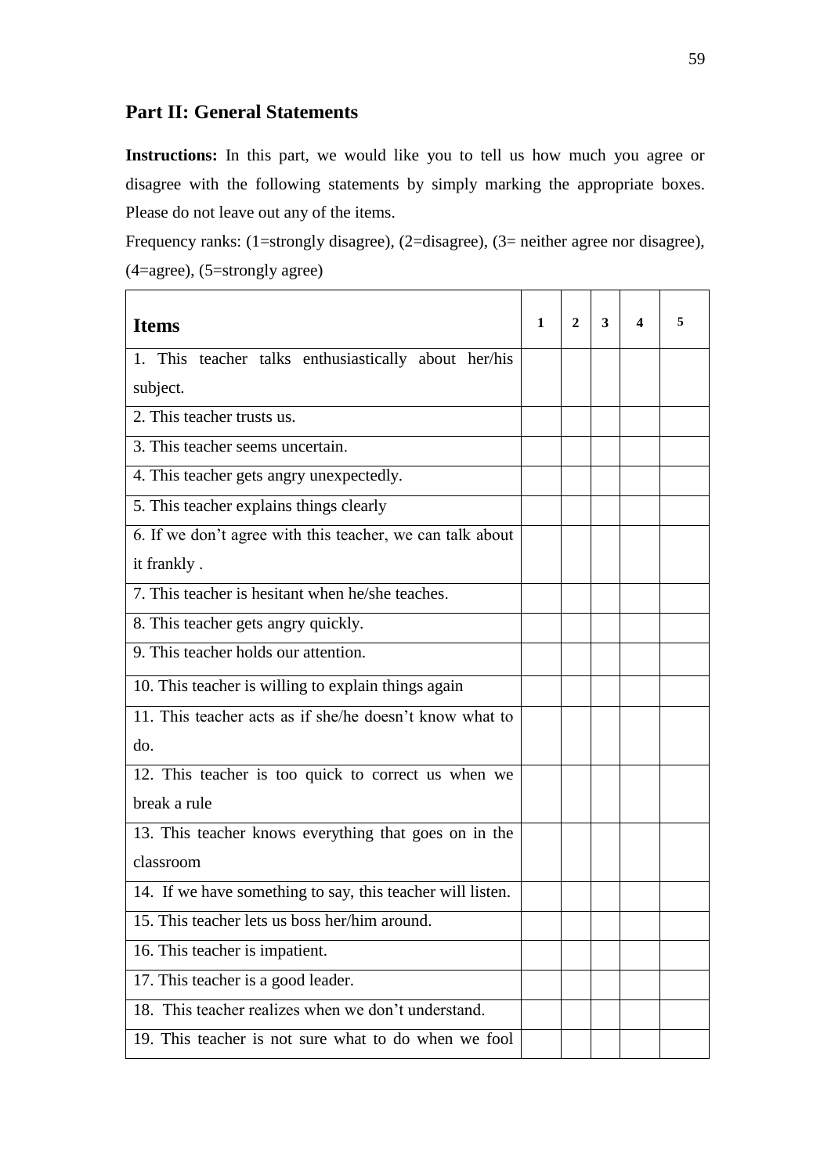## **Part II: General Statements**

**Instructions:** In this part, we would like you to tell us how much you agree or disagree with the following statements by simply marking the appropriate boxes. Please do not leave out any of the items.

Frequency ranks: (1=strongly disagree), (2=disagree), (3= neither agree nor disagree), (4=agree), (5=strongly agree)

| <b>Items</b>                                               | 1 | 2 | 3 | 4 | 5 |
|------------------------------------------------------------|---|---|---|---|---|
| 1. This teacher talks enthusiastically about her/his       |   |   |   |   |   |
| subject.                                                   |   |   |   |   |   |
| 2. This teacher trusts us.                                 |   |   |   |   |   |
| 3. This teacher seems uncertain.                           |   |   |   |   |   |
| 4. This teacher gets angry unexpectedly.                   |   |   |   |   |   |
| 5. This teacher explains things clearly                    |   |   |   |   |   |
| 6. If we don't agree with this teacher, we can talk about  |   |   |   |   |   |
| it frankly.                                                |   |   |   |   |   |
| 7. This teacher is hesitant when he/she teaches.           |   |   |   |   |   |
| 8. This teacher gets angry quickly.                        |   |   |   |   |   |
| 9. This teacher holds our attention.                       |   |   |   |   |   |
| 10. This teacher is willing to explain things again        |   |   |   |   |   |
| 11. This teacher acts as if she/he doesn't know what to    |   |   |   |   |   |
| do.                                                        |   |   |   |   |   |
| 12. This teacher is too quick to correct us when we        |   |   |   |   |   |
| break a rule                                               |   |   |   |   |   |
| 13. This teacher knows everything that goes on in the      |   |   |   |   |   |
| classroom                                                  |   |   |   |   |   |
| 14. If we have something to say, this teacher will listen. |   |   |   |   |   |
| 15. This teacher lets us boss her/him around.              |   |   |   |   |   |
| 16. This teacher is impatient.                             |   |   |   |   |   |
| 17. This teacher is a good leader.                         |   |   |   |   |   |
| 18. This teacher realizes when we don't understand.        |   |   |   |   |   |
| 19. This teacher is not sure what to do when we fool       |   |   |   |   |   |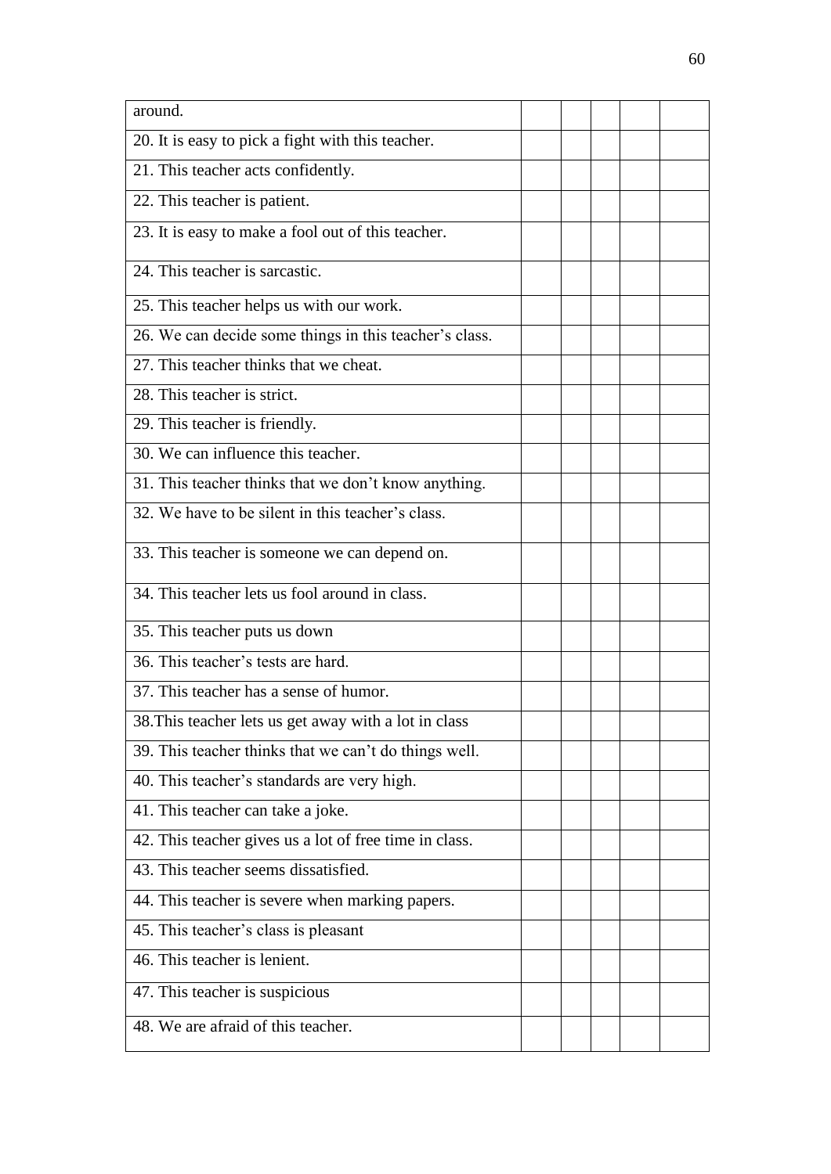| around.                                                |  |  |  |
|--------------------------------------------------------|--|--|--|
| 20. It is easy to pick a fight with this teacher.      |  |  |  |
| 21. This teacher acts confidently.                     |  |  |  |
| 22. This teacher is patient.                           |  |  |  |
| 23. It is easy to make a fool out of this teacher.     |  |  |  |
| 24. This teacher is sarcastic.                         |  |  |  |
| 25. This teacher helps us with our work.               |  |  |  |
| 26. We can decide some things in this teacher's class. |  |  |  |
| 27. This teacher thinks that we cheat.                 |  |  |  |
| 28. This teacher is strict.                            |  |  |  |
| 29. This teacher is friendly.                          |  |  |  |
| 30. We can influence this teacher.                     |  |  |  |
| 31. This teacher thinks that we don't know anything.   |  |  |  |
| 32. We have to be silent in this teacher's class.      |  |  |  |
| 33. This teacher is someone we can depend on.          |  |  |  |
| 34. This teacher lets us fool around in class.         |  |  |  |
| 35. This teacher puts us down                          |  |  |  |
| 36. This teacher's tests are hard.                     |  |  |  |
| 37. This teacher has a sense of humor.                 |  |  |  |
| 38. This teacher lets us get away with a lot in class  |  |  |  |
| 39. This teacher thinks that we can't do things well.  |  |  |  |
| 40. This teacher's standards are very high.            |  |  |  |
| 41. This teacher can take a joke.                      |  |  |  |
| 42. This teacher gives us a lot of free time in class. |  |  |  |
| 43. This teacher seems dissatisfied.                   |  |  |  |
| 44. This teacher is severe when marking papers.        |  |  |  |
| 45. This teacher's class is pleasant                   |  |  |  |
| 46. This teacher is lenient.                           |  |  |  |
| 47. This teacher is suspicious                         |  |  |  |
| 48. We are afraid of this teacher.                     |  |  |  |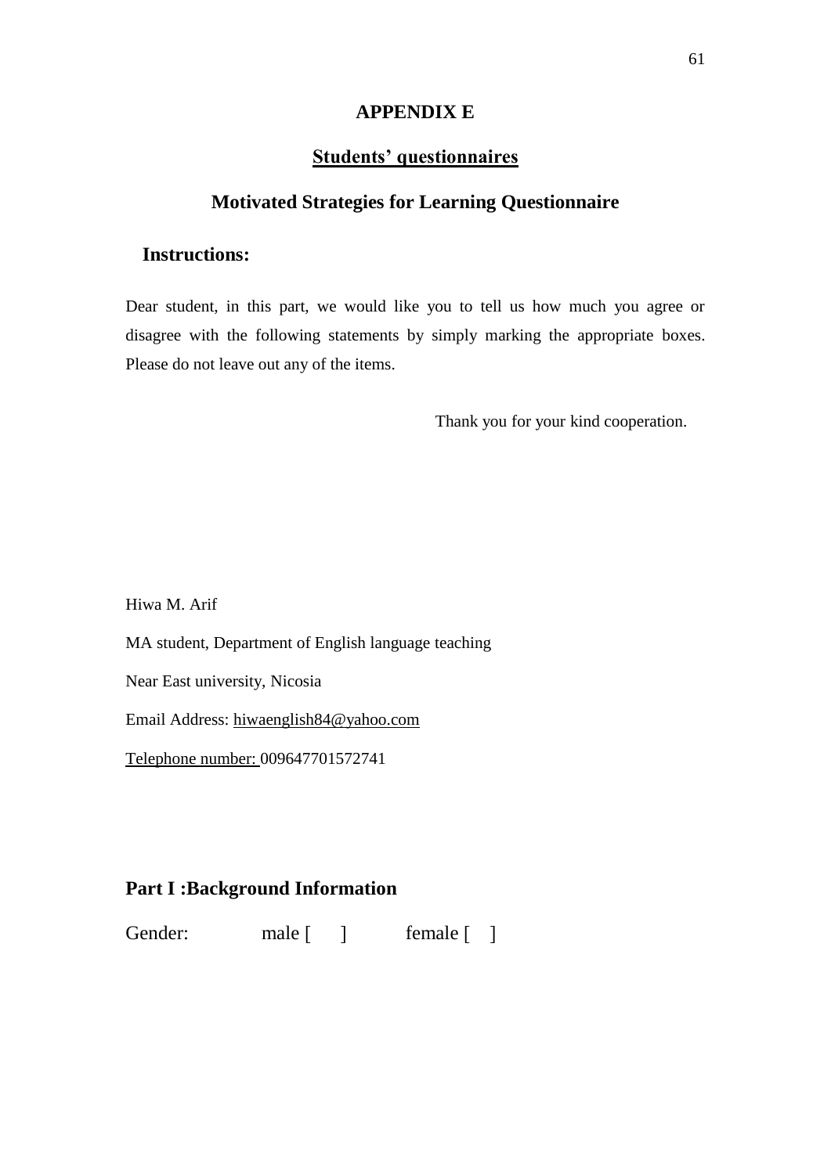#### **APPENDIX E**

# **Students' questionnaires**

### **Motivated Strategies for Learning Questionnaire**

### **Instructions:**

Dear student, in this part, we would like you to tell us how much you agree or disagree with the following statements by simply marking the appropriate boxes. Please do not leave out any of the items.

Thank you for your kind cooperation.

Hiwa M. Arif

MA student, Department of English language teaching

Near East university, Nicosia

Email Address: [hiwaenglish84@yahoo.com](mailto:hiwaenglish84@yahoo.com)

Telephone number: 009647701572741

# **Part I :Background Information**

Gender: male [ ] female [ ]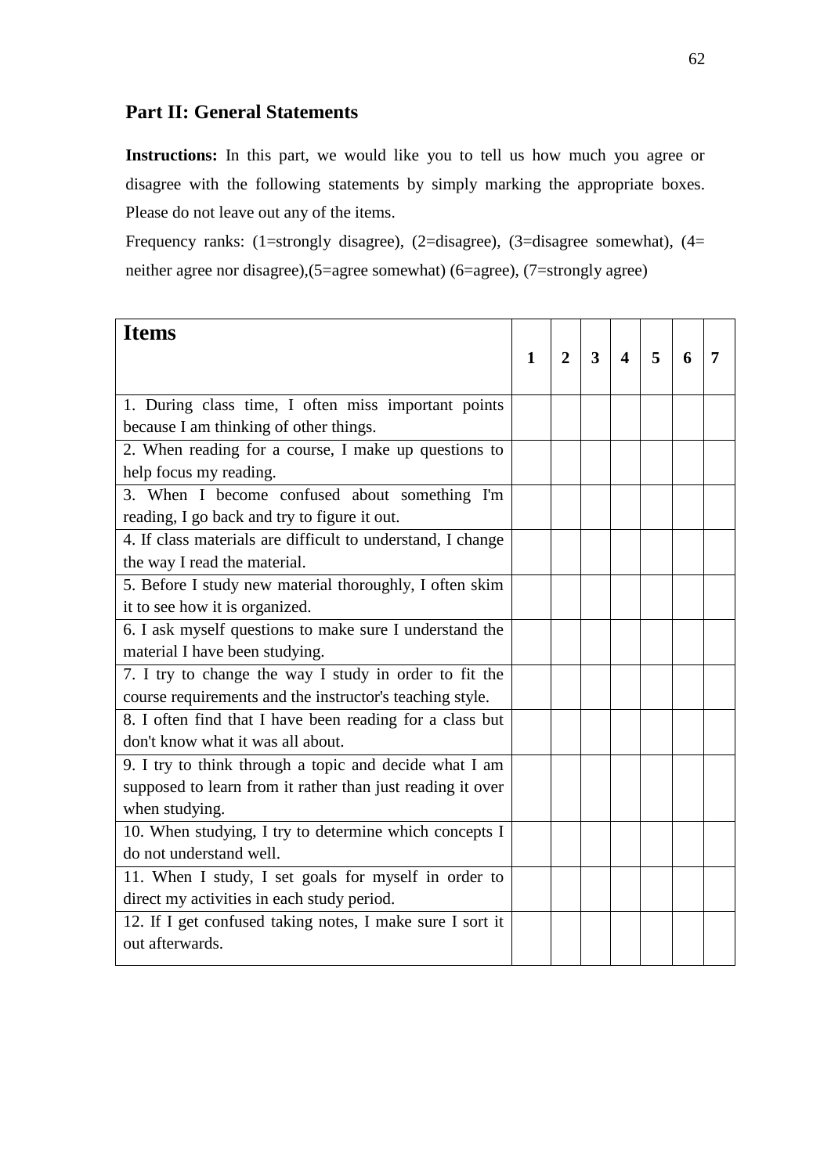# **Part II: General Statements**

**Instructions:** In this part, we would like you to tell us how much you agree or disagree with the following statements by simply marking the appropriate boxes. Please do not leave out any of the items.

Frequency ranks: (1=strongly disagree), (2=disagree), (3=disagree somewhat),  $(4=$ neither agree nor disagree),(5=agree somewhat) (6=agree), (7=strongly agree)

| <b>Items</b>                                                |              |                |   |                         |   |   |   |
|-------------------------------------------------------------|--------------|----------------|---|-------------------------|---|---|---|
|                                                             | $\mathbf{1}$ | $\overline{2}$ | 3 | $\overline{\mathbf{4}}$ | 5 | 6 | 7 |
|                                                             |              |                |   |                         |   |   |   |
| 1. During class time, I often miss important points         |              |                |   |                         |   |   |   |
| because I am thinking of other things.                      |              |                |   |                         |   |   |   |
| 2. When reading for a course, I make up questions to        |              |                |   |                         |   |   |   |
| help focus my reading.                                      |              |                |   |                         |   |   |   |
| 3. When I become confused about something I'm               |              |                |   |                         |   |   |   |
| reading, I go back and try to figure it out.                |              |                |   |                         |   |   |   |
| 4. If class materials are difficult to understand, I change |              |                |   |                         |   |   |   |
| the way I read the material.                                |              |                |   |                         |   |   |   |
| 5. Before I study new material thoroughly, I often skim     |              |                |   |                         |   |   |   |
| it to see how it is organized.                              |              |                |   |                         |   |   |   |
| 6. I ask myself questions to make sure I understand the     |              |                |   |                         |   |   |   |
| material I have been studying.                              |              |                |   |                         |   |   |   |
| 7. I try to change the way I study in order to fit the      |              |                |   |                         |   |   |   |
| course requirements and the instructor's teaching style.    |              |                |   |                         |   |   |   |
| 8. I often find that I have been reading for a class but    |              |                |   |                         |   |   |   |
| don't know what it was all about.                           |              |                |   |                         |   |   |   |
| 9. I try to think through a topic and decide what I am      |              |                |   |                         |   |   |   |
| supposed to learn from it rather than just reading it over  |              |                |   |                         |   |   |   |
| when studying.                                              |              |                |   |                         |   |   |   |
| 10. When studying, I try to determine which concepts I      |              |                |   |                         |   |   |   |
| do not understand well.                                     |              |                |   |                         |   |   |   |
| 11. When I study, I set goals for myself in order to        |              |                |   |                         |   |   |   |
| direct my activities in each study period.                  |              |                |   |                         |   |   |   |
| 12. If I get confused taking notes, I make sure I sort it   |              |                |   |                         |   |   |   |
| out afterwards.                                             |              |                |   |                         |   |   |   |
|                                                             |              |                |   |                         |   |   |   |